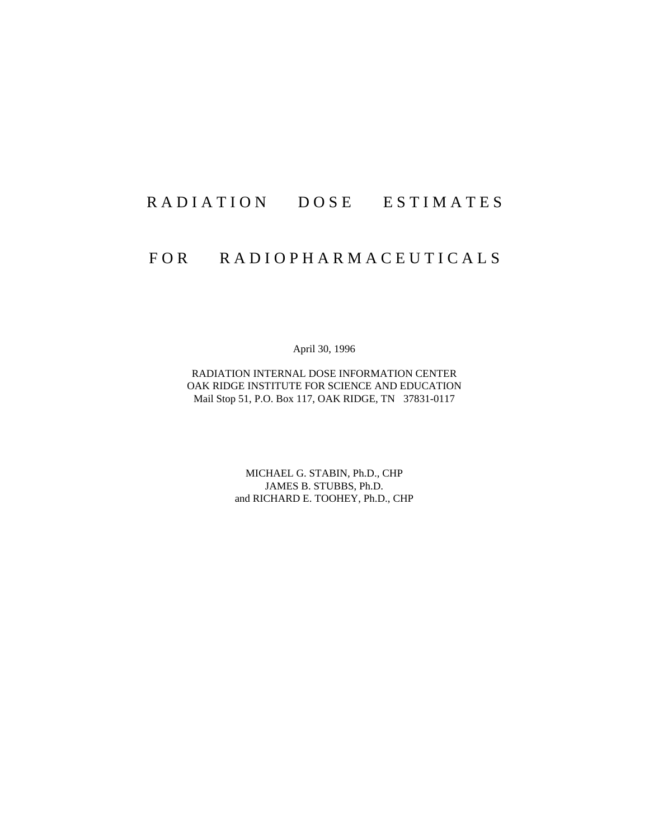# RADIATION DOSE ESTIMATES

# FOR RADIOPHARMACEUTICALS

April 30, 1996

RADIATION INTERNAL DOSE INFORMATION CENTER OAK RIDGE INSTITUTE FOR SCIENCE AND EDUCATION Mail Stop 51, P.O. Box 117, OAK RIDGE, TN 37831-0117

> MICHAEL G. STABIN, Ph.D., CHP JAMES B. STUBBS, Ph.D. and RICHARD E. TOOHEY, Ph.D., CHP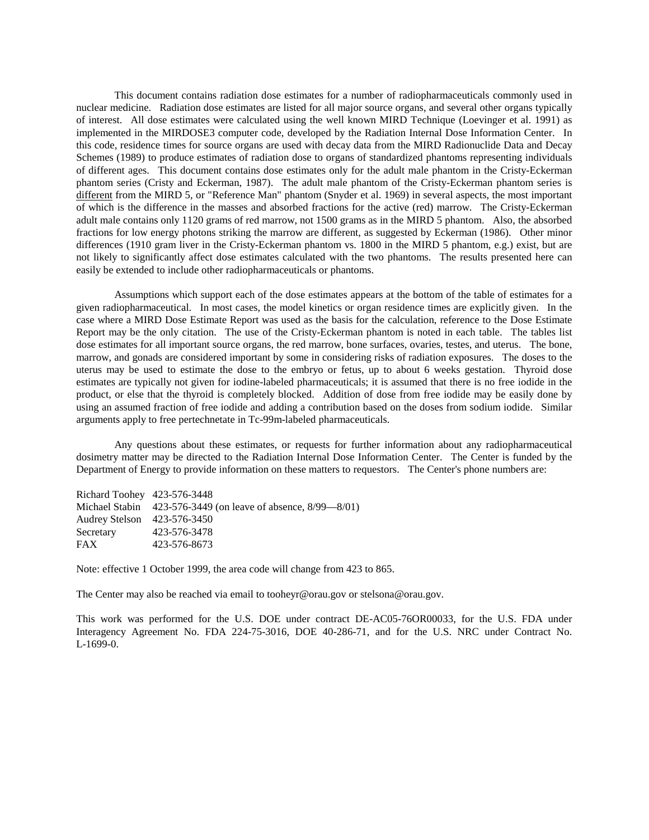This document contains radiation dose estimates for a number of radiopharmaceuticals commonly used in nuclear medicine. Radiation dose estimates are listed for all major source organs, and several other organs typically of interest. All dose estimates were calculated using the well known MIRD Technique (Loevinger et al. 1991) as implemented in the MIRDOSE3 computer code, developed by the Radiation Internal Dose Information Center. In this code, residence times for source organs are used with decay data from the MIRD Radionuclide Data and Decay Schemes (1989) to produce estimates of radiation dose to organs of standardized phantoms representing individuals of different ages. This document contains dose estimates only for the adult male phantom in the Cristy-Eckerman phantom series (Cristy and Eckerman, 1987). The adult male phantom of the Cristy-Eckerman phantom series is different from the MIRD 5, or "Reference Man" phantom (Snyder et al. 1969) in several aspects, the most important of which is the difference in the masses and absorbed fractions for the active (red) marrow. The Cristy-Eckerman adult male contains only 1120 grams of red marrow, not 1500 grams as in the MIRD 5 phantom. Also, the absorbed fractions for low energy photons striking the marrow are different, as suggested by Eckerman (1986). Other minor differences (1910 gram liver in the Cristy-Eckerman phantom vs. 1800 in the MIRD 5 phantom, e.g.) exist, but are not likely to significantly affect dose estimates calculated with the two phantoms. The results presented here can easily be extended to include other radiopharmaceuticals or phantoms.

Assumptions which support each of the dose estimates appears at the bottom of the table of estimates for a given radiopharmaceutical. In most cases, the model kinetics or organ residence times are explicitly given. In the case where a MIRD Dose Estimate Report was used as the basis for the calculation, reference to the Dose Estimate Report may be the only citation. The use of the Cristy-Eckerman phantom is noted in each table. The tables list dose estimates for all important source organs, the red marrow, bone surfaces, ovaries, testes, and uterus. The bone, marrow, and gonads are considered important by some in considering risks of radiation exposures. The doses to the uterus may be used to estimate the dose to the embryo or fetus, up to about 6 weeks gestation. Thyroid dose estimates are typically not given for iodine-labeled pharmaceuticals; it is assumed that there is no free iodide in the product, or else that the thyroid is completely blocked. Addition of dose from free iodide may be easily done by using an assumed fraction of free iodide and adding a contribution based on the doses from sodium iodide. Similar arguments apply to free pertechnetate in Tc-99m-labeled pharmaceuticals.

Any questions about these estimates, or requests for further information about any radiopharmaceutical dosimetry matter may be directed to the Radiation Internal Dose Information Center. The Center is funded by the Department of Energy to provide information on these matters to requestors. The Center's phone numbers are:

| Richard Toohey 423-576-3448                                       |
|-------------------------------------------------------------------|
| Michael Stabin $423-576-3449$ (on leave of absence, $8/99-8/01$ ) |
| Audrey Stelson 423-576-3450                                       |
| 423-576-3478                                                      |
| 423-576-8673                                                      |
|                                                                   |

Note: effective 1 October 1999, the area code will change from 423 to 865.

The Center may also be reached via email to [tooheyr@orau.gov](mailto:tooheyr@orau.gov) or stelsona@orau.gov.

This work was performed for the U.S. DOE under contract DE-AC05-76OR00033, for the U.S. FDA under Interagency Agreement No. FDA 224-75-3016, DOE 40-286-71, and for the U.S. NRC under Contract No. L-1699-0.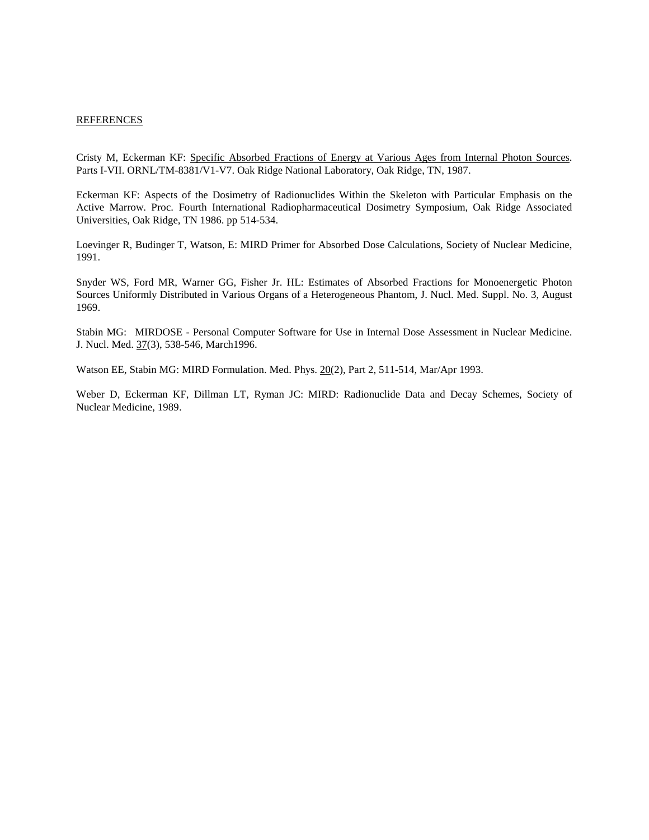### **REFERENCES**

Cristy M, Eckerman KF: Specific Absorbed Fractions of Energy at Various Ages from Internal Photon Sources. Parts I-VII. ORNL/TM-8381/V1-V7. Oak Ridge National Laboratory, Oak Ridge, TN, 1987.

Eckerman KF: Aspects of the Dosimetry of Radionuclides Within the Skeleton with Particular Emphasis on the Active Marrow. Proc. Fourth International Radiopharmaceutical Dosimetry Symposium, Oak Ridge Associated Universities, Oak Ridge, TN 1986. pp 514-534.

Loevinger R, Budinger T, Watson, E: MIRD Primer for Absorbed Dose Calculations, Society of Nuclear Medicine, 1991.

Snyder WS, Ford MR, Warner GG, Fisher Jr. HL: Estimates of Absorbed Fractions for Monoenergetic Photon Sources Uniformly Distributed in Various Organs of a Heterogeneous Phantom, J. Nucl. Med. Suppl. No. 3, August 1969.

Stabin MG: MIRDOSE - Personal Computer Software for Use in Internal Dose Assessment in Nuclear Medicine. J. Nucl. Med. 37(3), 538-546, March1996.

Watson EE, Stabin MG: MIRD Formulation. Med. Phys. 20(2), Part 2, 511-514, Mar/Apr 1993.

Weber D, Eckerman KF, Dillman LT, Ryman JC: MIRD: Radionuclide Data and Decay Schemes, Society of Nuclear Medicine, 1989.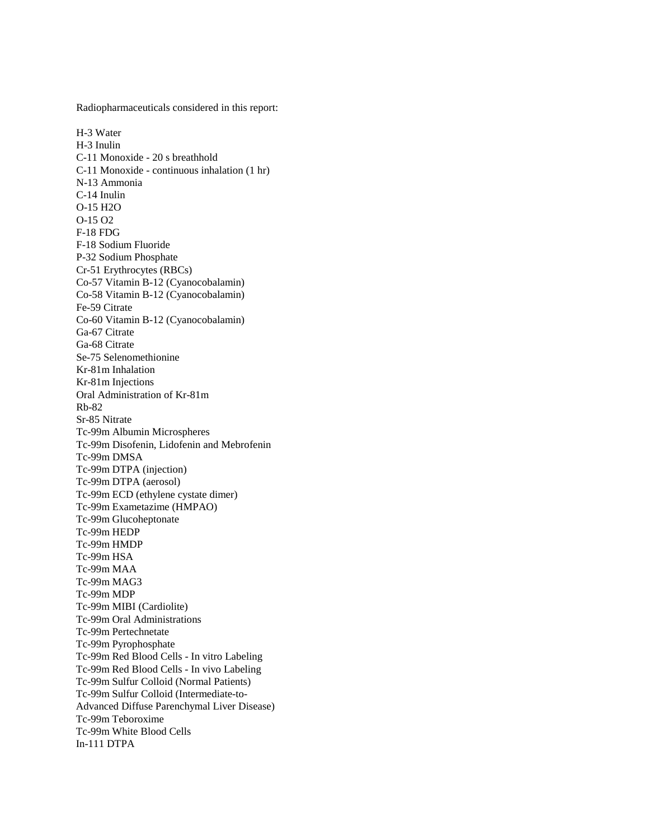Radiopharmaceuticals considered in this report:

H-3 Water H-3 Inulin C-11 Monoxide - 20 s breathhold C-11 Monoxide - continuous inhalation (1 hr) N-13 Ammonia C-14 Inulin O-15 H2O O-15 O2 F-18 FDG F-18 Sodium Fluoride P-32 Sodium Phosphate Cr-51 Erythrocytes (RBCs) Co-57 Vitamin B-12 (Cyanocobalamin) Co-58 Vitamin B-12 (Cyanocobalamin) Fe-59 Citrate Co-60 Vitamin B-12 (Cyanocobalamin) Ga-67 Citrate Ga-68 Citrate Se-75 Selenomethionine Kr-81m Inhalation Kr-81m Injections Oral Administration of Kr-81m Rb-82 Sr-85 Nitrate Tc-99m Albumin Microspheres Tc-99m Disofenin, Lidofenin and Mebrofenin Tc-99m DMSA Tc-99m DTPA (injection) Tc-99m DTPA (aerosol) Tc-99m ECD (ethylene cystate dimer) Tc-99m Exametazime (HMPAO) Tc-99m Glucoheptonate Tc-99m HEDP Tc-99m HMDP Tc-99m HSA Tc-99m MAA Tc-99m MAG3 Tc-99m MDP Tc-99m MIBI (Cardiolite) Tc-99m Oral Administrations Tc-99m Pertechnetate Tc-99m Pyrophosphate Tc-99m Red Blood Cells - In vitro Labeling Tc-99m Red Blood Cells - In vivo Labeling Tc-99m Sulfur Colloid (Normal Patients) Tc-99m Sulfur Colloid (Intermediate-to-Advanced Diffuse Parenchymal Liver Disease) Tc-99m Teboroxime Tc-99m White Blood Cells In-111 DTPA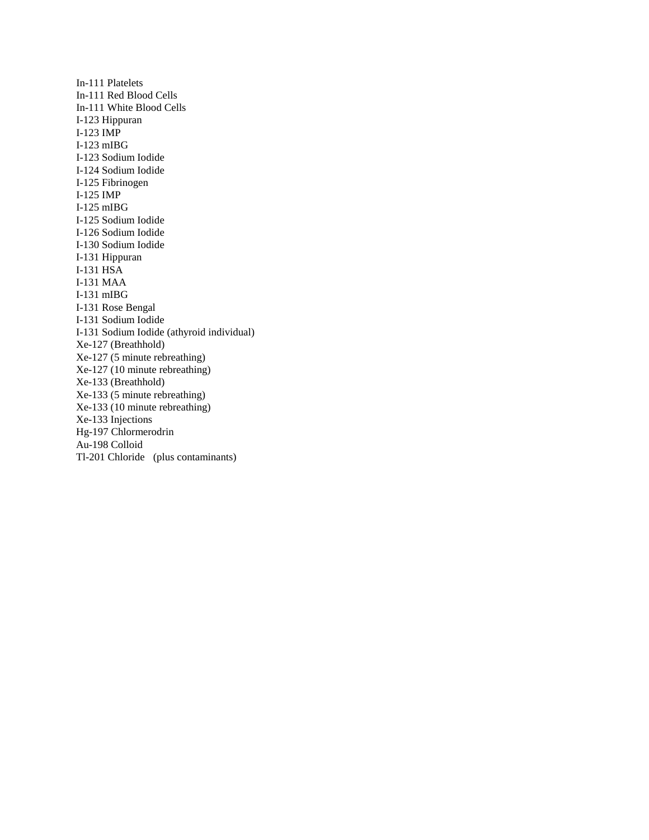In-111 Platelets In-111 Red Blood Cells In-111 White Blood Cells I-123 Hippuran I-123 IMP I-123 mIBG I-123 Sodium Iodide I-124 Sodium Iodide I-125 Fibrinogen I-125 IMP I-125 mIBG I-125 Sodium Iodide I-126 Sodium Iodide I-130 Sodium Iodide I-131 Hippuran I-131 HSA I-131 MAA I-131 mIBG I-131 Rose Bengal I-131 Sodium Iodide I-131 Sodium Iodide (athyroid individual) Xe-127 (Breathhold) Xe-127 (5 minute rebreathing) Xe-127 (10 minute rebreathing) Xe-133 (Breathhold) Xe-133 (5 minute rebreathing) Xe-133 (10 minute rebreathing) Xe-133 Injections Hg-197 Chlormerodrin Au-198 Colloid Tl-201 Chloride (plus contaminants)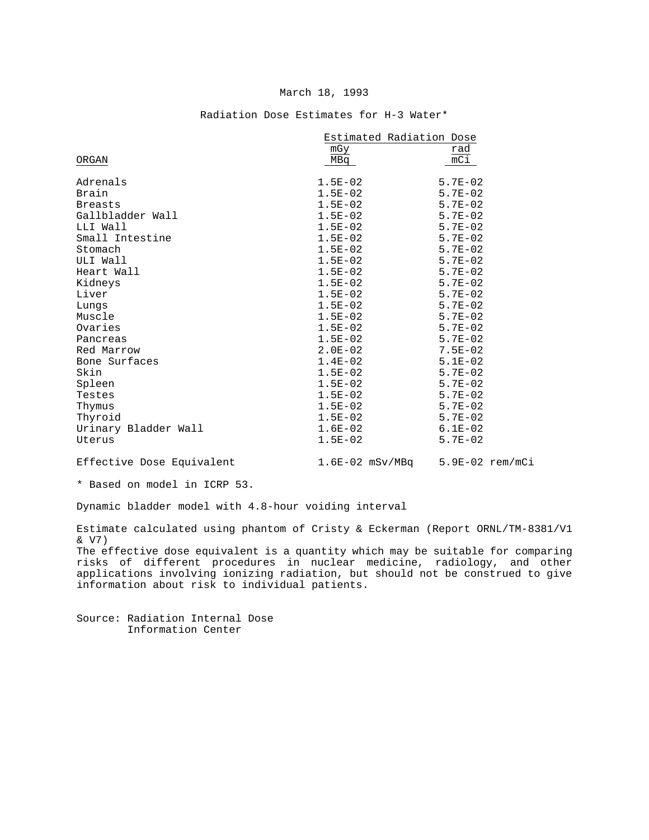|                      | Estimated Radiation Dose |             |
|----------------------|--------------------------|-------------|
|                      | mGy                      | rad         |
| ORGAN                | MBq                      | $mC_1$      |
|                      |                          |             |
| Adrenals             | $1.5E - 02$              | $5.7E - 02$ |
| Brain                | $1.5E-02$                | $5.7E - 02$ |
| <b>Breasts</b>       | $1.5E-02$                | $5.7E - 02$ |
| Gallbladder Wall     | $1.5E-02$                | $5.7E - 02$ |
| LLI Wall             | $1.5E - 02$              | $5.7E - 02$ |
| Small Intestine      | $1.5E-02$                | $5.7E-02$   |
| Stomach              | $1.5E-02$                | $5.7E - 02$ |
| ULI Wall             | $1.5E - 02$              | $5.7E - 02$ |
| Heart Wall           | $1.5E - 02$              | $5.7E-02$   |
| Kidneys              | $1.5E - 02$              | $5.7E - 02$ |
| Liver                | $1.5E - 02$              | $5.7E - 02$ |
| Lungs                | $1.5E - 02$              | $5.7E-02$   |
| Muscle               | $1.5E-02$                | $5.7E - 02$ |
| Ovaries              | $1.5E-02$                | $5.7E - 02$ |
| Pancreas             | $1.5E - 02$              | $5.7E-02$   |
| Red Marrow           | $2.0E - 02$              | $7.5E-02$   |
| Bone Surfaces        | $1.4E-02$                | $5.1E-02$   |
| Skin                 | $1.5E - 02$              | $5.7E - 02$ |
| Spleen               | $1.5E-02$                | $5.7E - 02$ |
| Testes               | $1.5E-02$                | $5.7E - 02$ |
| Thymus               | $1.5E - 02$              | $5.7E - 02$ |
| Thyroid              | $1.5E-02$                | $5.7E - 02$ |
| Urinary Bladder Wall | $1.6E-02$                | $6.1E-02$   |
| Uterus               | $1.5E-02$                | $5.7E - 02$ |
|                      |                          |             |

#### Radiation Dose Estimates for H-3 Water\*

Effective Dose Equivalent 1.6E-02 mSv/MBq 5.9E-02 rem/mCi

\* Based on model in ICRP 53.

Dynamic bladder model with 4.8-hour voiding interval

Estimate calculated using phantom of Cristy & Eckerman (Report ORNL/TM-8381/V1 & V7)

The effective dose equivalent is a quantity which may be suitable for comparing risks of different procedures in nuclear medicine, radiology, and other applications involving ionizing radiation, but should not be construed to give information about risk to individual patients.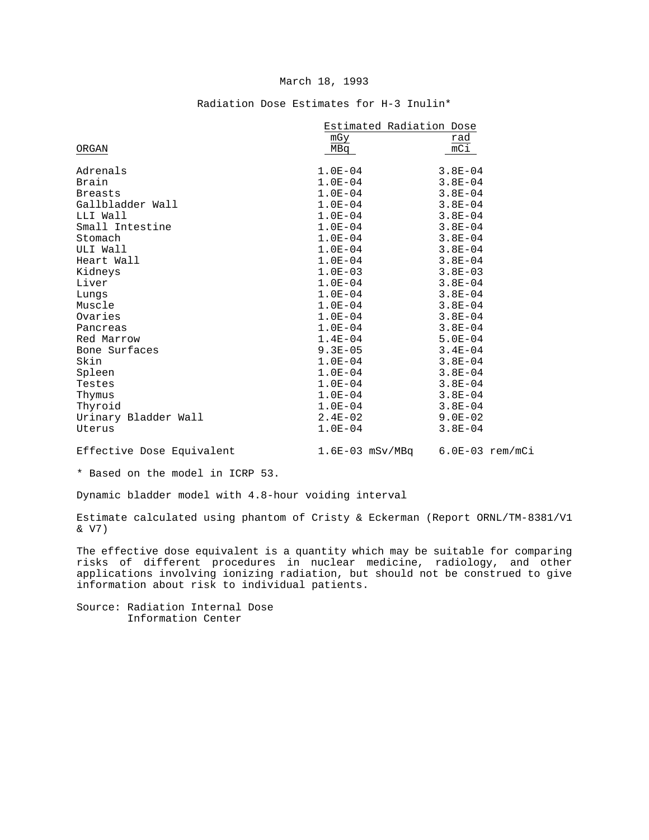|                      | Estimated Radiation Dose |             |  |
|----------------------|--------------------------|-------------|--|
|                      | mGy                      | rad         |  |
| ORGAN                | MBa                      | mC1         |  |
|                      |                          |             |  |
| Adrenals             | $1.0E-04$                | $3.8E - 04$ |  |
| Brain                | $1.0E-04$                | $3.8E - 04$ |  |
| <b>Breasts</b>       | $1.0E-04$                | $3.8E - 04$ |  |
| Gallbladder Wall     | $1.0E - 04$              | $3.8E - 04$ |  |
| LLI Wall             | $1.0E - 04$              | $3.8E - 04$ |  |
| Small Intestine      | $1.0E-04$                | $3.8E - 04$ |  |
| Stomach              | $1.0E-04$                | $3.8E - 04$ |  |
| ULI Wall             | $1.0E-04$                | $3.8E - 04$ |  |
| Heart Wall           | $1.0E - 04$              | $3.8E - 04$ |  |
| Kidneys              | $1.0E-03$                | $3.8E - 03$ |  |
| Liver                | $1.0E - 04$              | $3.8E - 04$ |  |
| Lungs                | $1.0E - 04$              | $3.8E - 04$ |  |
| Muscle               | $1.0E-04$                | $3.8E - 04$ |  |
| Ovaries              | $1.0E-04$                | $3.8E - 04$ |  |
| Pancreas             | $1.0E-04$                | $3.8E - 04$ |  |
| Red Marrow           | $1.4E - 04$              | $5.0E - 04$ |  |
| Bone Surfaces        | $9.3E - 05$              | $3.4E - 04$ |  |
| Skin                 | $1.0E - 04$              | $3.8E - 04$ |  |
| Spleen               | $1.0E - 04$              | $3.8E - 04$ |  |
| Testes               | $1.0E - 04$              | $3.8E - 04$ |  |
| Thymus               | $1.0E - 04$              | $3.8E - 04$ |  |
| Thyroid              | $1.0E-04$                | $3.8E - 04$ |  |
| Urinary Bladder Wall | $2.4E-02$                | $9.0E - 02$ |  |
| Uterus               | $1.0E - 04$              | $3.8E - 04$ |  |
|                      |                          |             |  |

## Radiation Dose Estimates for H-3 Inulin\*

Effective Dose Equivalent

1.6E-03 mSv/MBq 6.0E-03 rem/mCi

\* Based on the model in ICRP 53.

Dynamic bladder model with 4.8-hour voiding interval

Estimate calculated using phantom of Cristy & Eckerman (Report ORNL/TM-8381/V1 & V7)

The effective dose equivalent is a quantity which may be suitable for comparing risks of different procedures in nuclear medicine, radiology, and other applications involving ionizing radiation, but should not be construed to give information about risk to individual patients.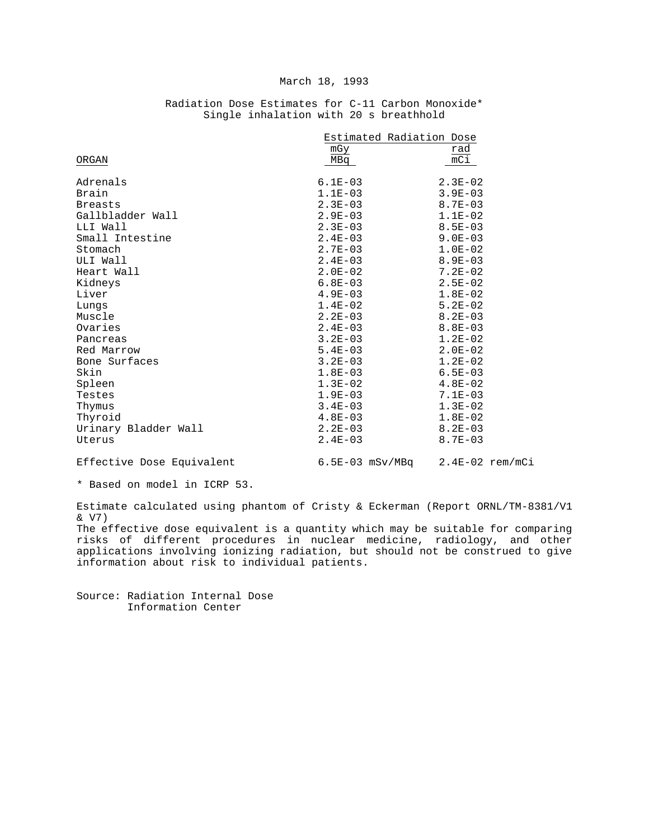|                      | Estimated Radiation Dose |                  |
|----------------------|--------------------------|------------------|
|                      | mGy                      | rad              |
| ORGAN                | MBq                      | $\overline{mC1}$ |
|                      |                          |                  |
| Adrenals             | $6.1E - 03$              | $2.3E - 02$      |
| Brain                | $1.1E-03$                | $3.9E - 03$      |
| <b>Breasts</b>       | $2.3E - 03$              | $8.7E - 03$      |
| Gallbladder Wall     | $2.9E - 03$              | $1.1E-02$        |
| LLI Wall             | $2.3E - 03$              | $8.5E - 03$      |
| Small Intestine      | $2.4E - 03$              | $9.0E - 03$      |
| Stomach              | $2.7E-03$                | $1.0E-02$        |
| ULI Wall             | $2.4E - 03$              | $8.9E - 03$      |
| Heart Wall           | $2.0E-02$                | $7.2E-02$        |
| Kidneys              | $6.8E - 03$              | $2.5E-02$        |
| Liver                | $4.9E - 03$              | $1.8E-02$        |
| Lungs                | $1.4E-02$                | $5.2E-02$        |
| Muscle               | $2.2E-03$                | $8.2E - 03$      |
| Ovaries              | $2.4E - 03$              | $8.8E - 03$      |
| Pancreas             | $3.2E - 03$              | $1.2E-02$        |
| Red Marrow           | $5.4E - 03$              | $2.0E - 02$      |
| Bone Surfaces        | $3.2E - 03$              | $1.2E-02$        |
| Skin                 | $1.8E - 03$              | $6.5E - 03$      |
| Spleen               | $1.3E-02$                | $4.8E-02$        |
| Testes               | $1.9E-03$                | $7.1E - 03$      |
| Thymus               | $3.4E - 03$              | $1.3E-02$        |
| Thyroid              | $4.8E-03$                | $1.8E-02$        |
| Urinary Bladder Wall | $2.2E-03$                | $8.2E - 03$      |
| Uterus               | $2.4E - 03$              | $8.7E - 03$      |
|                      |                          |                  |

## Radiation Dose Estimates for C-11 Carbon Monoxide\* Single inhalation with 20 s breathhold

Effective Dose Equivalent

 $6.5E-03$  mSv/MBq  $2.4E-02$  rem/mCi

\* Based on model in ICRP 53.

Estimate calculated using phantom of Cristy & Eckerman (Report ORNL/TM-8381/V1 & V7)

The effective dose equivalent is a quantity which may be suitable for comparing risks of different procedures in nuclear medicine, radiology, and other applications involving ionizing radiation, but should not be construed to give information about risk to individual patients.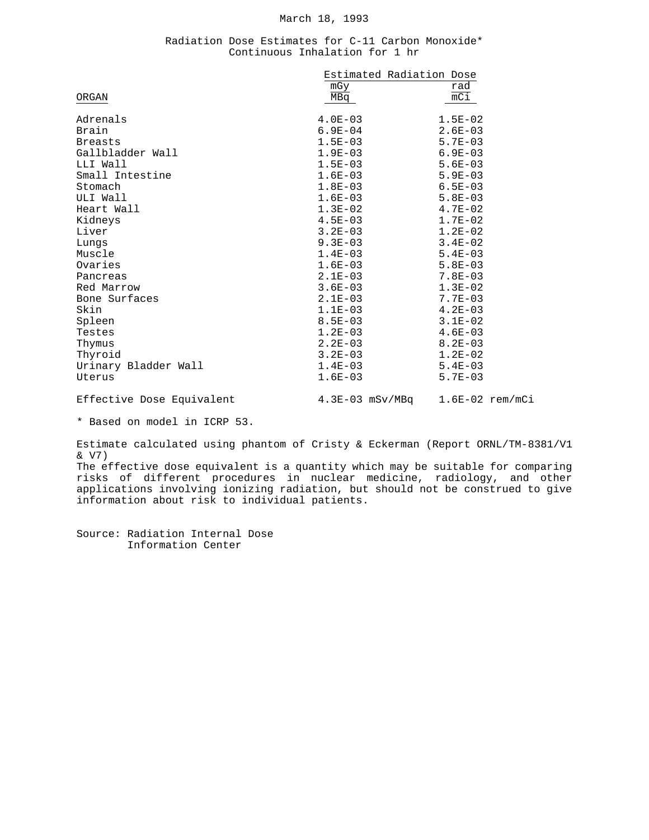#### Radiation Dose Estimates for C-11 Carbon Monoxide\* Continuous Inhalation for 1 hr

|                           | Estimated Radiation Dose            |             |
|---------------------------|-------------------------------------|-------------|
|                           | mGy                                 | rad         |
| ORGAN                     | MBq                                 | mC1         |
| Adrenals                  | $4.0E-03$                           | $1.5E-02$   |
| Brain                     | $6.9E - 04$                         | $2.6E - 03$ |
| <b>Breasts</b>            | $1.5E-03$                           | $5.7E - 03$ |
| Gallbladder Wall          | $1.9E-03$                           | $6.9E - 03$ |
| LLI Wall                  | $1.5E-03$                           | $5.6E - 03$ |
| Small Intestine           | $1.6E-03$                           | $5.9E - 03$ |
| Stomach                   | $1.8E-03$                           | $6.5E - 03$ |
| ULI Wall                  | $1.6E-03$                           | $5.8E - 03$ |
| Heart Wall                | $1.3E-02$                           | $4.7E-02$   |
| Kidneys                   | $4.5E-03$                           | $1.7E-02$   |
| Liver                     | $3.2E - 03$                         | $1.2E-02$   |
| Lungs                     | $9.3E - 03$                         | $3.4E-02$   |
| Muscle                    | $1.4E-03$                           | $5.4E - 03$ |
| Ovaries                   | $1.6E-03$                           | $5.8E - 03$ |
| Pancreas                  | $2.1E-03$                           | $7.8E - 03$ |
| Red Marrow                | $3.6E - 03$                         | $1.3E-02$   |
| Bone Surfaces             | $2.1E-03$                           | $7.7E - 03$ |
| Skin                      | $1.1E-03$                           | $4.2E - 03$ |
| Spleen                    | $8.5E - 03$                         | $3.1E-02$   |
| Testes                    | $1.2E - 03$                         | $4.6E - 03$ |
| Thymus                    | $2.2E - 03$                         | $8.2E - 03$ |
| Thyroid                   | $3.2E-03$                           | $1.2E-02$   |
| Urinary Bladder Wall      | $1.4E-03$                           | $5.4E - 03$ |
| Uterus                    | $1.6E-03$                           | $5.7E - 03$ |
| Effective Dose Equivalent | $4.3E-03$ mSv/MBq $1.6E-02$ rem/mCi |             |

\* Based on model in ICRP 53.

Estimate calculated using phantom of Cristy & Eckerman (Report ORNL/TM-8381/V1 & V7)

The effective dose equivalent is a quantity which may be suitable for comparing risks of different procedures in nuclear medicine, radiology, and other applications involving ionizing radiation, but should not be construed to give information about risk to individual patients.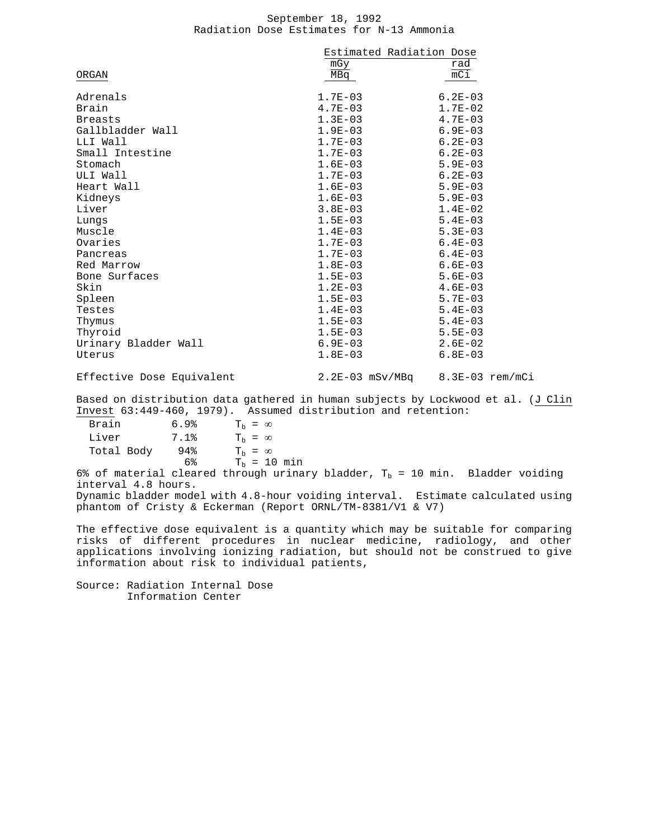#### September 18, 1992 Radiation Dose Estimates for N-13 Ammonia

|                      | Estimated Radiation Dose |                  |
|----------------------|--------------------------|------------------|
|                      | mGy                      | rad              |
| ORGAN                | MBq                      | $\overline{mC1}$ |
| Adrenals             | $1.7E-03$                | $6.2E - 03$      |
| Brain                | $4.7E - 03$              | $1.7E-02$        |
| <b>Breasts</b>       | $1.3E-03$                | $4.7E - 03$      |
| Gallbladder Wall     | $1.9E-03$                | $6.9E - 03$      |
| LLI Wall             | $1.7E-03$                | $6.2E - 03$      |
| Small Intestine      | $1.7E-03$                | $6.2E - 03$      |
| Stomach              | $1.6E-03$                | $5.9E - 03$      |
| ULI Wall             | $1.7E-03$                | $6.2E - 03$      |
| Heart Wall           | $1.6E-03$                | $5.9E - 03$      |
| Kidneys              | $1.6E-03$                | $5.9E-03$        |
| Liver                | $3.8E - 03$              | $1.4E-02$        |
| Lungs                | $1.5E-03$                | $5.4E-03$        |
| Muscle               | $1.4E-03$                | $5.3E - 03$      |
| Ovaries              | $1.7E-03$                | $6.4E - 03$      |
| Pancreas             | $1.7E - 03$              | $6.4E - 03$      |
| Red Marrow           | $1.8E-03$                | $6.6E - 03$      |
| Bone Surfaces        | $1.5E-03$                | $5.6E - 03$      |
| Skin                 | $1.2E-03$                | $4.6E - 03$      |
| Spleen               | $1.5E-03$                | $5.7E - 03$      |
| Testes               | $1.4E-03$                | $5.4E-03$        |
| Thymus               | $1.5E-03$                | $5.4E-03$        |
| Thyroid              | $1.5E-03$                | $5.5E - 03$      |
| Urinary Bladder Wall | $6.9E-03$                | $2.6E-02$        |
| Uterus               | $1.8E-03$                | $6.8E - 03$      |

Effective Dose Equivalent 2.2E-03 mSv/MBq 8.3E-03 rem/mCi

Based on distribution data gathered in human subjects by Lockwood et al. (J Clin Invest 63:449-460, 1979). Assumed distribution and retention:

| Brain      | 6.9% | $T_h = \infty$ |  |                |
|------------|------|----------------|--|----------------|
| Liver      | 7.1% | $T_h = \infty$ |  |                |
| Total Body | 94%  | $T_h = \infty$ |  |                |
|            | 6%   |                |  | $T_h = 10$ min |
|            |      |                |  |                |

6% of material cleared through urinary bladder,  $T_b$  = 10 min. Bladder voiding interval 4.8 hours. Dynamic bladder model with 4.8-hour voiding interval. Estimate calculated using phantom of Cristy & Eckerman (Report ORNL/TM-8381/V1 & V7)

The effective dose equivalent is a quantity which may be suitable for comparing risks of different procedures in nuclear medicine, radiology, and other applications involving ionizing radiation, but should not be construed to give information about risk to individual patients,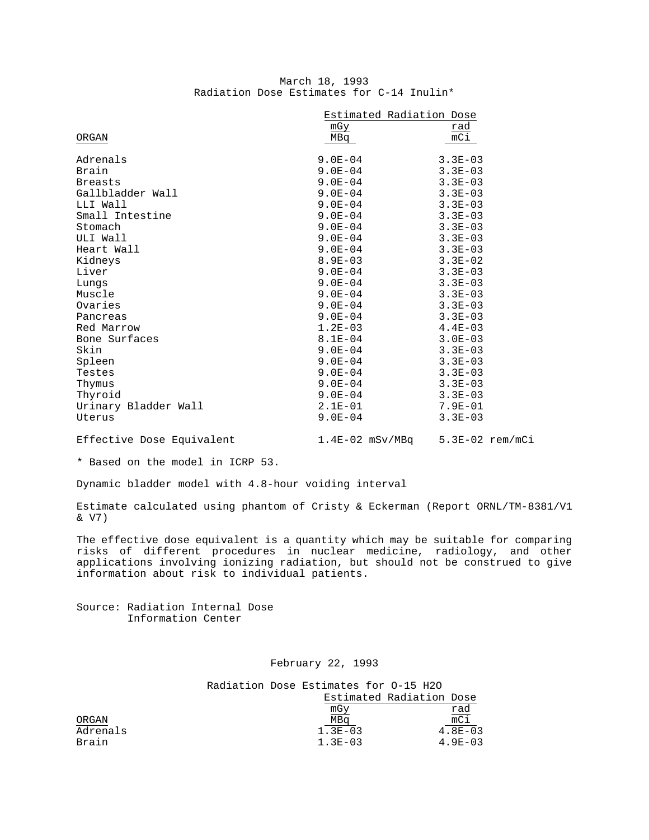|                                           | March 18, 1993 |  |  |
|-------------------------------------------|----------------|--|--|
| Radiation Dose Estimates for C-14 Inulin* |                |  |  |

|                           | Estimated Radiation Dose |                                     |
|---------------------------|--------------------------|-------------------------------------|
|                           | mGy                      | rad                                 |
| ORGAN                     | MBq                      | mCi                                 |
| Adrenals                  | $9.0E-04$                | $3.3E - 03$                         |
| Brain                     | $9.0E - 04$              | $3.3E - 03$                         |
| <b>Breasts</b>            | $9.0E - 04$              | $3.3E - 03$                         |
| Gallbladder Wall          | $9.0E - 04$              | $3.3E - 03$                         |
| LLI Wall                  | $9.0E - 04$              | $3.3E - 03$                         |
| Small Intestine           | $9.0E - 04$              | $3.3E - 03$                         |
| Stomach                   | $9.0E - 04$              | $3.3E - 03$                         |
| ULI Wall                  | $9.0E - 04$              | $3.3E - 03$                         |
| Heart Wall                | $9.0E - 04$              | $3.3E - 03$                         |
| Kidneys                   | $8.9E - 03$              | $3.3E-02$                           |
| Liver                     | $9.0E - 04$              | $3.3E - 03$                         |
| Lungs                     | $9.0E - 04$              | $3.3E - 03$                         |
| Muscle                    | $9.0E - 04$              | $3.3E - 03$                         |
| Ovaries                   | $9.0E - 04$              | $3.3E - 03$                         |
| Pancreas                  | $9.0E - 04$              | $3.3E - 03$                         |
| Red Marrow                | $1.2E-03$                | $4.4E-03$                           |
| Bone Surfaces             | $8.1E - 04$              | $3.0E - 03$                         |
| Skin                      | $9.0E - 04$              | $3.3E - 03$                         |
| Spleen                    | $9.0E-04$                | $3.3E - 03$                         |
| Testes                    | $9.0E - 04$              | $3.3E - 03$                         |
| Thymus                    | $9.0E-04$                | $3.3E - 03$                         |
| Thyroid                   | $9.0E-04$                | $3.3E - 03$                         |
| Urinary Bladder Wall      | $2.1E-01$                | $7.9E - 01$                         |
| Uterus                    | $9.0E - 04$              | $3.3E - 03$                         |
| Effective Dose Equivalent |                          | $1.4E-02$ mSv/MBq $5.3E-02$ rem/mCi |

\* Based on the model in ICRP 53.

Dynamic bladder model with 4.8-hour voiding interval

Estimate calculated using phantom of Cristy & Eckerman (Report ORNL/TM-8381/V1 & V7)

The effective dose equivalent is a quantity which may be suitable for comparing risks of different procedures in nuclear medicine, radiology, and other applications involving ionizing radiation, but should not be construed to give information about risk to individual patients.

Source: Radiation Internal Dose Information Center

## February 22, 1993

Radiation Dose Estimates for O-15 H2O Estimated Radiation Dose

| rad             |
|-----------------|
| $\overline{mC}$ |
| $4.8E - 03$     |
| $4.9E - 03$     |
|                 |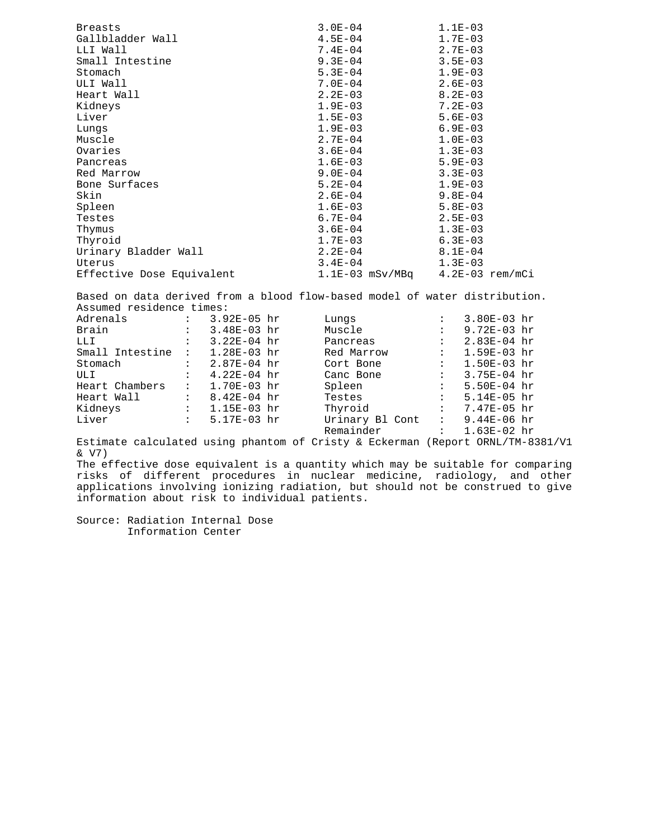| <b>Breasts</b>            | $3.0E - 04$                         | $1.1E-03$   |
|---------------------------|-------------------------------------|-------------|
| Gallbladder Wall          | $4.5E - 04$                         | $1.7E-03$   |
| LLI Wall                  | $7.4E - 04$                         | $2.7E - 03$ |
| Small Intestine           | $9.3E - 04$                         | $3.5E - 03$ |
| Stomach                   | $5.3E-04$                           | $1.9E-03$   |
| ULI Wall                  | 7.0E-04                             | $2.6E - 03$ |
| Heart Wall                | $2.2E-03$                           | $8.2E - 03$ |
| Kidneys                   | $1.9E-03$                           | $7.2E - 03$ |
| Liver                     | $1.5E-03$                           | $5.6E - 03$ |
| Lungs                     | $1.9E-03$                           | $6.9E-03$   |
| Muscle                    | $2.7E - 04$                         | $1.0E-03$   |
| Ovaries                   | $3.6E-04$                           | $1.3E-03$   |
| Pancreas                  | $1.6E-03$                           | $5.9E - 03$ |
| Red Marrow                | $9.0E-04$                           | $3.3E - 03$ |
| Bone Surfaces             | $5.2E - 04$                         | $1.9E-03$   |
| Skin                      | $2.6E-04$                           | $9.8E - 04$ |
| Spleen                    | $1.6E-03$                           | $5.8E - 03$ |
| Testes                    | 6.7E-04                             | $2.5E-03$   |
| Thymus                    | $3.6E-04$                           | $1.3E-03$   |
| Thyroid                   | $1.7E-03$                           | $6.3E-03$   |
| Urinary Bladder Wall      | $2.2E-04$                           | $8.1E - 04$ |
| Uterus                    | $3.4E - 04$                         | $1.3E-03$   |
| Effective Dose Equivalent | $1.1E-03$ mSv/MBq $4.2E-03$ rem/mCi |             |
|                           |                                     |             |

Based on data derived from a blood flow-based model of water distribution. Assumed residence times:

| Adrenals        | $\ddot{\cdot}$       | 3.92E-05 hr     | Lungs           | $\ddot{\cdot}$                | $3.80E-03 hr$   |  |
|-----------------|----------------------|-----------------|-----------------|-------------------------------|-----------------|--|
| Brain           | $\ddot{\cdot}$       | $3.48E-03 hr$   | Muscle          | $\ddot{\phantom{a}}$          | $9.72E-03 hr$   |  |
| LLI             | $\ddot{\cdot}$       | $3.22E-04$ hr   | Pancreas        | $\mathbf{L}$                  | $2.83E-04$ hr   |  |
| Small Intestine | $\ddot{\cdot}$       | 1.28E-03 hr     | Red Marrow      | 2.500                         | $1.59E-03$ hr   |  |
| Stomach         |                      | : $2.87E-04$ hr | Cort Bone       | $\mathbf{1}$ and $\mathbf{1}$ | $1.50E-03$ hr   |  |
| ULI             | $\mathbf{L}$         | $4.22E-04$ hr   | Canc Bone       | 2.500                         | 3.75E-04 hr     |  |
| Heart Chambers  | $\ddot{\cdot}$       | 1.70E-03 hr     | Spleen          | $\ddot{\phantom{0}}$          | $5.50E-04$ hr   |  |
| Heart Wall      | $\mathbf{1}$         | 8.42E-04 hr     | Testes          | $\ddot{\phantom{a}}$          | 5.14E-05 hr     |  |
| Kidneys         | $\ddot{\phantom{a}}$ | $1.15E-03$ hr   | Thyroid         | $\ddot{\cdot}$                | 7.47E-05 hr     |  |
| Liver           | $\ddot{\cdot}$       | $5.17E-03$ hr   | Urinary Bl Cont | $\ddot{\phantom{a}}$          | $9.44E-06$ hr   |  |
|                 |                      |                 | Remainder       |                               | $: 1.63E-02 hr$ |  |

Estimate calculated using phantom of Cristy & Eckerman (Report ORNL/TM-8381/V1 & V7)

The effective dose equivalent is a quantity which may be suitable for comparing risks of different procedures in nuclear medicine, radiology, and other applications involving ionizing radiation, but should not be construed to give information about risk to individual patients.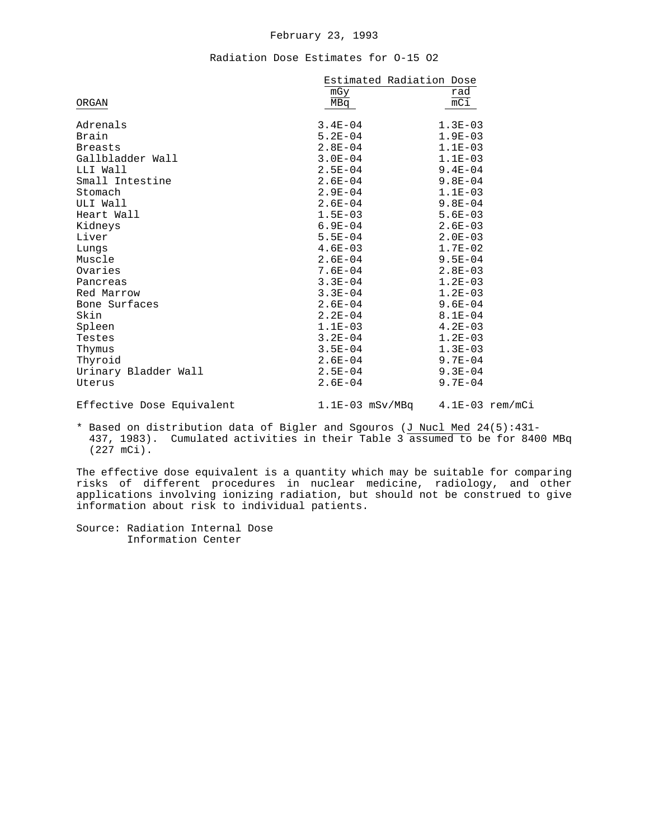#### February 23, 1993

#### Radiation Dose Estimates for O-15 O2

|                           | Estimated Radiation Dose      |                                 |  |  |
|---------------------------|-------------------------------|---------------------------------|--|--|
|                           | ${\mathfrak m}{\rm G}{\rm y}$ | rad                             |  |  |
| ORGAN                     | MBq                           | $mC\texttt{i}$                  |  |  |
| Adrenals                  | $3.4E - 04$                   | $1.3E-03$                       |  |  |
| Brain                     | $5.2E - 04$                   | $1.9E-03$                       |  |  |
| <b>Breasts</b>            | $2.8E - 04$                   | $1.1E-03$                       |  |  |
| Gallbladder Wall          | $3.0E - 04$                   | $1.1E-03$                       |  |  |
| LLI Wall                  | $2.5E - 04$                   | $9.4E - 04$                     |  |  |
| Small Intestine           | $2.6E-04$                     | $9.8E - 04$                     |  |  |
| Stomach                   | $2.9E - 04$                   | $1.1E-03$                       |  |  |
| ULI Wall                  | $2.6E - 04$                   | $9.8E - 04$                     |  |  |
| Heart Wall                | $1.5E-03$                     | $5.6E-03$                       |  |  |
| Kidneys                   | $6.9E - 04$                   | $2.6E - 03$                     |  |  |
| Liver                     | $5.5E - 04$                   | $2.0E-03$                       |  |  |
| Lungs                     | $4.6E-03$                     | $1.7E-02$                       |  |  |
| Muscle                    | $2.6E - 04$                   | $9.5E - 04$                     |  |  |
| Ovaries                   | $7.6E - 04$                   | $2.8E - 03$                     |  |  |
| Pancreas                  | $3.3E - 04$                   | $1.2E - 03$                     |  |  |
| Red Marrow                | $3.3E - 04$                   | $1.2E-03$                       |  |  |
| Bone Surfaces             | $2.6E - 04$                   | $9.6E - 04$                     |  |  |
| Skin                      | $2.2E - 04$                   | $8.1E - 04$                     |  |  |
| Spleen                    | $1.1E-03$                     | $4.2E - 03$                     |  |  |
| Testes                    | $3.2E - 04$                   | $1.2E-03$                       |  |  |
| Thymus                    | $3.5E - 04$                   | $1.3E-03$                       |  |  |
| Thyroid                   | $2.6E-04$                     | $9.7E - 04$                     |  |  |
| Urinary Bladder Wall      | $2.5E - 04$                   | $9.3E - 04$                     |  |  |
| Uterus                    | $2.6E - 04$                   | $9.7E - 04$                     |  |  |
| Effective Dose Equivalent |                               | 1.1E-03 mSv/MBq 4.1E-03 rem/mCi |  |  |

\* Based on distribution data of Bigler and Sgouros (J Nucl Med 24(5):431- 437, 1983). Cumulated activities in their Table 3 assumed to be for 8400 MBq (227 mCi).

The effective dose equivalent is a quantity which may be suitable for comparing risks of different procedures in nuclear medicine, radiology, and other applications involving ionizing radiation, but should not be construed to give information about risk to individual patients.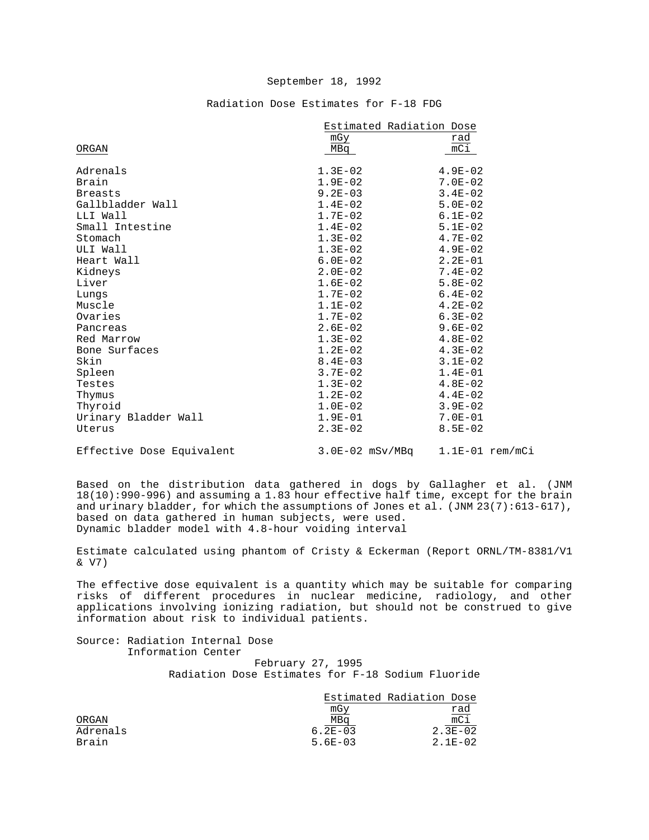## Radiation Dose Estimates for F-18 FDG

|                           | Estimated Radiation Dose            |                  |  |
|---------------------------|-------------------------------------|------------------|--|
|                           | mGy                                 | rad              |  |
| ORGAN                     | MBq                                 | $\overline{mC1}$ |  |
| Adrenals                  | $1.3E-02$                           | $4.9E - 02$      |  |
| Brain                     | $1.9E-02$                           | $7.0E - 02$      |  |
| <b>Breasts</b>            | $9.2E - 03$                         | $3.4E - 02$      |  |
| Gallbladder Wall          | $1.4E-02$                           | $5.0E - 02$      |  |
| LLI Wall                  | $1.7E-02$                           | $6.1E-02$        |  |
| Small Intestine           | $1.4E-02$                           | $5.1E-02$        |  |
| Stomach                   | $1.3E-02$                           | $4.7E-02$        |  |
| ULI Wall                  | $1.3E-02$                           | $4.9E-02$        |  |
| Heart Wall                | $6.0E-02$                           | $2.2E-01$        |  |
| Kidneys                   | $2.0E-02$                           | $7.4E-02$        |  |
| Liver                     | $1.6E-02$                           | $5.8E-02$        |  |
| Lungs                     | $1.7E-02$                           | $6.4E-02$        |  |
| Muscle                    | $1.1E-02$                           | $4.2E-02$        |  |
| Ovaries                   | $1.7E-02$                           | $6.3E-02$        |  |
| Pancreas                  | $2.6E-02$                           | $9.6E - 02$      |  |
| Red Marrow                | $1.3E - 02$                         | $4.8E-02$        |  |
| Bone Surfaces             | $1.2E-02$                           | $4.3E-02$        |  |
| Skin                      | $8.4E - 03$                         | $3.1E-02$        |  |
| Spleen                    | $3.7E-02$                           | $1.4E - 01$      |  |
| Testes                    | $1.3E-02$                           | $4.8E-02$        |  |
| Thymus                    | $1.2E-02$                           | $4.4E-02$        |  |
| Thyroid                   | $1.0E-02$                           | $3.9E - 02$      |  |
| Urinary Bladder Wall      | $1.9E-01$                           | $7.0E-01$        |  |
| Uterus                    | $2.3E-02$                           | $8.5E - 02$      |  |
| Effective Dose Equivalent | $3.0E-02$ mSv/MBq $1.1E-01$ rem/mCi |                  |  |

Based on the distribution data gathered in dogs by Gallagher et al. (JNM 18(10):990-996) and assuming a 1.83 hour effective half time, except for the brain and urinary bladder, for which the assumptions of Jones et al.  $(JNM 23(7):613-617)$ , based on data gathered in human subjects, were used. Dynamic bladder model with 4.8-hour voiding interval

Estimate calculated using phantom of Cristy & Eckerman (Report ORNL/TM-8381/V1 & V7)

The effective dose equivalent is a quantity which may be suitable for comparing risks of different procedures in nuclear medicine, radiology, and other applications involving ionizing radiation, but should not be construed to give information about risk to individual patients.

Source: Radiation Internal Dose Information Center

 February 27, 1995 Radiation Dose Estimates for F-18 Sodium Fluoride

|          |             | Estimated Radiation Dose |
|----------|-------------|--------------------------|
|          | mGy         | rad                      |
| ORGAN    | MBq         | $\overline{mC}$          |
| Adrenals | $6.2E - 03$ | $2.3E-02$                |
| Brain    | $5.6E - 03$ | $2.1F - 0.2$             |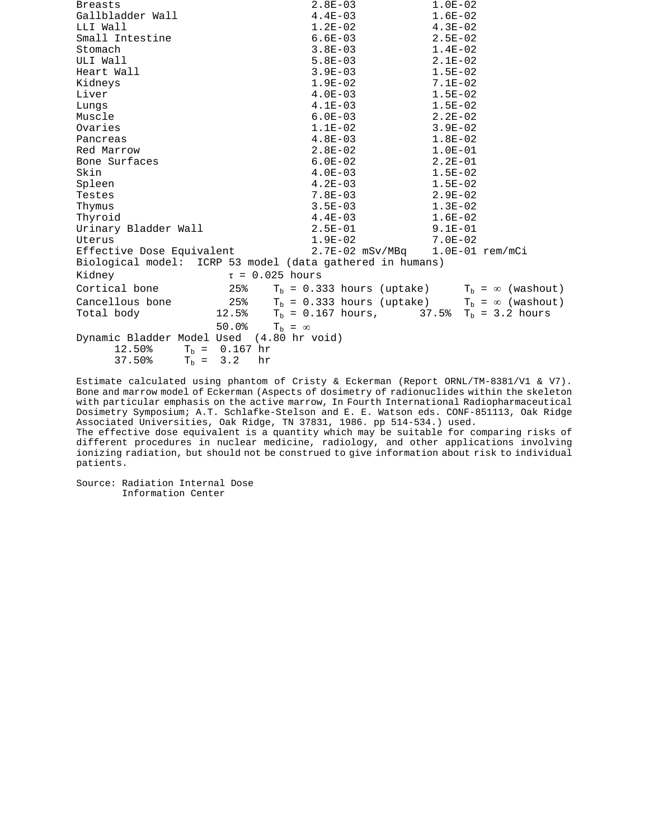| <b>Breasts</b>                                                                                         | $2.8E-03$                                                 | $1.0E-02$                                             |
|--------------------------------------------------------------------------------------------------------|-----------------------------------------------------------|-------------------------------------------------------|
| Gallbladder Wall                                                                                       | $4.4E-03$                                                 | $1.6E-02$                                             |
| LLI Wall                                                                                               | $1.2E-02$                                                 | $4.3E - 02$                                           |
| Small Intestine                                                                                        | $6.6E-03$                                                 | $2.5E - 02$                                           |
| Stomach                                                                                                | $3.8E-03$                                                 | $1.4E-02$                                             |
| ULI Wall                                                                                               | $5.8E-03$                                                 | $2.1E-02$                                             |
| Heart Wall                                                                                             | $3.9E-03$                                                 | $1.5E-02$                                             |
| Kidneys                                                                                                | $1.9E-02$                                                 | $7.1E-02$                                             |
| Liver                                                                                                  | $4.0E-03$                                                 | $1.5E-02$                                             |
| Lungs                                                                                                  | $4.1E-03$                                                 | $1.5E-02$                                             |
| Muscle                                                                                                 | $6.0E-03$                                                 | $2.2E-02$                                             |
| Ovaries                                                                                                | $1.1E-02$                                                 | $3.9E-02$                                             |
| Pancreas                                                                                               | $4.8E-03$                                                 | $1.8E-02$                                             |
| Red Marrow                                                                                             | $2.8E-02$                                                 | $1.0E-01$                                             |
| Bone Surfaces                                                                                          | $6.0E-02$                                                 | $2.2E-01$                                             |
| Skin                                                                                                   | $4.0E-03$                                                 | $1.5E-02$                                             |
| Spleen                                                                                                 | $4.2E-03$                                                 | $1.5E-02$                                             |
| Testes                                                                                                 | $7.8E-03$                                                 | $2.9E-02$                                             |
| Thymus                                                                                                 | $3.5E-03$                                                 | $1.3E-02$                                             |
| Thyroid                                                                                                | $4.4E-03$                                                 | $1.6E-02$                                             |
| Urinary Bladder Wall                                                                                   | $2.5E-01$                                                 | $9.1E-01$                                             |
| Uterus                                                                                                 | $1.9E-02$                                                 | $7.0E-02$                                             |
| Effective Dose Equivalent                                                                              |                                                           | 2.7E-02 mSv/MBq 1.0E-01 rem/mCi                       |
| Biological model: ICRP 53 model (data gathered in humans)                                              |                                                           |                                                       |
| Kidney                                                                                                 | $\tau = 0.025$ hours                                      |                                                       |
| Cortical bone<br>25%                                                                                   |                                                           | $T_b = 0.333$ hours (uptake) $T_b = \infty$ (washout) |
| Cancellous bone                                                                                        | 25% $T_b = 0.333$ hours (uptake) $T_b = \infty$ (washout) |                                                       |
| Total body                                                                                             | 12.5% $T_b = 0.167 \text{ hours},$ 37.5%                  | $Tb = 3.2 hours$                                      |
| 50.0%                                                                                                  | $T_{\rm b} = \infty$                                      |                                                       |
| Dynamic Bladder Model Used (4.80 hr void)<br>12.50%<br>$T_h = 0.167$ hr<br>37.50%<br>$T_{\rm h} = 3.2$ | hr                                                        |                                                       |

Estimate calculated using phantom of Cristy & Eckerman (Report ORNL/TM-8381/V1 & V7). Bone and marrow model of Eckerman (Aspects of dosimetry of radionuclides within the skeleton with particular emphasis on the active marrow, In Fourth International Radiopharmaceutical Dosimetry Symposium; A.T. Schlafke-Stelson and E. E. Watson eds. CONF-851113, Oak Ridge Associated Universities, Oak Ridge, TN 37831, 1986. pp 514-534.) used.

The effective dose equivalent is a quantity which may be suitable for comparing risks of different procedures in nuclear medicine, radiology, and other applications involving ionizing radiation, but should not be construed to give information about risk to individual patients.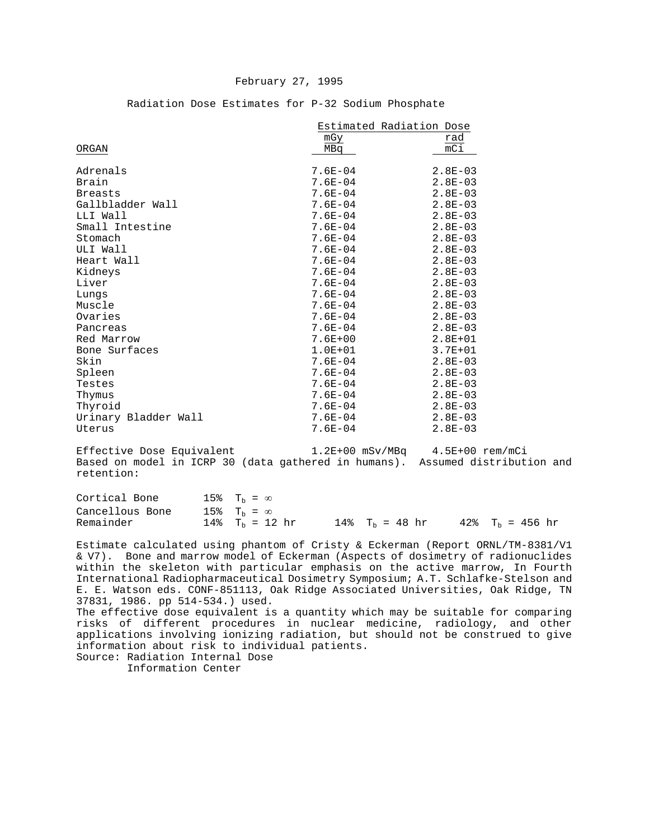#### February 27, 1995

|                      | Estimated Radiation Dose |                  |  |  |
|----------------------|--------------------------|------------------|--|--|
|                      | mGy                      | rad              |  |  |
| ORGAN                | MBa                      | $\overline{mC1}$ |  |  |
|                      |                          |                  |  |  |
| Adrenals             | $7.6E - 04$              | $2.8E - 03$      |  |  |
| Brain                | $7.6E - 04$              | $2.8E - 03$      |  |  |
| <b>Breasts</b>       | $7.6E - 04$              | $2.8E - 03$      |  |  |
| Gallbladder Wall     | $7.6E - 04$              | $2.8E - 03$      |  |  |
| LLI Wall             | $7.6E - 04$              | $2.8E - 03$      |  |  |
| Small Intestine      | $7.6E - 04$              | $2.8E - 03$      |  |  |
| Stomach              | $7.6E - 04$              | $2.8E - 03$      |  |  |
| ULI Wall             | $7.6E - 04$              | $2.8E - 03$      |  |  |
| Heart Wall           | $7.6E - 04$              | $2.8E - 03$      |  |  |
| Kidneys              | $7.6E - 04$              | $2.8E - 03$      |  |  |
| Liver                | $7.6E - 04$              | $2.8E - 03$      |  |  |
| Lungs                | $7.6E - 04$              | $2.8E - 03$      |  |  |
| Muscle               | $7.6E - 04$              | $2.8E - 03$      |  |  |
| Ovaries              | $7.6E - 04$              | $2.8E - 03$      |  |  |
| Pancreas             | $7.6E - 04$              | $2.8E - 03$      |  |  |
| Red Marrow           | $7.6E + 00$              | $2.8E + 01$      |  |  |
| Bone Surfaces        | $1.0E + 01$              | $3.7E + 01$      |  |  |
| Skin                 | $7.6E - 04$              | $2.8E - 03$      |  |  |
| Spleen               | $7.6E - 04$              | $2.8E - 03$      |  |  |
| Testes               | $7.6E - 04$              | $2.8E - 03$      |  |  |
| Thymus               | $7.6E - 04$              | $2.8E - 03$      |  |  |
| Thyroid              | $7.6E - 04$              | $2.8E - 03$      |  |  |
| Urinary Bladder Wall | $7.6E - 04$              | $2.8E - 03$      |  |  |
| Uterus               | $7.6E - 04$              | $2.8E - 03$      |  |  |
|                      |                          |                  |  |  |

Radiation Dose Estimates for P-32 Sodium Phosphate

Effective Dose Equivalent 1.2E+00 mSv/MBq 4.5E+00 rem/mCi Based on model in ICRP 30 (data gathered in humans). Assumed distribution and retention:

| Cortical Bone   | $15\%$ T <sub>h</sub> = $\infty$ |                   |  |                    |
|-----------------|----------------------------------|-------------------|--|--------------------|
| Cancellous Bone | $15\%$ $T_h = \infty$            |                   |  |                    |
| Remainder       | $14\%$ T <sub>h</sub> = 12 hr    | 14% $T_h = 48 hr$ |  | 42% $T_h = 456$ hr |

Estimate calculated using phantom of Cristy & Eckerman (Report ORNL/TM-8381/V1 & V7). Bone and marrow model of Eckerman (Aspects of dosimetry of radionuclides within the skeleton with particular emphasis on the active marrow, In Fourth International Radiopharmaceutical Dosimetry Symposium; A.T. Schlafke-Stelson and E. E. Watson eds. CONF-851113, Oak Ridge Associated Universities, Oak Ridge, TN 37831, 1986. pp 514-534.) used.

The effective dose equivalent is a quantity which may be suitable for comparing risks of different procedures in nuclear medicine, radiology, and other applications involving ionizing radiation, but should not be construed to give information about risk to individual patients. Source: Radiation Internal Dose

Information Center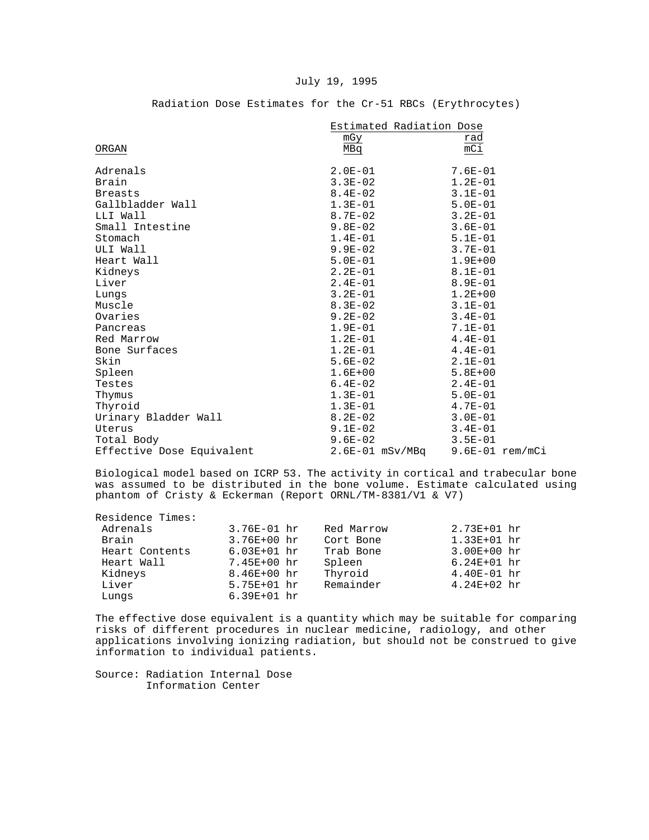#### July 19, 1995

|                           | Estimated Radiation Dose |                   |  |  |
|---------------------------|--------------------------|-------------------|--|--|
|                           | mGy                      | rad               |  |  |
| ORGAN                     | MBq                      | $\overline{mC1}$  |  |  |
| Adrenals                  | $2.0E-01$                | 7.6E-01           |  |  |
| Brain                     | $3.3E-02$                | $1.2E-01$         |  |  |
| <b>Breasts</b>            | $8.4E - 02$              | $3.1E-01$         |  |  |
| Gallbladder Wall          | $1.3E-01$                | $5.0E-01$         |  |  |
| LLI Wall                  | $8.7E - 02$              | $3.2E - 01$       |  |  |
| Small Intestine           | $9.8E-02$                | $3.6E - 01$       |  |  |
| Stomach                   | $1.4E-01$                | $5.1E-01$         |  |  |
| ULI Wall                  | $9.9E - 02$              | $3.7E - 01$       |  |  |
| Heart Wall                | $5.0E-01$                | $1.9E + 00$       |  |  |
| Kidneys                   | $2.2E-01$                | $8.1E - 01$       |  |  |
| Liver                     | $2.4E - 01$              | $8.9E - 01$       |  |  |
| Lungs                     | $3.2E-01$                | $1.2E + 00$       |  |  |
| Muscle                    | $8.3E-02$                | $3.1E-01$         |  |  |
| Ovaries                   | 9.2E-02                  | $3.4E - 01$       |  |  |
| Pancreas                  | $1.9E-01$                | $7.1E-01$         |  |  |
| Red Marrow                | $1.2E-01$                | $4.4E-01$         |  |  |
| Bone Surfaces             | $1.2E-01$                | $4.4E-01$         |  |  |
| Skin                      | $5.6E-02$                | $2.1E-01$         |  |  |
| Spleen                    | $1.6E + 00$              | $5.8E + 00$       |  |  |
| Testes                    | $6.4E-02$                | $2.4E-01$         |  |  |
| Thymus                    | $1.3E-01$                | $5.0E-01$         |  |  |
| Thyroid                   | $1.3E-01$                | $4.7E-01$         |  |  |
| Urinary Bladder Wall      | $8.2E - 02$              | $3.0E - 01$       |  |  |
| Uterus                    | $9.1E-02$                | $3.4E-01$         |  |  |
| Total Body                | $9.6E-02$                | $3.5E-01$         |  |  |
| Effective Dose Equivalent | $2.6E-01$ mSv/MBq        | $9.6E-01$ rem/mCi |  |  |

## Radiation Dose Estimates for the Cr-51 RBCs (Erythrocytes)

Biological model based on ICRP 53. The activity in cortical and trabecular bone was assumed to be distributed in the bone volume. Estimate calculated using phantom of Cristy & Eckerman (Report ORNL/TM-8381/V1 & V7)

Residence Times:<br>Adrenals

| Adrenals       | $3.76E-01$ hr   | Red Marrow | $2.73E + 01 hr$ |
|----------------|-----------------|------------|-----------------|
| Brain          | $3.76E + 00 hr$ | Cort Bone  | $1.33E + 01 hr$ |
| Heart Contents | $6.03E + 01 hr$ | Trab Bone  | $3.00E + 00 hr$ |
| Heart Wall     | 7.45E+00 hr     | Spleen     | $6.24E + 01 hr$ |
| Kidneys        | $8.46E + 00 hr$ | Thyroid    | $4.40E-01$ hr   |
| Liver          | $5.75E + 01 hr$ | Remainder  | $4.24E + 02 hr$ |
| Lungs          | $6.39E + 01 hr$ |            |                 |
|                |                 |            |                 |

The effective dose equivalent is a quantity which may be suitable for comparing risks of different procedures in nuclear medicine, radiology, and other applications involving ionizing radiation, but should not be construed to give information to individual patients.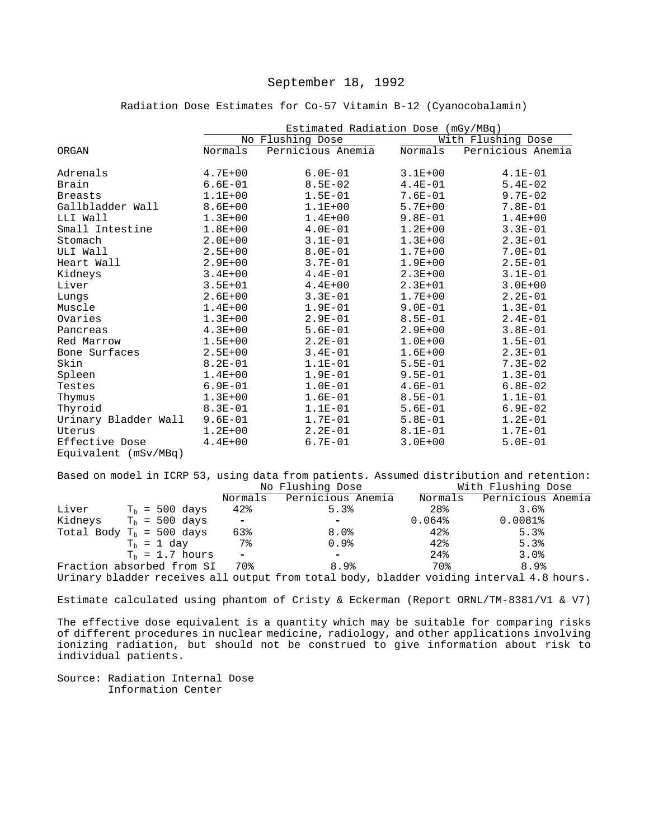Radiation Dose Estimates for Co-57 Vitamin B-12 (Cyanocobalamin)

|                      | Estimated Radiation Dose (mGy/MBq) |                   |             |                    |
|----------------------|------------------------------------|-------------------|-------------|--------------------|
|                      | No Flushing Dose                   |                   |             | With Flushing Dose |
| ORGAN                | Normals                            | Pernicious Anemia | Normals     | Pernicious Anemia  |
| Adrenals             | $4.7E + 00$                        | $6.0E-01$         | $3.1E + 00$ | $4.1E-01$          |
| Brain                | $6.6E - 01$                        | $8.5E - 02$       | $4.4E-01$   | $5.4E-02$          |
| <b>Breasts</b>       | $1.1E + 00$                        | $1.5E - 01$       | $7.6E - 01$ | $9.7E - 02$        |
| Gallbladder Wall     | $8.6E + 00$                        | $1.1E + 00$       | $5.7E + 00$ | $7.8E - 01$        |
| LLI Wall             | $1.3E + 00$                        | $1.4E + 00$       | $9.8E - 01$ | $1.4E + 00$        |
| Small Intestine      | $1.8E + 00$                        | $4.0E-01$         | $1.2E + 00$ | $3.3E - 01$        |
| Stomach              | $2.0E + 00$                        | $3.1E-01$         | $1.3E + 00$ | $2.3E-01$          |
| ULI Wall             | $2.5E + 00$                        | $8.0E - 01$       | $1.7E + 00$ | $7.0E - 01$        |
| Heart Wall           | $2.9E + 00$                        | $3.7E - 01$       | $1.9E + 00$ | $2.5E - 01$        |
| Kidneys              | $3.4E + 00$                        | $4.4E-01$         | $2.3E + 00$ | $3.1E - 01$        |
| Liver                | $3.5E + 01$                        | $4.4E + 00$       | $2.3E + 01$ | $3.0E + 00$        |
| Lungs                | $2.6E + 00$                        | $3.3E - 01$       | $1.7E + 00$ | $2.2E - 01$        |
| Muscle               | $1.4E + 00$                        | $1.9E - 01$       | $9.0E - 01$ | $1.3E-01$          |
| Ovaries              | $1.3E + 00$                        | $2.9E - 01$       | $8.5E - 01$ | $2.4E-01$          |
| Pancreas             | $4.3E + 00$                        | $5.6E-01$         | $2.9E + 00$ | $3.8E - 01$        |
| Red Marrow           | $1.5E + 00$                        | $2.2E - 01$       | $1.0E + 00$ | $1.5E - 01$        |
| Bone Surfaces        | $2.5E + 00$                        | $3.4E - 01$       | $1.6E + 00$ | $2.3E-01$          |
| Skin                 | $8.2E - 01$                        | $1.1E-01$         | $5.5E - 01$ | $7.3E - 02$        |
| Spleen               | $1.4E + 00$                        | $1.9E - 01$       | $9.5E - 01$ | $1.3E-01$          |
| Testes               | $6.9E - 01$                        | $1.0E-01$         | $4.6E - 01$ | $6.8E - 02$        |
| Thymus               | $1.3E + 00$                        | $1.6E-01$         | $8.5E - 01$ | $1.1E-01$          |
| Thyroid              | $8.3E - 01$                        | $1.1E-01$         | $5.6E-01$   | $6.9E - 02$        |
| Urinary Bladder Wall | $9.6E - 01$                        | $1.7E-01$         | $5.8E - 01$ | $1.2E - 01$        |
| Uterus               | $1.2E + 00$                        | $2.2E - 01$       | $8.1E - 01$ | $1.7E-01$          |
| Effective Dose       | $4.4E + 00$                        | $6.7E - 01$       | $3.0E + 00$ | $5.0E - 01$        |
| Equivalent (mSv/MBq) |                                    |                   |             |                    |

Based on model in ICRP 53, using data from patients. Assumed distribution and retention:<br>No Flushing Dose With Flushing Dose No Flushing Dose

|       |                                 |                          | NO LIMPHING DOPE          |           | WICH FIUSHING DOSE                                                                       |
|-------|---------------------------------|--------------------------|---------------------------|-----------|------------------------------------------------------------------------------------------|
|       |                                 |                          | Normals Pernicious Anemia | Normals   | Pernicious Anemia                                                                        |
| Liver | $T_h = 500 \text{ days}$        | 42%                      | 5.3%                      | 28%       | 3.6%                                                                                     |
|       | Kidneys $Tb = 500 \text{ days}$ | $\overline{\phantom{a}}$ | $\overline{\phantom{0}}$  | $0.064\%$ | $0.0081\$                                                                                |
|       | Total Body $T_b = 500$ days     | 63%                      | $8.0\%$                   | 42%       | 5.3%                                                                                     |
|       | $T_h = 1$ day                   | 7%                       | 0.9%                      | 42%       | 5.3%                                                                                     |
|       | $T_h = 1.7$ hours               | $\overline{\phantom{a}}$ | $\overline{\phantom{0}}$  | 24%       | 3.0%                                                                                     |
|       | Fraction absorbed from SI       | 70%                      | 8.9%                      | 70%       | 8.9%                                                                                     |
|       |                                 |                          |                           |           | Urinary bladder receives all output from total body, bladder voiding interval 4.8 hours. |

Estimate calculated using phantom of Cristy & Eckerman (Report ORNL/TM-8381/V1 & V7)

The effective dose equivalent is a quantity which may be suitable for comparing risks of different procedures in nuclear medicine, radiology, and other applications involving ionizing radiation, but should not be construed to give information about risk to individual patients.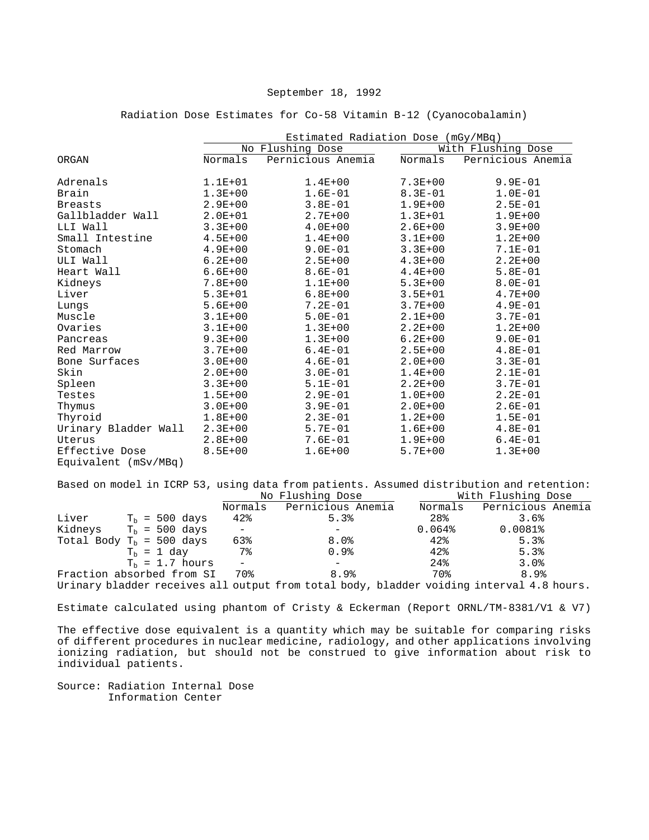#### Radiation Dose Estimates for Co-58 Vitamin B-12 (Cyanocobalamin)

|                      | Estimated Radiation Dose (mGy/MBq) |                   |             |                    |
|----------------------|------------------------------------|-------------------|-------------|--------------------|
|                      |                                    | No Flushing Dose  |             | With Flushing Dose |
| ORGAN                | Normals                            | Pernicious Anemia | Normals     | Pernicious Anemia  |
| Adrenals             | $1.1E + 01$                        | $1.4E + 00$       | $7.3E + 00$ | $9.9E - 01$        |
| Brain                | $1.3E + 00$                        | $1.6E-01$         | $8.3E - 01$ | $1.0E-01$          |
| <b>Breasts</b>       | $2.9E + 00$                        | $3.8E - 01$       | $1.9E + 00$ | $2.5E - 01$        |
| Gallbladder Wall     | $2.0E + 01$                        | $2.7E + 00$       | $1.3E + 01$ | $1.9E + 00$        |
| LLI Wall             | $3.3E + 00$                        | $4.0E + 00$       | $2.6E + 00$ | $3.9E + 00$        |
| Small Intestine      | $4.5E + 00$                        | $1.4E + 00$       | $3.1E + 00$ | $1.2E + 00$        |
| Stomach              | $4.9E + 00$                        | $9.0E - 01$       | $3.3E + 00$ | $7.1E - 01$        |
| ULI Wall             | $6.2E + 00$                        | $2.5E + 00$       | $4.3E + 00$ | $2.2E + 00$        |
| Heart Wall           | $6.6E + 00$                        | $8.6E - 01$       | $4.4E + 00$ | $5.8E-01$          |
| Kidneys              | $7.8E + 00$                        | $1.1E + 00$       | $5.3E+00$   | $8.0E - 01$        |
| Liver                | $5.3E + 01$                        | $6.8E + 00$       | $3.5E + 01$ | $4.7E + 00$        |
| Lungs                | $5.6E + 00$                        | $7.2E - 01$       | $3.7E + 00$ | $4.9E - 01$        |
| Muscle               | $3.1E + 00$                        | $5.0E - 01$       | $2.1E+00$   | $3.7E - 01$        |
| Ovaries              | $3.1E + 00$                        | $1.3E + 00$       | $2.2E + 00$ | $1.2E + 00$        |
| Pancreas             | $9.3E + 00$                        | $1.3E + 00$       | $6.2E + 00$ | $9.0E - 01$        |
| Red Marrow           | $3.7E + 00$                        | $6.4E - 01$       | $2.5E + 00$ | $4.8E - 01$        |
| Bone Surfaces        | $3.0E + 00$                        | $4.6E - 01$       | $2.0E + 00$ | $3.3E - 01$        |
| Skin                 | $2.0E + 00$                        | $3.0E - 01$       | $1.4E + 00$ | $2.1E-01$          |
| Spleen               | $3.3E + 00$                        | $5.1E-01$         | $2.2E + 00$ | $3.7E - 01$        |
| Testes               | $1.5E + 00$                        | $2.9E - 01$       | $1.0E + 00$ | $2.2E - 01$        |
| Thymus               | $3.0E + 00$                        | $3.9E-01$         | $2.0E + 00$ | $2.6E-01$          |
| Thyroid              | $1.8E + 00$                        | $2.3E-01$         | $1.2E + 00$ | $1.5E-01$          |
| Urinary Bladder Wall | $2.3E + 00$                        | $5.7E - 01$       | $1.6E + 00$ | $4.8E - 01$        |
| Uterus               | $2.8E + 00$                        | $7.6E-01$         | $1.9E + 00$ | $6.4E-01$          |
| Effective Dose       | $8.5E + 00$                        | $1.6E + 00$       | $5.7E + 00$ | $1.3E + 00$        |
| Equivalent (mSv/MBq) |                                    |                   |             |                    |

Based on model in ICRP 53, using data from patients. Assumed distribution and retention: With Flushing Dose

|                                   | Normals                  | Pernicious Anemia | Normals  | Pernicious Anemia |  |
|-----------------------------------|--------------------------|-------------------|----------|-------------------|--|
| Liver<br>$T_h = 500 \text{ days}$ | 42%                      | 5.3%              | 28%      | 3.6%              |  |
| Kidneys $Tb = 500 \text{ days}$   | $\sim$ $-$               |                   | $0.064\$ | $0.0081\$         |  |
| Total Body $T_h$ = 500 days       | 63%                      | $8.0\%$           | 42%      | 5.3%              |  |
| $T_h = 1$ day                     | 7%                       | $0.9\%$           | 42%      | 5.3%              |  |
| $T_h = 1.7$ hours                 | $\overline{\phantom{0}}$ |                   | $24\%$   | 3.0%              |  |
| Fraction absorbed from SI         | 70%                      | 8.9%              | 70%      | 8.9%              |  |
|                                   |                          |                   |          |                   |  |

Urinary bladder receives all output from total body, bladder voiding interval 4.8 hours.

Estimate calculated using phantom of Cristy & Eckerman (Report ORNL/TM-8381/V1 & V7)

The effective dose equivalent is a quantity which may be suitable for comparing risks of different procedures in nuclear medicine, radiology, and other applications involving ionizing radiation, but should not be construed to give information about risk to individual patients.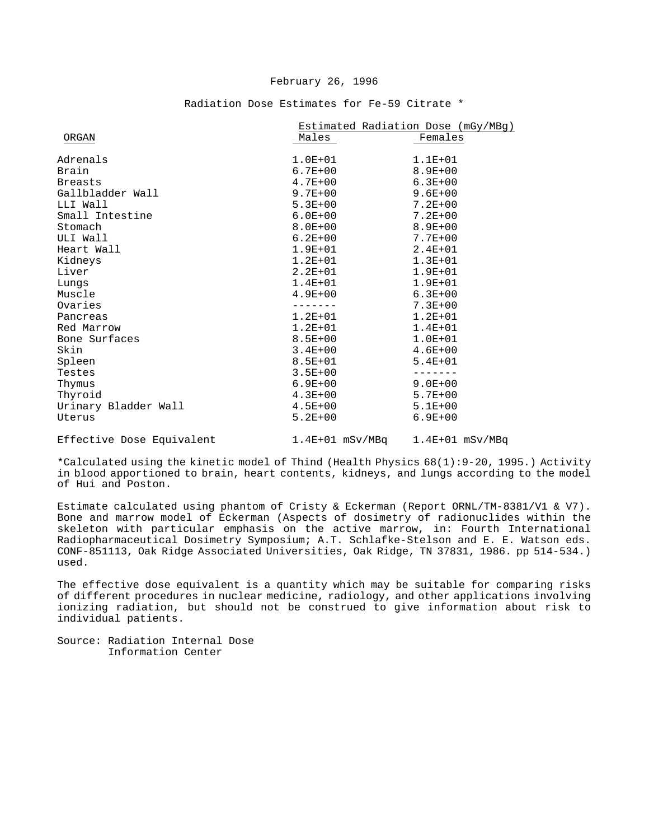#### February 26, 1996

|                           |                   | Estimated Radiation Dose (mGy/MBg) |
|---------------------------|-------------------|------------------------------------|
| ORGAN                     | Males             | Females                            |
| Adrenals                  | $1.0E + 01$       | $1.1E + 01$                        |
| Brain                     | $6.7E + 00$       | $8.9E + 00$                        |
| <b>Breasts</b>            | $4.7E + 00$       | $6.3E + 00$                        |
| Gallbladder Wall          | $9.7E + 00$       | $9.6E + 00$                        |
| LLI Wall                  | $5.3E+00$         | $7.2E + 00$                        |
| Small Intestine           | $6.0E + 00$       | $7.2E + 00$                        |
| Stomach                   | $8.0E + 00$       | $8.9E + 00$                        |
| ULI Wall                  | $6.2E + 00$       | $7.7E + 00$                        |
| Heart Wall                | $1.9E + 01$       | $2.4E + 01$                        |
| Kidneys                   | $1.2E + 01$       | $1.3E + 01$                        |
| Liver                     | $2.2E + 01$       | $1.9E + 01$                        |
| Lungs                     | $1.4E + 01$       | $1.9E + 01$                        |
| Muscle                    | $4.9E + 00$       | $6.3E + 00$                        |
| Ovaries                   |                   | $7.3E + 00$                        |
| Pancreas                  | $1.2E + 01$       | $1.2E + 01$                        |
| Red Marrow                | $1.2E + 01$       | $1.4E + 01$                        |
| Bone Surfaces             | $8.5E + 00$       | $1.0E + 01$                        |
| Skin                      | $3.4E + 00$       | $4.6E + 00$                        |
| Spleen                    | $8.5E + 01$       | $5.4E + 01$                        |
| Testes                    | $3.5E + 00$       |                                    |
| Thymus                    | $6.9E + 00$       | $9.0E + 00$                        |
| Thyroid                   | $4.3E + 00$       | $5.7E + 00$                        |
| Urinary Bladder Wall      | $4.5E + 00$       | $5.1E+00$                          |
| Uterus                    | $5.2E + 00$       | $6.9E + 00$                        |
| Effective Dose Equivalent | $1.4E+01$ mSv/MBq | $1.4E+01$ mSv/MBq                  |

#### Radiation Dose Estimates for Fe-59 Citrate \*

\*Calculated using the kinetic model of Thind (Health Physics 68(1):9-20, 1995.) Activity in blood apportioned to brain, heart contents, kidneys, and lungs according to the model of Hui and Poston.

Estimate calculated using phantom of Cristy & Eckerman (Report ORNL/TM-8381/V1 & V7). Bone and marrow model of Eckerman (Aspects of dosimetry of radionuclides within the skeleton with particular emphasis on the active marrow, in: Fourth International Radiopharmaceutical Dosimetry Symposium; A.T. Schlafke-Stelson and E. E. Watson eds. CONF-851113, Oak Ridge Associated Universities, Oak Ridge, TN 37831, 1986. pp 514-534.) used.

The effective dose equivalent is a quantity which may be suitable for comparing risks of different procedures in nuclear medicine, radiology, and other applications involving ionizing radiation, but should not be construed to give information about risk to individual patients.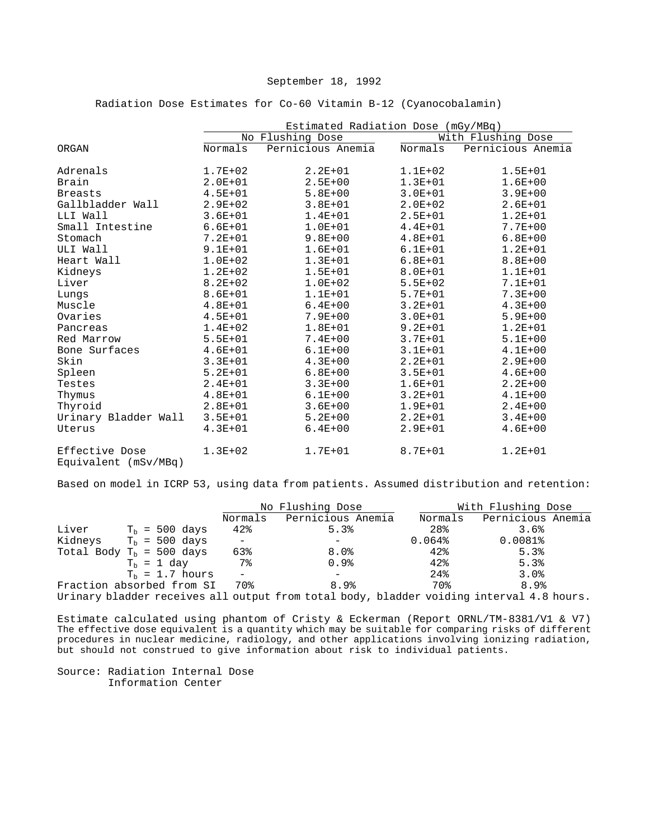Radiation Dose Estimates for Co-60 Vitamin B-12 (Cyanocobalamin)

|                                        | Estimated Radiation Dose (mGy/MBq) |                   |             |                    |  |
|----------------------------------------|------------------------------------|-------------------|-------------|--------------------|--|
|                                        |                                    | No Flushing Dose  |             | With Flushing Dose |  |
| ORGAN                                  | Normals                            | Pernicious Anemia | Normals     | Pernicious Anemia  |  |
| Adrenals                               | $1.7E + 02$                        | $2.2E + 01$       | $1.1E + 02$ | $1.5E + 01$        |  |
| Brain                                  | $2.0E + 01$                        | $2.5E + 00$       | $1.3E + 01$ | $1.6E + 00$        |  |
| <b>Breasts</b>                         | $4.5E + 01$                        | $5.8E + 00$       | $3.0E + 01$ | $3.9E + 00$        |  |
| Gallbladder Wall                       | $2.9E + 02$                        | $3.8E + 01$       | $2.0E + 02$ | $2.6E + 01$        |  |
| LLI Wall                               | $3.6E + 01$                        | $1.4E + 01$       | $2.5E + 01$ | $1.2E + 01$        |  |
| Small Intestine                        | $6.6E + 01$                        | $1.0E + 01$       | $4.4E + 01$ | $7.7E + 00$        |  |
| Stomach                                | $7.2E + 01$                        | $9.8E + 00$       | $4.8E + 01$ | $6.8E + 00$        |  |
| ULI Wall                               | $9.1E + 01$                        | $1.6E + 01$       | $6.1E + 01$ | $1.2E + 01$        |  |
| Heart Wall                             | $1.0E + 02$                        | $1.3E + 01$       | $6.8E + 01$ | $8.8E + 00$        |  |
| Kidneys                                | $1.2E + 02$                        | $1.5E + 01$       | $8.0E + 01$ | $1.1E + 01$        |  |
| Liver                                  | $8.2E + 02$                        | $1.0E + 02$       | $5.5E + 02$ | $7.1E + 01$        |  |
| Lungs                                  | $8.6E + 01$                        | $1.1E + 01$       | $5.7E + 01$ | $7.3E + 00$        |  |
| Muscle                                 | $4.8E + 01$                        | $6.4E + 00$       | $3.2E + 01$ | $4.3E + 00$        |  |
| Ovaries                                | $4.5E + 01$                        | $7.9E + 00$       | $3.0E + 01$ | $5.9E + 00$        |  |
| Pancreas                               | $1.4E + 02$                        | $1.8E + 01$       | $9.2E + 01$ | $1.2E + 01$        |  |
| Red Marrow                             | $5.5E + 01$                        | $7.4E + 00$       | $3.7E + 01$ | $5.1E + 00$        |  |
| Bone Surfaces                          | $4.6E + 01$                        | $6.1E + 00$       | $3.1E + 01$ | $4.1E + 00$        |  |
| Skin                                   | $3.3E + 01$                        | $4.3E + 00$       | $2.2E + 01$ | $2.9E + 00$        |  |
| Spleen                                 | $5.2E + 01$                        | $6.8E + 00$       | $3.5E + 01$ | $4.6E + 00$        |  |
| Testes                                 | $2.4E + 01$                        | $3.3E + 00$       | $1.6E + 01$ | $2.2E + 00$        |  |
| Thymus                                 | $4.8E + 01$                        | $6.1E + 00$       | $3.2E + 01$ | $4.1E + 00$        |  |
| Thyroid                                | $2.8E + 01$                        | $3.6E + 00$       | $1.9E + 01$ | $2.4E + 00$        |  |
| Urinary Bladder Wall                   | $3.5E + 01$                        | $5.2E + 00$       | $2.2E + 01$ | $3.4E + 00$        |  |
| Uterus                                 | $4.3E + 01$                        | $6.4E + 00$       | $2.9E + 01$ | $4.6E + 00$        |  |
| Effective Dose<br>Equivalent (mSv/MBq) | $1.3E + 02$                        | $1.7E + 01$       | $8.7E + 01$ | $1.2E + 01$        |  |

Based on model in ICRP 53, using data from patients. Assumed distribution and retention:

|                                  |                          |                          | No Flushing Dose  |         | With Flushing Dose                                                                       |
|----------------------------------|--------------------------|--------------------------|-------------------|---------|------------------------------------------------------------------------------------------|
|                                  |                          | Normals                  | Pernicious Anemia | Normals | Pernicious Anemia                                                                        |
| Liver                            | $T_h = 500 \text{ days}$ | 42%                      | 5.3%              | 28%     | 3.6%                                                                                     |
| Kidneys $T_h = 500 \text{ days}$ |                          | $-$                      |                   | 0.064%  | $0.0081\$                                                                                |
| Total Body $T_b = 500$ days      |                          | 63%                      | 8.0%              | 42%     | 5.3%                                                                                     |
|                                  | $T_h = 1$ day            | 7%                       | 0.9%              | 42%     | 5.3%                                                                                     |
|                                  | $Tb = 1.7 hours$         | $\overline{\phantom{0}}$ |                   | 24%     | 3.0%                                                                                     |
| Fraction absorbed from SI        |                          | 70%                      | 8.9%              | 70%     | 8.9%                                                                                     |
|                                  |                          |                          |                   |         | Urinary bladder receives all output from total body, bladder voiding interval 4.8 hours. |

Estimate calculated using phantom of Cristy & Eckerman (Report ORNL/TM-8381/V1 & V7) The effective dose equivalent is a quantity which may be suitable for comparing risks of different procedures in nuclear medicine, radiology, and other applications involving ionizing radiation, but should not construed to give information about risk to individual patients.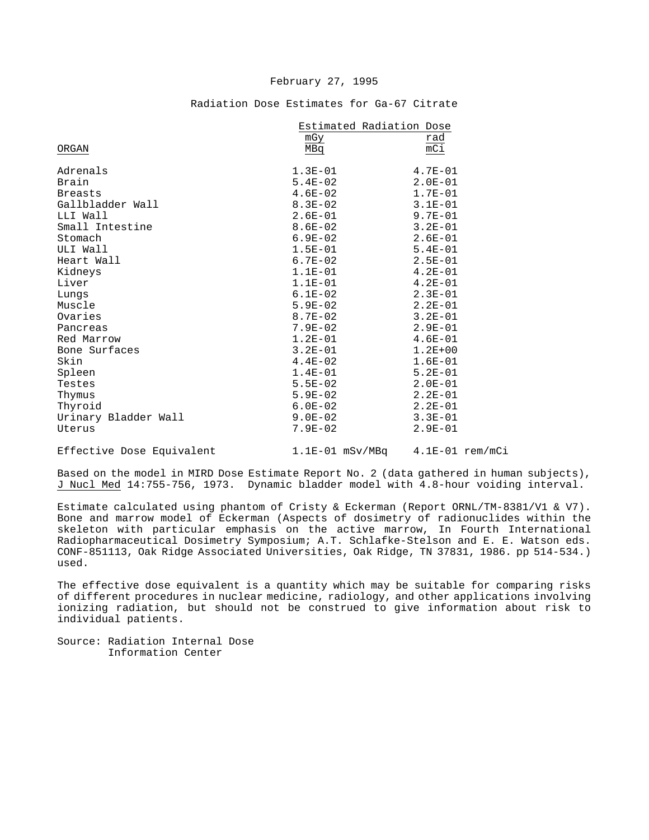### February 27, 1995

Radiation Dose Estimates for Ga-67 Citrate

|                           | Estimated Radiation Dose |                   |
|---------------------------|--------------------------|-------------------|
|                           | mGy                      | rad               |
| ORGAN                     | MBq                      | mCi               |
| Adrenals                  | $1.3E-01$                | $4.7E - 01$       |
| Brain                     | $5.4E-02$                | $2.0E-01$         |
| <b>Breasts</b>            | $4.6E-02$                | $1.7E-01$         |
| Gallbladder Wall          | $8.3E - 02$              | $3.1E - 01$       |
| LLI Wall                  | $2.6E-01$                | 9.7E-01           |
| Small Intestine           | $8.6E-02$                | $3.2E - 01$       |
| Stomach                   | $6.9E - 02$              | $2.6E - 01$       |
| ULI Wall                  | $1.5E-01$                | $5.4E - 01$       |
| Heart Wall                | $6.7E - 02$              | $2.5E-01$         |
| Kidneys                   | $1.1E-01$                | $4.2E-01$         |
| Liver                     | $1.1E - 01$              | $4.2E - 01$       |
| Lungs                     | $6.1E-02$                | $2.3E-01$         |
| Muscle                    | $5.9E-02$                | $2.2E-01$         |
| Ovaries                   | $8.7E-02$                | $3.2E - 01$       |
| Pancreas                  | $7.9E - 02$              | $2.9E - 01$       |
| Red Marrow                | $1.2E-01$                | $4.6E-01$         |
| Bone Surfaces             | $3.2E - 01$              | $1.2E + 00$       |
| Skin                      | $4.4E-02$                | $1.6E-01$         |
| Spleen                    | $1.4E-01$                | $5.2E - 01$       |
| Testes                    | $5.5E-02$                | $2.0E-01$         |
| Thymus                    | $5.9E-02$                | $2.2E-01$         |
| Thyroid                   | $6.0E-02$                | $2.2E-01$         |
| Urinary Bladder Wall      | $9.0E-02$                | $3.3E - 01$       |
| Uterus                    | $7.9E - 02$              | $2.9E - 01$       |
| Effective Dose Equivalent | $1.1E-01$ mSv/MBq        | $4.1E-01$ rem/mCi |

Based on the model in MIRD Dose Estimate Report No. 2 (data gathered in human subjects), J Nucl Med 14:755-756, 1973. Dynamic bladder model with 4.8-hour voiding interval.

Estimate calculated using phantom of Cristy & Eckerman (Report ORNL/TM-8381/V1 & V7). Bone and marrow model of Eckerman (Aspects of dosimetry of radionuclides within the skeleton with particular emphasis on the active marrow, In Fourth International Radiopharmaceutical Dosimetry Symposium; A.T. Schlafke-Stelson and E. E. Watson eds. CONF-851113, Oak Ridge Associated Universities, Oak Ridge, TN 37831, 1986. pp 514-534.) used.

The effective dose equivalent is a quantity which may be suitable for comparing risks of different procedures in nuclear medicine, radiology, and other applications involving ionizing radiation, but should not be construed to give information about risk to individual patients.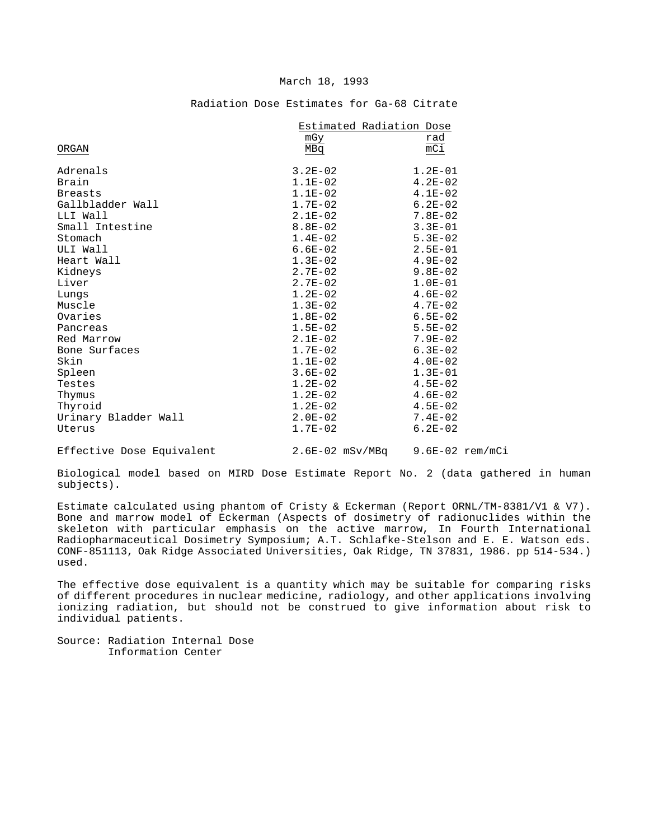## Radiation Dose Estimates for Ga-68 Citrate

|                            | Estimated Radiation Dose |                             |
|----------------------------|--------------------------|-----------------------------|
|                            | mGy                      | rad                         |
| ORGAN                      | MBq                      | $\overline{mC1}$            |
| Adrenals                   | $3.2E-02$                | $1.2E-01$                   |
| Brain                      | $1.1E-02$                | $4.2E - 02$                 |
| <b>Breasts</b>             | $1.1E-02$                | $4.1E-02$                   |
| Gallbladder Wall           | $1.7E-02$                | $6.2E - 02$                 |
| LLI Wall                   | $2.1E-02$                | $7.8E - 02$                 |
| Small Intestine            | $8.8E - 02$              | $3.3E - 01$                 |
| Stomach                    | $1.4E-02$                | $5.3E-02$                   |
| ULI Wall                   | $6.6E-02$                | $2.5E-01$                   |
| Heart Wall                 | $1.3E-02$                | $4.9E - 02$                 |
| Kidneys                    | $2.7E-02$                | $9.8E - 02$                 |
| Liver                      | $2.7E - 02$              | $1.0E-01$                   |
| Lungs                      | $1.2E-02$                | $4.6E - 02$                 |
| Muscle                     | $1.3E-02$                | $4.7E - 02$                 |
| Ovaries                    | $1.8E-02$                | $6.5E - 02$                 |
| Pancreas                   | $1.5E-02$                | $5.5E - 02$                 |
| Red Marrow                 | $2.1E-02$                | $7.9E - 02$                 |
| Bone Surfaces              | $1.7E-02$                | $6.3E-02$                   |
| Skin                       | $1.1E-02$                | $4.0E-02$                   |
| Spleen                     | $3.6E - 02$              | $1.3E-01$                   |
| Testes                     | $1.2E-02$                | $4.5E - 02$                 |
| Thymus                     | $1.2E-02$                | $4.6E-02$                   |
| Thyroid                    | $1.2E-02$                | $4.5E - 02$                 |
| Urinary Bladder Wall       | $2.0E-02$                | $7.4E - 02$                 |
| Uterus                     | $1.7E-02$                | $6.2E - 02$                 |
| MEEL-PLATE NEWS MODELLING. | $2.77.22 - 2.15$         | $\sim$ $\sim$ $\sim$ $\sim$ |

Effective Dose Equivalent 2.6E-02 mSv/MBq 9.6E-02 rem/mCi

Biological model based on MIRD Dose Estimate Report No. 2 (data gathered in human subjects).

Estimate calculated using phantom of Cristy & Eckerman (Report ORNL/TM-8381/V1 & V7). Bone and marrow model of Eckerman (Aspects of dosimetry of radionuclides within the skeleton with particular emphasis on the active marrow, In Fourth International Radiopharmaceutical Dosimetry Symposium; A.T. Schlafke-Stelson and E. E. Watson eds. CONF-851113, Oak Ridge Associated Universities, Oak Ridge, TN 37831, 1986. pp 514-534.) used.

The effective dose equivalent is a quantity which may be suitable for comparing risks of different procedures in nuclear medicine, radiology, and other applications involving ionizing radiation, but should not be construed to give information about risk to individual patients.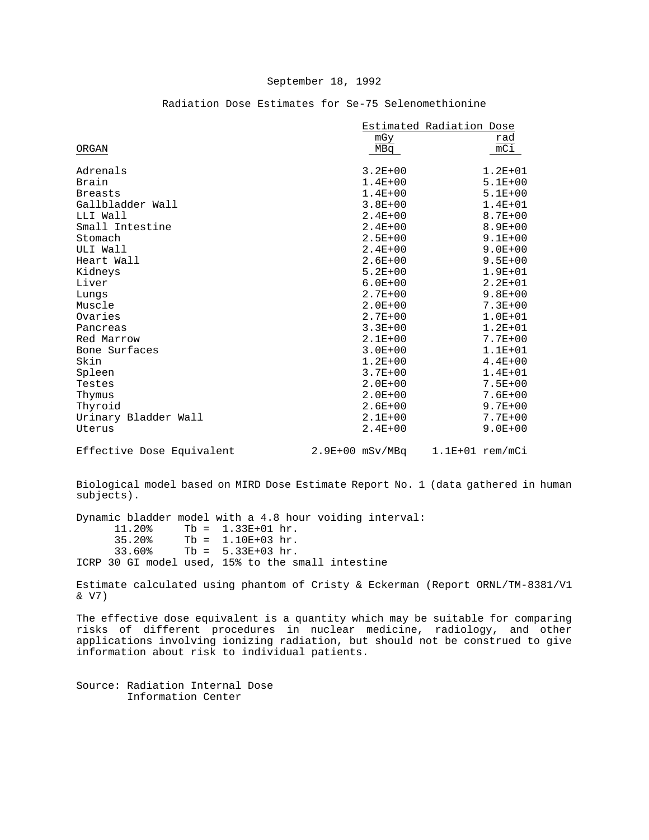|                           |                   | Estimated Radiation Dose |
|---------------------------|-------------------|--------------------------|
|                           | mGy               | rad                      |
| ORGAN                     | MBq               | mCi                      |
| Adrenals                  | $3.2E + 00$       | $1.2E + 01$              |
| Brain                     | $1.4E + 00$       | $5.1E + 00$              |
| <b>Breasts</b>            | $1.4E + 00$       | $5.1E + 00$              |
| Gallbladder Wall          | $3.8E + 00$       | $1.4E + 01$              |
| LLI Wall                  | $2.4E + 00$       | $8.7E + 00$              |
| Small Intestine           | $2.4E + 00$       | $8.9E + 00$              |
| Stomach                   | $2.5E + 00$       | $9.1E + 00$              |
| ULI Wall                  | $2.4E + 00$       | $9.0E + 00$              |
| Heart Wall                | $2.6E + 00$       | $9.5E + 00$              |
| Kidneys                   | $5.2E + 00$       | $1.9E + 01$              |
| Liver                     | $6.0E + 00$       | $2.2E + 01$              |
| Lungs                     | $2.7E + 00$       | $9.8E + 00$              |
| Muscle                    | $2.0E + 00$       | $7.3E + 00$              |
| Ovaries                   | $2.7E + 00$       | $1.0E + 01$              |
| Pancreas                  | $3.3E + 00$       | $1.2E + 01$              |
| Red Marrow                | $2.1E + 00$       | $7.7E + 00$              |
| Bone Surfaces             | $3.0E + 00$       | $1.1E + 01$              |
| Skin                      | $1.2E + 00$       | $4.4E + 00$              |
| Spleen                    | $3.7E + 00$       | $1.4E + 01$              |
| Testes                    | $2.0E + 00$       | $7.5E + 00$              |
| Thymus                    | $2.0E + 00$       | $7.6E + 00$              |
| Thyroid                   | $2.6E + 00$       | $9.7E + 00$              |
| Urinary Bladder Wall      | $2.1E + 00$       | $7.7E + 00$              |
| Uterus                    | $2.4E + 00$       | $9.0E + 00$              |
| Effective Dose Equivalent | $2.9E+00$ mSv/MBq | $1.1E+01$ rem/mCi        |

## Radiation Dose Estimates for Se-75 Selenomethionine

Biological model based on MIRD Dose Estimate Report No. 1 (data gathered in human subjects).

Dynamic bladder model with a 4.8 hour voiding interval:<br>11.20% Tb = 1.33E+01 hr.  $11.20%$  Tb = 1.33E+01 hr.<br>35.20% Tb = 1.10E+03 hr.  $35.20$  Tb = 1.10E+03 hr.<br> $33.60$  Tb = 5.33E+03 hr.  $Tb = 5.33E + 03 hr.$ ICRP 30 GI model used, 15% to the small intestine

Estimate calculated using phantom of Cristy & Eckerman (Report ORNL/TM-8381/V1 & V7)

The effective dose equivalent is a quantity which may be suitable for comparing risks of different procedures in nuclear medicine, radiology, and other applications involving ionizing radiation, but should not be construed to give information about risk to individual patients.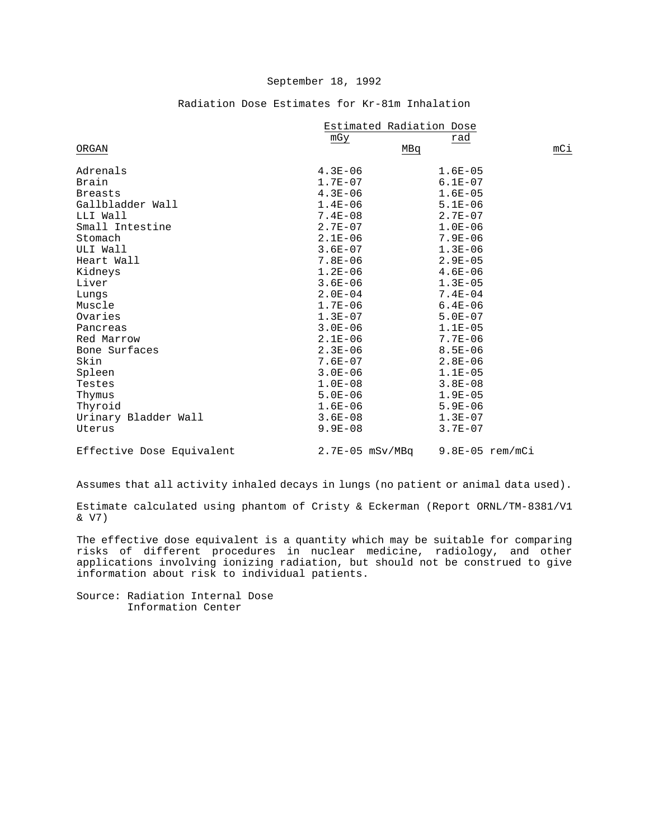|                           | Estimated Radiation Dose |                   |     |
|---------------------------|--------------------------|-------------------|-----|
|                           | mGy                      | rad               |     |
| ORGAN                     | MBq                      |                   | mCi |
| Adrenals                  | $4.3E - 06$              | $1.6E - 05$       |     |
| Brain                     | $1.7E-07$                | $6.1E - 07$       |     |
| <b>Breasts</b>            | $4.3E - 06$              | $1.6E - 05$       |     |
| Gallbladder Wall          | $1.4E - 06$              | $5.1E - 06$       |     |
| LLI Wall                  | $7.4E - 08$              | $2.7E - 07$       |     |
| Small Intestine           | $2.7E-07$                | $1.0E - 06$       |     |
| Stomach                   | $2.1E - 06$              | $7.9E - 06$       |     |
| ULI Wall                  | $3.6E - 07$              | $1.3E - 06$       |     |
| Heart Wall                | $7.8E - 06$              | $2.9E - 05$       |     |
| Kidneys                   | $1.2E-06$                | $4.6E - 06$       |     |
| Liver                     | $3.6E - 06$              | $1.3E - 05$       |     |
| Lungs                     | $2.0E-04$                | $7.4E - 04$       |     |
| Muscle                    | $1.7E-06$                | $6.4E - 06$       |     |
| Ovaries                   | $1.3E-07$                | $5.0E - 07$       |     |
| Pancreas                  | $3.0E - 06$              | $1.1E - 05$       |     |
| Red Marrow                | $2.1E-06$                | $7.7E - 06$       |     |
| Bone Surfaces             | $2.3E - 06$              | $8.5E - 06$       |     |
| Skin                      | $7.6E - 07$              | $2.8E - 06$       |     |
| Spleen                    | $3.0E - 06$              | $1.1E - 05$       |     |
| Testes                    | $1.0E-08$                | $3.8E - 08$       |     |
| Thymus                    | $5.0E - 06$              | $1.9E - 05$       |     |
| Thyroid                   | $1.6E-06$                | $5.9E - 06$       |     |
| Urinary Bladder Wall      | $3.6E - 08$              | $1.3E-07$         |     |
| Uterus                    | $9.9E - 08$              | $3.7E - 07$       |     |
| Effective Dose Equivalent | $2.7E-05$ mSv/MBq        | $9.8E-05$ rem/mCi |     |

## Radiation Dose Estimates for Kr-81m Inhalation

Assumes that all activity inhaled decays in lungs (no patient or animal data used).

Estimate calculated using phantom of Cristy & Eckerman (Report ORNL/TM-8381/V1 & V7)

The effective dose equivalent is a quantity which may be suitable for comparing risks of different procedures in nuclear medicine, radiology, and other applications involving ionizing radiation, but should not be construed to give information about risk to individual patients.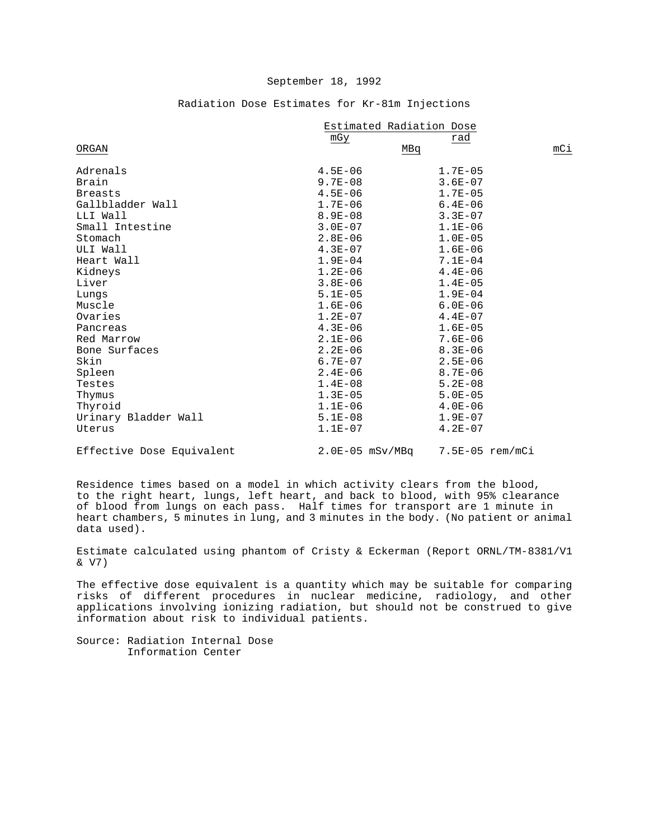|                           | Estimated Radiation Dose |                   |     |
|---------------------------|--------------------------|-------------------|-----|
|                           | mGy                      | rad               |     |
| ORGAN                     | MBq                      |                   | mCi |
| Adrenals                  | $4.5E - 06$              | $1.7E - 05$       |     |
| Brain                     | $9.7E - 08$              | $3.6E - 07$       |     |
| <b>Breasts</b>            | $4.5E - 06$              | $1.7E - 05$       |     |
| Gallbladder Wall          | $1.7E - 06$              | $6.4E - 06$       |     |
| LLI Wall                  | $8.9E - 08$              | $3.3E - 07$       |     |
| Small Intestine           | $3.0E-07$                | $1.1E - 06$       |     |
| Stomach                   | $2.8E - 06$              | $1.0E - 05$       |     |
| ULI Wall                  | $4.3E-07$                | $1.6E - 06$       |     |
| Heart Wall                | $1.9E - 04$              | $7.1E - 04$       |     |
| Kidneys                   | $1.2E-06$                | $4.4E - 06$       |     |
| Liver                     | $3.8E-06$                | $1.4E - 05$       |     |
| Lungs                     | $5.1E-05$                | $1.9E - 04$       |     |
| Muscle                    | $1.6E-06$                | $6.0E - 06$       |     |
| Ovaries                   | $1.2E-07$                | $4.4E - 07$       |     |
| Pancreas                  | $4.3E - 06$              | $1.6E - 05$       |     |
| Red Marrow                | $2.1E - 06$              | $7.6E - 06$       |     |
| Bone Surfaces             | $2.2E - 06$              | $8.3E - 06$       |     |
| Skin                      | $6.7E-07$                | $2.5E - 06$       |     |
| Spleen                    | $2.4E - 06$              | $8.7E - 06$       |     |
| Testes                    | $1.4E-08$                | $5.2E - 08$       |     |
| Thymus                    | $1.3E-05$                | $5.0E - 05$       |     |
| Thyroid                   | $1.1E-06$                | $4.0E - 06$       |     |
| Urinary Bladder Wall      | $5.1E-08$                | $1.9E - 07$       |     |
| Uterus                    | $1.1E-07$                | $4.2E - 07$       |     |
| Effective Dose Equivalent | $2.0E-05$ mSv/MBq        | $7.5E-05$ rem/mCi |     |

## Radiation Dose Estimates for Kr-81m Injections

Residence times based on a model in which activity clears from the blood, to the right heart, lungs, left heart, and back to blood, with 95% clearance of blood from lungs on each pass. Half times for transport are 1 minute in heart chambers, 5 minutes in lung, and 3 minutes in the body. (No patient or animal data used).

Estimate calculated using phantom of Cristy & Eckerman (Report ORNL/TM-8381/V1 & V7)

The effective dose equivalent is a quantity which may be suitable for comparing risks of different procedures in nuclear medicine, radiology, and other applications involving ionizing radiation, but should not be construed to give information about risk to individual patients.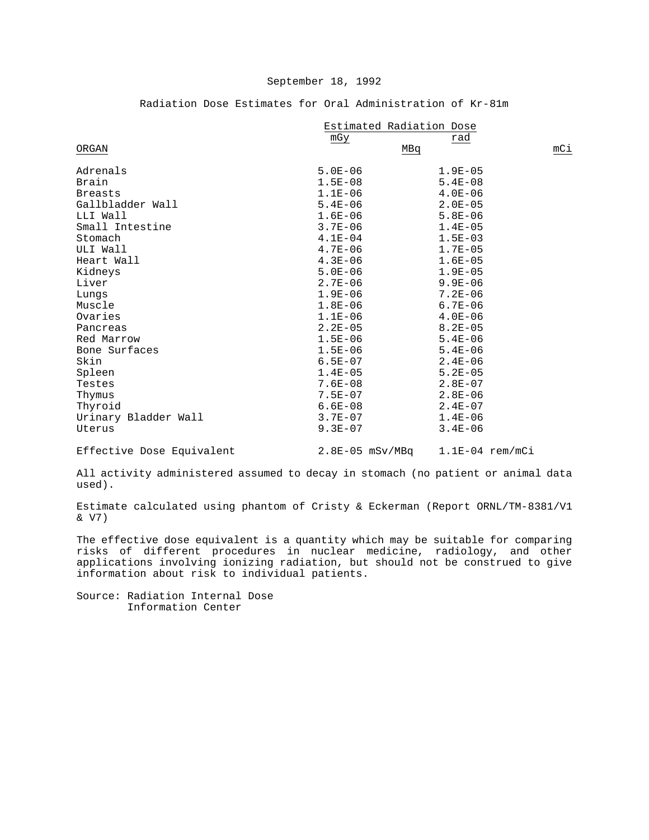Radiation Dose Estimates for Oral Administration of Kr-81m

|                           | Estimated Radiation Dose |                   |     |
|---------------------------|--------------------------|-------------------|-----|
|                           | mGy                      | rad               |     |
| ORGAN                     | MBq                      |                   | mCi |
| Adrenals                  | $5.0E - 06$              | $1.9E - 05$       |     |
| Brain                     | $1.5E - 08$              | $5.4E - 08$       |     |
| <b>Breasts</b>            | $1.1E-06$                | $4.0E - 06$       |     |
| Gallbladder Wall          | $5.4E - 06$              | $2.0E - 05$       |     |
| LLI Wall                  | $1.6E - 06$              | $5.8E - 06$       |     |
| Small Intestine           | $3.7E - 06$              | $1.4E - 05$       |     |
| Stomach                   | $4.1E-04$                | $1.5E - 03$       |     |
| ULI Wall                  | $4.7E - 06$              | $1.7E - 05$       |     |
| Heart Wall                | $4.3E - 06$              | $1.6E - 05$       |     |
| Kidneys                   | $5.0E - 06$              | $1.9E - 05$       |     |
| Liver                     | $2.7E - 06$              | $9.9E - 06$       |     |
| Lungs                     | $1.9E-06$                | $7.2E - 06$       |     |
| Muscle                    | $1.8E-06$                | $6.7E - 06$       |     |
| Ovaries                   | $1.1E-06$                | $4.0E - 06$       |     |
| Pancreas                  | $2.2E - 05$              | $8.2E - 05$       |     |
| Red Marrow                | $1.5E - 06$              | $5.4E - 06$       |     |
| Bone Surfaces             | $1.5E - 06$              | $5.4E - 06$       |     |
| Skin                      | $6.5E-07$                | $2.4E - 06$       |     |
| Spleen                    | $1.4E-05$                | $5.2E - 05$       |     |
| Testes                    | $7.6E - 08$              | $2.8E - 07$       |     |
| Thymus                    | $7.5E - 07$              | $2.8E - 06$       |     |
| Thyroid                   | $6.6E - 08$              | $2.4E - 07$       |     |
| Urinary Bladder Wall      | $3.7E - 07$              | $1.4E - 06$       |     |
| Uterus                    | $9.3E - 07$              | $3.4E - 06$       |     |
| Effective Dose Equivalent | $2.8E-05$ mSv/MBq        | $1.1E-04$ rem/mCi |     |

All activity administered assumed to decay in stomach (no patient or animal data used).

Estimate calculated using phantom of Cristy & Eckerman (Report ORNL/TM-8381/V1 & V7)

The effective dose equivalent is a quantity which may be suitable for comparing risks of different procedures in nuclear medicine, radiology, and other applications involving ionizing radiation, but should not be construed to give information about risk to individual patients.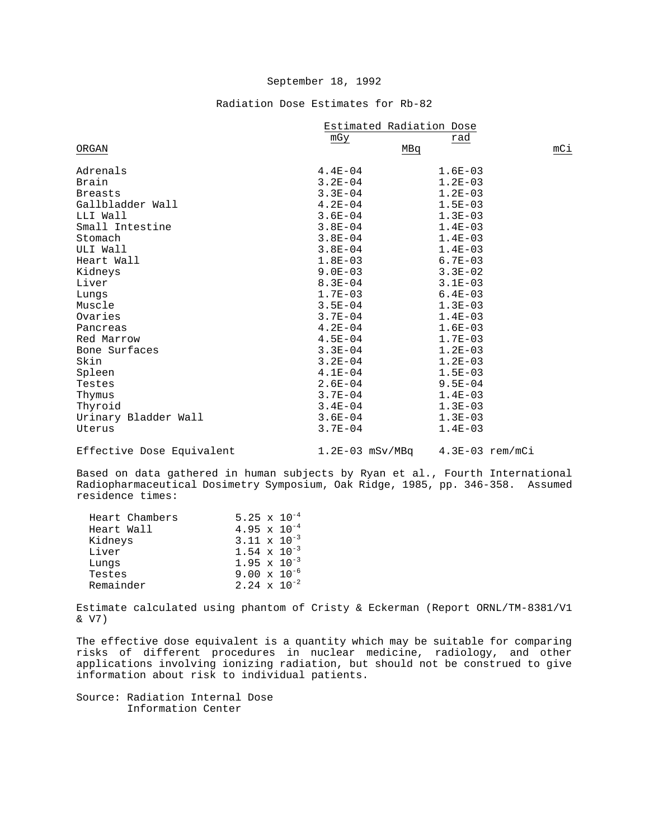## Radiation Dose Estimates for Rb-82

|                      | Estimated Radiation Dose |             |     |
|----------------------|--------------------------|-------------|-----|
|                      | mGy                      | rad         |     |
| ORGAN                |                          | MBq         | mCi |
| Adrenals             | $4.4E - 04$              | $1.6E - 03$ |     |
| Brain                | $3.2E - 04$              | $1.2E-03$   |     |
| <b>Breasts</b>       | $3.3E - 04$              | $1.2E-03$   |     |
| Gallbladder Wall     | $4.2E - 04$              | $1.5E - 03$ |     |
| LLI Wall             | $3.6E - 04$              | $1.3E - 03$ |     |
| Small Intestine      | $3.8E - 04$              | $1.4E - 03$ |     |
| Stomach              | $3.8E - 04$              | $1.4E - 03$ |     |
| ULI Wall             | $3.8E - 04$              | $1.4E - 03$ |     |
| Heart Wall           | $1.8E-03$                | $6.7E - 03$ |     |
| Kidneys              | $9.0E - 03$              | $3.3E - 02$ |     |
| Liver                | $8.3E - 04$              | $3.1E - 03$ |     |
| Lungs                | $1.7E-03$                | $6.4E - 03$ |     |
| Muscle               | $3.5E - 04$              | $1.3E - 03$ |     |
| Ovaries              | $3.7E - 04$              | $1.4E - 03$ |     |
| Pancreas             | $4.2E - 04$              | $1.6E - 03$ |     |
| Red Marrow           | $4.5E - 04$              | $1.7E - 03$ |     |
| Bone Surfaces        | $3.3E - 04$              | $1.2E - 03$ |     |
| Skin                 | $3.2E - 04$              | $1.2E-03$   |     |
| Spleen               | $4.1E-04$                | $1.5E - 03$ |     |
| Testes               | $2.6E - 04$              | $9.5E - 04$ |     |
| Thymus               | $3.7E - 04$              | $1.4E - 03$ |     |
| Thyroid              | $3.4E - 04$              | $1.3E-03$   |     |
| Urinary Bladder Wall | $3.6E - 04$              | $1.3E-03$   |     |
| Uterus               | $3.7E - 04$              | $1.4E-03$   |     |
|                      |                          |             |     |

Effective Dose Equivalent 1.2E-03 mSv/MBq 4.3E-03 rem/mCi

Based on data gathered in human subjects by Ryan et al., Fourth International Radiopharmaceutical Dosimetry Symposium, Oak Ridge, 1985, pp. 346-358. Assumed residence times:

| Heart Chambers | 5.25 $\times$ 10 <sup>-4</sup> |  |
|----------------|--------------------------------|--|
| Heart Wall     | 4.95 $\times$ 10 <sup>-4</sup> |  |
| Kidneys        | $3.11 \times 10^{-3}$          |  |
| Liver          | $1.54 \times 10^{-3}$          |  |
| Lungs          | $1.95 \times 10^{-3}$          |  |
| Testes         | $9.00 \times 10^{-6}$          |  |
| Remainder      | $2.24 \times 10^{-2}$          |  |
|                |                                |  |

Estimate calculated using phantom of Cristy & Eckerman (Report ORNL/TM-8381/V1 & V7)

The effective dose equivalent is a quantity which may be suitable for comparing risks of different procedures in nuclear medicine, radiology, and other applications involving ionizing radiation, but should not be construed to give information about risk to individual patients.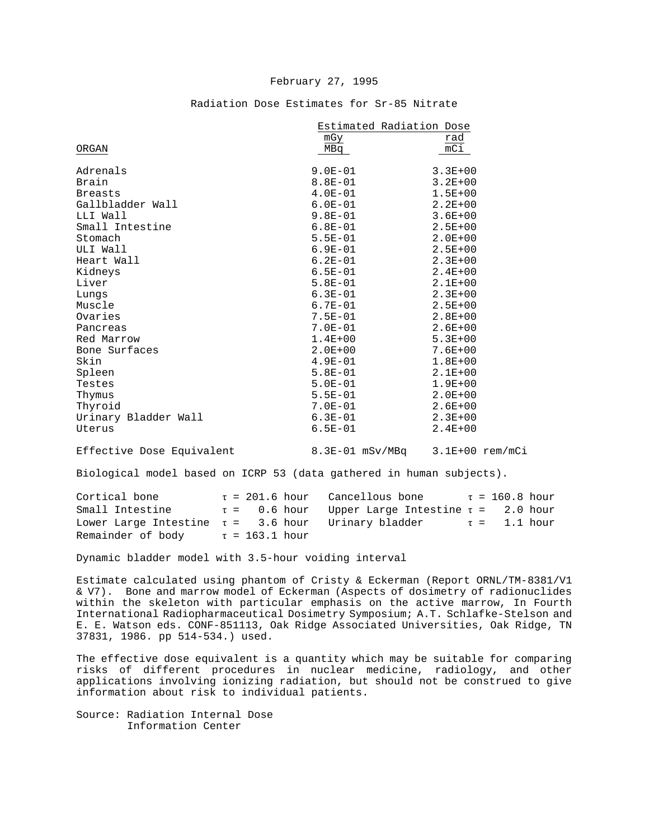### February 27, 1995

|                      | Estimated Radiation Dose |                  |  |
|----------------------|--------------------------|------------------|--|
|                      | mGy                      | rad              |  |
| ORGAN                | MBq                      | $\overline{mC1}$ |  |
| Adrenals             | $9.0E - 01$              | $3.3E + 00$      |  |
|                      |                          |                  |  |
| Brain                | $8.8E - 01$              | $3.2E + 00$      |  |
| <b>Breasts</b>       | $4.0E-01$                | $1.5E + 00$      |  |
| Gallbladder Wall     | $6.0E - 01$              | $2.2E + 00$      |  |
| LLI Wall             | $9.8E - 01$              | $3.6E + 00$      |  |
| Small Intestine      | $6.8E - 01$              | $2.5E + 00$      |  |
| Stomach              | $5.5E - 01$              | $2.0E + 00$      |  |
| ULI Wall             | $6.9E - 01$              | $2.5E + 00$      |  |
| Heart Wall           | $6.2E - 01$              | $2.3E+00$        |  |
| Kidneys              | $6.5E - 01$              | $2.4E + 00$      |  |
| Liver                | $5.8E - 01$              | $2.1E + 00$      |  |
| Lungs                | $6.3E - 01$              | $2.3E+00$        |  |
| Muscle               | $6.7E - 01$              | $2.5E + 00$      |  |
| Ovaries              | $7.5E - 01$              | $2.8E + 00$      |  |
| Pancreas             | $7.0E - 01$              | $2.6E + 00$      |  |
| Red Marrow           | $1.4E + 00$              | $5.3E+00$        |  |
| Bone Surfaces        | $2.0E + 00$              | $7.6E + 00$      |  |
| Skin                 | $4.9E - 01$              | $1.8E + 00$      |  |
| Spleen               | $5.8E - 01$              | $2.1E + 00$      |  |
| Testes               | $5.0E - 01$              | $1.9E + 00$      |  |
| Thymus               | $5.5E - 01$              | $2.0E + 00$      |  |
| Thyroid              | $7.0E - 01$              | $2.6E + 00$      |  |
|                      | $6.3E - 01$              | $2.3E+00$        |  |
| Urinary Bladder Wall |                          |                  |  |
| Uterus               | $6.5E - 01$              | $2.4E + 00$      |  |
|                      |                          |                  |  |

#### Radiation Dose Estimates for Sr-85 Nitrate

Effective Dose Equivalent 8.3E-01 mSv/MBq 3.1E+00 rem/mCi

Biological model based on ICRP 53 (data gathered in human subjects).

Cortical bone  $\tau = 201.6$  hour Cancellous bone  $\tau = 160.8$  hour<br>Small Intestine  $\tau = 0.6$  hour Upper Large Intestine  $\tau = 2.0$  hour Small Intestine  $\tau = 0.6$  hour Upper Large Intestine  $\tau = 2.0$  hour Lower Large Intestine  $\tau = 3.6$  hour Urinary bladder  $\tau = 1.1$  hour Remainder of body  $\tau = 163.1$  hour

Dynamic bladder model with 3.5-hour voiding interval

Estimate calculated using phantom of Cristy & Eckerman (Report ORNL/TM-8381/V1 & V7). Bone and marrow model of Eckerman (Aspects of dosimetry of radionuclides within the skeleton with particular emphasis on the active marrow, In Fourth International Radiopharmaceutical Dosimetry Symposium; A.T. Schlafke-Stelson and E. E. Watson eds. CONF-851113, Oak Ridge Associated Universities, Oak Ridge, TN 37831, 1986. pp 514-534.) used.

The effective dose equivalent is a quantity which may be suitable for comparing risks of different procedures in nuclear medicine, radiology, and other applications involving ionizing radiation, but should not be construed to give information about risk to individual patients.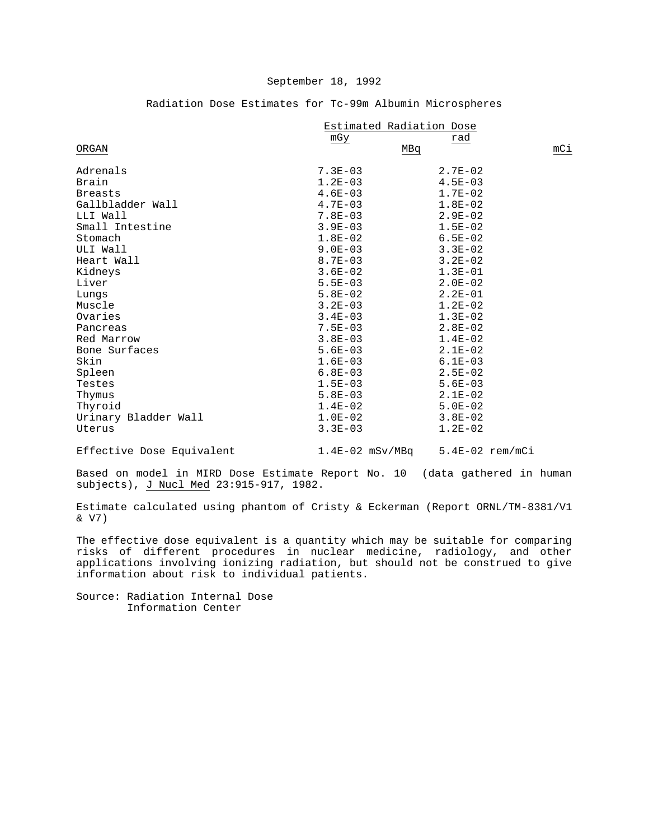|                      | Estimated Radiation Dose |             |     |  |
|----------------------|--------------------------|-------------|-----|--|
|                      | mGy                      | rad         |     |  |
| ORGAN                |                          | MBq         | mCi |  |
| Adrenals             | $7.3E - 03$              | $2.7E - 02$ |     |  |
| Brain                | $1.2E-03$                | $4.5E - 03$ |     |  |
| <b>Breasts</b>       | $4.6E-03$                | $1.7E-02$   |     |  |
| Gallbladder Wall     | $4.7E-03$                | $1.8E-02$   |     |  |
| LLI Wall             | $7.8E - 03$              | $2.9E - 02$ |     |  |
| Small Intestine      | $3.9E - 03$              | $1.5E - 02$ |     |  |
| Stomach              | $1.8E-02$                | $6.5E - 02$ |     |  |
| ULI Wall             | $9.0E - 03$              | $3.3E-02$   |     |  |
| Heart Wall           | $8.7E - 03$              | $3.2E - 02$ |     |  |
| Kidneys              | $3.6E-02$                | $1.3E-01$   |     |  |
| Liver                | $5.5E-03$                | $2.0E-02$   |     |  |
| Lungs                | $5.8E-02$                | $2.2E-01$   |     |  |
| Muscle               | $3.2E - 03$              | $1.2E-02$   |     |  |
| Ovaries              | $3.4E - 03$              | $1.3E-02$   |     |  |
| Pancreas             | $7.5E - 03$              | $2.8E-02$   |     |  |
| Red Marrow           | $3.8E - 03$              | $1.4E-02$   |     |  |
| Bone Surfaces        | $5.6E - 03$              | $2.1E-02$   |     |  |
| Skin                 | $1.6E-03$                | $6.1E - 03$ |     |  |
| Spleen               | $6.8E-03$                | $2.5E - 02$ |     |  |
| Testes               | $1.5E-03$                | $5.6E - 03$ |     |  |
| Thymus               | $5.8E-03$                | $2.1E-02$   |     |  |
| Thyroid              | $1.4E-02$                | $5.0E-02$   |     |  |
| Urinary Bladder Wall | $1.0E-02$                | $3.8E - 02$ |     |  |
| Uterus               | $3.3E - 03$              | $1.2E-02$   |     |  |

## Radiation Dose Estimates for Tc-99m Albumin Microspheres

Effective Dose Equivalent 1.4E-02 mSv/MBq 5.4E-02 rem/mCi

Based on model in MIRD Dose Estimate Report No. 10 (data gathered in human subjects), J Nucl Med 23:915-917, 1982.

Estimate calculated using phantom of Cristy & Eckerman (Report ORNL/TM-8381/V1 & V7)

The effective dose equivalent is a quantity which may be suitable for comparing risks of different procedures in nuclear medicine, radiology, and other applications involving ionizing radiation, but should not be construed to give information about risk to individual patients.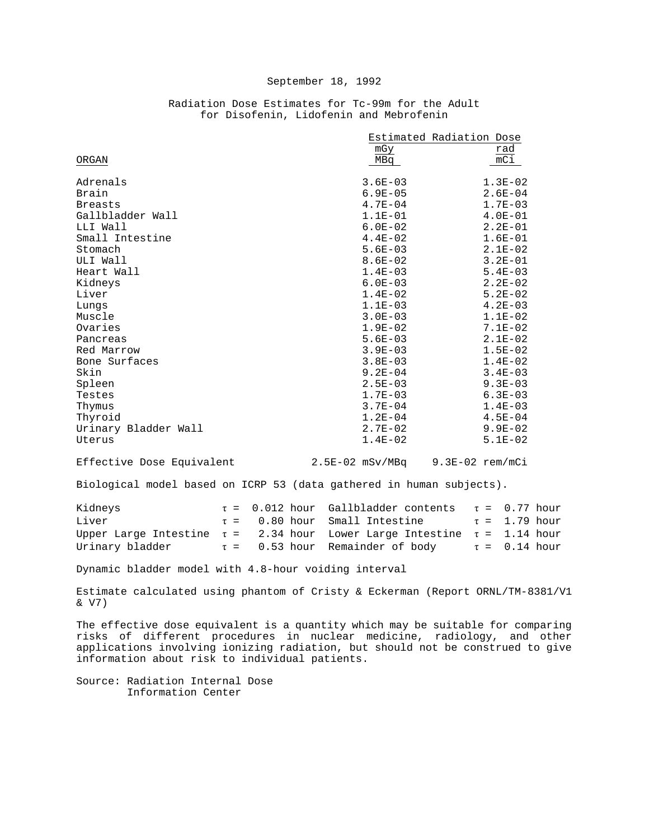|                      |             | Estimated Radiation Dose |
|----------------------|-------------|--------------------------|
|                      | mGy         | rad                      |
| ORGAN                | MBq         | $\overline{mC1}$         |
|                      |             |                          |
| Adrenals             | $3.6E - 03$ | $1.3E-02$                |
| Brain                | $6.9E - 05$ | $2.6E - 04$              |
| <b>Breasts</b>       | $4.7E - 04$ | $1.7E-03$                |
| Gallbladder Wall     | $1.1E - 01$ | $4.0E-01$                |
| LLI Wall             | $6.0E - 02$ | $2.2E-01$                |
| Small Intestine      | $4.4E-02$   | $1.6E-01$                |
| Stomach              | $5.6E - 03$ | $2.1E-02$                |
| ULI Wall             | $8.6E - 02$ | $3.2E - 01$              |
| Heart Wall           | $1.4E - 03$ | $5.4E - 03$              |
| Kidneys              | $6.0E - 03$ | $2.2E - 02$              |
| Liver                | $1.4E-02$   | $5.2E - 02$              |
| Lungs                | $1.1E-03$   | $4.2E-03$                |
| Muscle               | $3.0E - 03$ | $1.1E-02$                |
| Ovaries              | $1.9E - 02$ | $7.1E-02$                |
| Pancreas             | $5.6E - 03$ | $2.1E-02$                |
| Red Marrow           | $3.9E - 03$ | $1.5E-02$                |
| Bone Surfaces        | $3.8E - 03$ | $1.4E-02$                |
| Skin                 | $9.2E - 04$ | $3.4E - 03$              |
| Spleen               | $2.5E - 03$ | $9.3E - 03$              |
| Testes               | $1.7E - 03$ | $6.3E-03$                |
| Thymus               | $3.7E - 04$ | $1.4E-03$                |
| Thyroid              | $1.2E - 04$ | $4.5E - 04$              |
| Urinary Bladder Wall | $2.7E - 02$ | $9.9E - 02$              |
| Uterus               | $1.4E-02$   | $5.1E-02$                |

## Radiation Dose Estimates for Tc-99m for the Adult for Disofenin, Lidofenin and Mebrofenin

Effective Dose Equivalent 2.5E-02 mSv/MBq 9.3E-02 rem/mCi

Biological model based on ICRP 53 (data gathered in human subjects).

| Kidneys |  | $\tau = 0.012$ hour Gallbladder contents $\tau = 0.77$ hour                       |  |
|---------|--|-----------------------------------------------------------------------------------|--|
| Liver   |  | $\tau = 0.80$ hour Small Intestine $\tau = 1.79$ hour                             |  |
|         |  | Upper Large Intestine $\tau = 2.34$ hour Lower Large Intestine $\tau = 1.14$ hour |  |
|         |  | Urinary bladder $\tau = 0.53$ hour Remainder of body $\tau = 0.14$ hour           |  |

Dynamic bladder model with 4.8-hour voiding interval

Estimate calculated using phantom of Cristy & Eckerman (Report ORNL/TM-8381/V1 & V7)

The effective dose equivalent is a quantity which may be suitable for comparing risks of different procedures in nuclear medicine, radiology, and other applications involving ionizing radiation, but should not be construed to give information about risk to individual patients.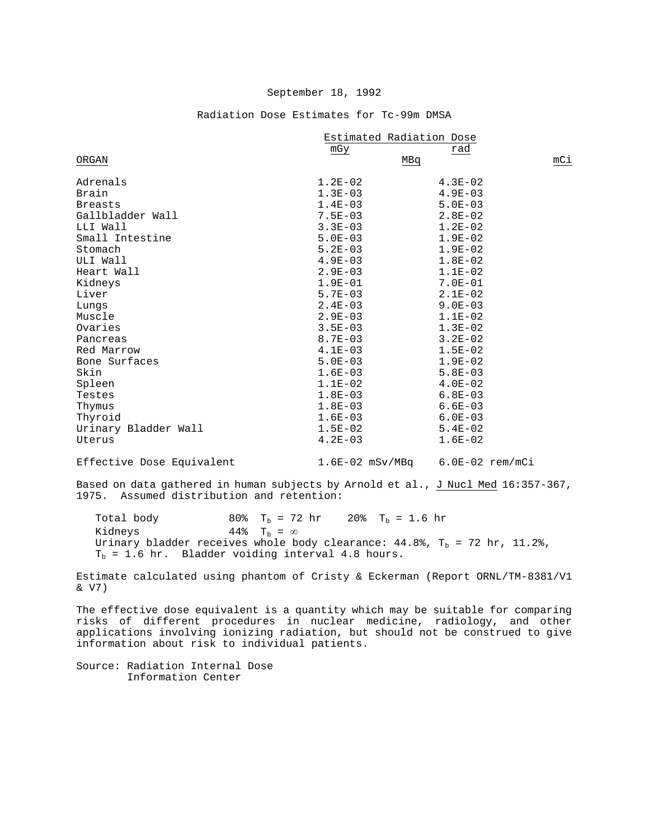|                      | Estimated Radiation Dose |             |     |
|----------------------|--------------------------|-------------|-----|
|                      | mGy                      | rad         |     |
| ORGAN                | MBq                      |             | mCi |
| Adrenals             | $1.2E - 02$              | $4.3E - 02$ |     |
| Brain                | $1.3E - 03$              | $4.9E - 03$ |     |
| <b>Breasts</b>       | $1.4E-03$                | $5.0E - 03$ |     |
| Gallbladder Wall     | $7.5E - 03$              | $2.8E - 02$ |     |
| LLI Wall             | $3.3E - 03$              | $1.2E-02$   |     |
| Small Intestine      | $5.0E - 03$              | $1.9E - 02$ |     |
| Stomach              | $5.2E - 03$              | $1.9E-02$   |     |
| ULI Wall             | $4.9E - 03$              | $1.8E-02$   |     |
| Heart Wall           | $2.9E - 03$              | $1.1E-02$   |     |
| Kidneys              | $1.9E-01$                | $7.0E - 01$ |     |
| Liver                | $5.7E - 03$              | $2.1E-02$   |     |
| Lungs                | $2.4E - 03$              | $9.0E - 03$ |     |
| Muscle               | $2.9E - 03$              | $1.1E-02$   |     |
| Ovaries              | $3.5E - 03$              | $1.3E-02$   |     |
| Pancreas             | $8.7E - 03$              | $3.2E - 02$ |     |
| Red Marrow           | $4.1E-03$                | $1.5E-02$   |     |
| Bone Surfaces        | $5.0E - 03$              | $1.9E - 02$ |     |
| Skin                 | $1.6E - 03$              | $5.8E - 03$ |     |
| Spleen               | $1.1E-02$                | $4.0E-02$   |     |
| Testes               | $1.8E-03$                | $6.8E - 03$ |     |
| Thymus               | $1.8E - 03$              | $6.6E - 03$ |     |
| Thyroid              | $1.6E-03$                | $6.0E - 03$ |     |
| Urinary Bladder Wall | $1.5E-02$                | $5.4E-02$   |     |
| Uterus               | $4.2E - 03$              | $1.6E-02$   |     |

Radiation Dose Estimates for Tc-99m DMSA

Effective Dose Equivalent 1.6E-02 mSv/MBq 6.0E-02 rem/mCi

Based on data gathered in human subjects by Arnold et al., J Nucl Med 16:357-367, 1975. Assumed distribution and retention:

Total body 80%  $T_b = 72$  hr 20%  $T_b = 1.6$  hr Kidneys 44%  $T_b = \infty$ 44%  $T_b = \infty$ Urinary bladder receives whole body clearance:  $44.8$ %, T<sub>b</sub> = 72 hr, 11.2%,  $T_b = 1.6$  hr. Bladder voiding interval 4.8 hours.

Estimate calculated using phantom of Cristy & Eckerman (Report ORNL/TM-8381/V1 & V7)

The effective dose equivalent is a quantity which may be suitable for comparing risks of different procedures in nuclear medicine, radiology, and other applications involving ionizing radiation, but should not be construed to give information about risk to individual patients.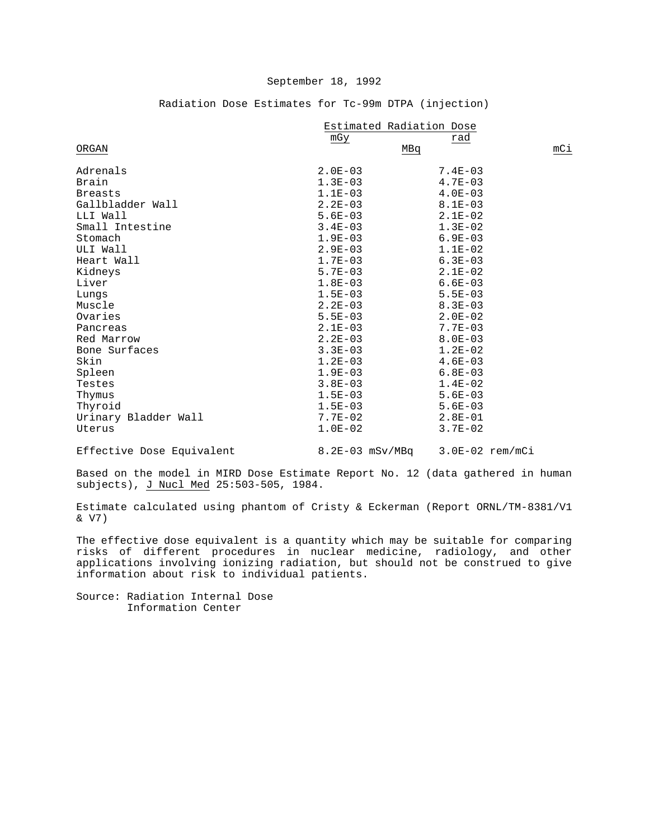| Radiation Dose Estimates for Tc-99m DTPA (injection) |  |
|------------------------------------------------------|--|
|------------------------------------------------------|--|

|                      | Estimated Radiation Dose |             |     |  |
|----------------------|--------------------------|-------------|-----|--|
|                      | mGy                      | rad         |     |  |
| ORGAN                | MBq                      |             | mCi |  |
| Adrenals             | $2.0E-03$                | $7.4E - 03$ |     |  |
| Brain                | $1.3E-03$                | $4.7E - 03$ |     |  |
| <b>Breasts</b>       | $1.1E-03$                | $4.0E - 03$ |     |  |
| Gallbladder Wall     | $2.2E - 03$              | $8.1E - 03$ |     |  |
| LLI Wall             | $5.6E - 03$              | $2.1E-02$   |     |  |
| Small Intestine      | $3.4E - 03$              | $1.3E-02$   |     |  |
| Stomach              | $1.9E-03$                | $6.9E - 03$ |     |  |
| ULI Wall             | $2.9E - 03$              | $1.1E-02$   |     |  |
| Heart Wall           | $1.7E-03$                | $6.3E - 03$ |     |  |
| Kidneys              | $5.7E - 03$              | $2.1E-02$   |     |  |
| Liver                | $1.8E-03$                | $6.6E - 03$ |     |  |
| Lungs                | $1.5E-03$                | $5.5E - 03$ |     |  |
| Muscle               | $2.2E - 03$              | $8.3E - 03$ |     |  |
| Ovaries              | $5.5E - 03$              | $2.0E - 02$ |     |  |
| Pancreas             | $2.1E-03$                | $7.7E - 03$ |     |  |
| Red Marrow           | $2.2E - 03$              | $8.0E - 03$ |     |  |
| Bone Surfaces        | $3.3E - 03$              | $1.2E-02$   |     |  |
| Skin                 | $1.2E - 03$              | $4.6E - 03$ |     |  |
| Spleen               | $1.9E - 03$              | $6.8E - 03$ |     |  |
| Testes               | $3.8E - 03$              | $1.4E-02$   |     |  |
| Thymus               | $1.5E-03$                | $5.6E - 03$ |     |  |
| Thyroid              | $1.5E-03$                | $5.6E - 03$ |     |  |
| Urinary Bladder Wall | $7.7E - 02$              | $2.8E-01$   |     |  |
| Uterus               | $1.0E-02$                | $3.7E - 02$ |     |  |
|                      |                          |             |     |  |

Effective Dose Equivalent 8.2E-03 mSv/MBq 3.0E-02 rem/mCi

Based on the model in MIRD Dose Estimate Report No. 12 (data gathered in human subjects), J Nucl Med 25:503-505, 1984.

Estimate calculated using phantom of Cristy & Eckerman (Report ORNL/TM-8381/V1 & V7)

The effective dose equivalent is a quantity which may be suitable for comparing risks of different procedures in nuclear medicine, radiology, and other applications involving ionizing radiation, but should not be construed to give information about risk to individual patients.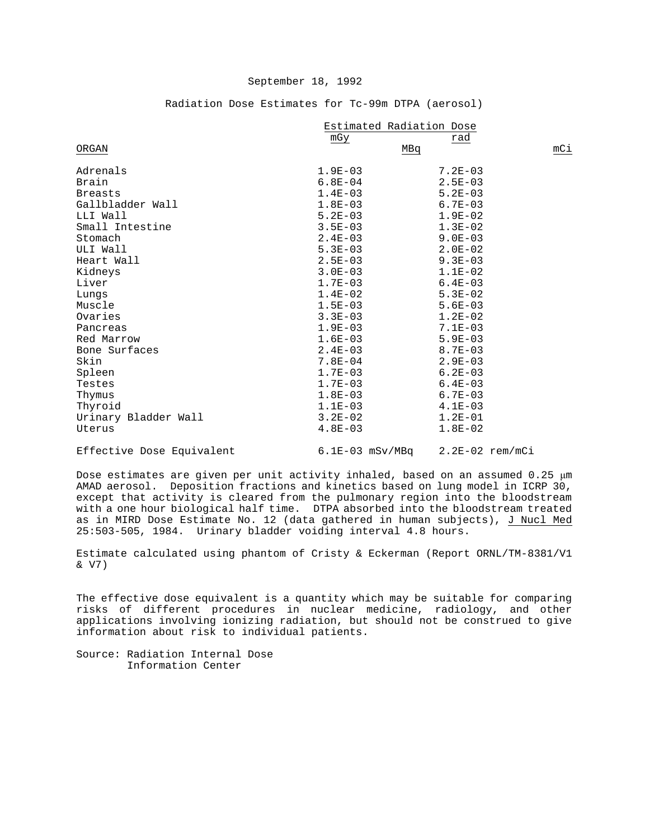|                      | Estimated Radiation Dose |             |  |  |
|----------------------|--------------------------|-------------|--|--|
|                      | mGy                      | rad         |  |  |
| ORGAN                | MBq                      |             |  |  |
| Adrenals             | $1.9E - 03$              | $7.2E - 03$ |  |  |
| Brain                | $6.8E - 04$              | $2.5E - 03$ |  |  |
| <b>Breasts</b>       | $1.4E-03$                | $5.2E - 03$ |  |  |
| Gallbladder Wall     | $1.8E-03$                | $6.7E - 03$ |  |  |
| LLI Wall             | $5.2E - 03$              | $1.9E - 02$ |  |  |
| Small Intestine      | $3.5E - 03$              | $1.3E-02$   |  |  |
| Stomach              | $2.4E - 03$              | $9.0E - 03$ |  |  |
| ULI Wall             | $5.3E-03$                | $2.0E-02$   |  |  |
| Heart Wall           | $2.5E - 03$              | $9.3E - 03$ |  |  |
| Kidneys              | $3.0E - 03$              | $1.1E-02$   |  |  |
| Liver                | $1.7E - 03$              | $6.4E - 03$ |  |  |
| Lungs                | $1.4E-02$                | $5.3E - 02$ |  |  |
| Muscle               | $1.5E - 03$              | $5.6E - 03$ |  |  |
| Ovaries              | $3.3E - 03$              | $1.2E-02$   |  |  |
| Pancreas             | $1.9E - 03$              | $7.1E - 03$ |  |  |
| Red Marrow           | $1.6E-03$                | $5.9E - 03$ |  |  |
| Bone Surfaces        | $2.4E - 03$              | $8.7E - 03$ |  |  |
| Skin                 | $7.8E - 04$              | $2.9E - 03$ |  |  |
| Spleen               | $1.7E-03$                | $6.2E - 03$ |  |  |
| Testes               | $1.7E - 03$              | $6.4E - 03$ |  |  |
| Thymus               | $1.8E-03$                | $6.7E - 03$ |  |  |
| Thyroid              | $1.1E-03$                | $4.1E - 03$ |  |  |
| Urinary Bladder Wall | $3.2E-02$                | $1.2E-01$   |  |  |
| Uterus               | $4.8E-03$                | $1.8E-02$   |  |  |
|                      |                          |             |  |  |

## Radiation Dose Estimates for Tc-99m DTPA (aerosol)

Effective Dose Equivalent 6.1E-03 mSv/MBq 2.2E-02 rem/mCi

Dose estimates are given per unit activity inhaled, based on an assumed 0.25 μm AMAD aerosol. Deposition fractions and kinetics based on lung model in ICRP 30, except that activity is cleared from the pulmonary region into the bloodstream with a one hour biological half time. DTPA absorbed into the bloodstream treated as in MIRD Dose Estimate No. 12 (data gathered in human subjects), J Nucl Med 25:503-505, 1984. Urinary bladder voiding interval 4.8 hours.

Estimate calculated using phantom of Cristy & Eckerman (Report ORNL/TM-8381/V1 & V7)

The effective dose equivalent is a quantity which may be suitable for comparing risks of different procedures in nuclear medicine, radiology, and other applications involving ionizing radiation, but should not be construed to give information about risk to individual patients.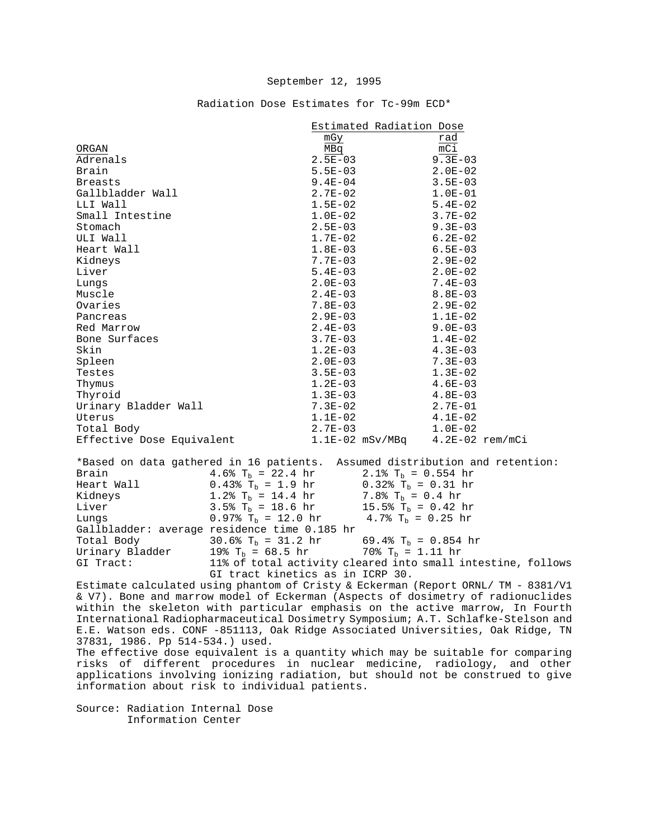Radiation Dose Estimates for Tc-99m ECD\*

|                                                                             |                                                                |                        | Estimated Radiation Dose                                                                                                                       |                                     |
|-----------------------------------------------------------------------------|----------------------------------------------------------------|------------------------|------------------------------------------------------------------------------------------------------------------------------------------------|-------------------------------------|
|                                                                             |                                                                | mGy                    |                                                                                                                                                | rad                                 |
| ORGAN                                                                       |                                                                | MBq                    |                                                                                                                                                | mCi                                 |
| Adrenals                                                                    |                                                                | $2.5E-03$              |                                                                                                                                                | $9.3E - 03$                         |
| Brain                                                                       |                                                                | $5.5E-03$              |                                                                                                                                                | $2.0E-02$                           |
| <b>Breasts</b>                                                              |                                                                | $9.4E - 04$            |                                                                                                                                                | $3.5E-03$                           |
| Gallbladder Wall                                                            |                                                                | $2.7E-02$              |                                                                                                                                                | $1.0E-01$                           |
| LLI Wall                                                                    |                                                                | $1.5E-02$              |                                                                                                                                                | $5.4E-02$                           |
| Small Intestine                                                             |                                                                | $1.0E-02$<br>$2.5E-03$ |                                                                                                                                                | $3.7E-02$                           |
| Stomach                                                                     |                                                                |                        |                                                                                                                                                | 9.3E-03                             |
| ULI Wall                                                                    |                                                                | $1.7E-02$              |                                                                                                                                                | 6.2E-02                             |
| Heart Wall                                                                  |                                                                | $1.8E-03$              |                                                                                                                                                | $6.5E-03$                           |
| Kidneys                                                                     |                                                                | $7.7E-03$              |                                                                                                                                                | $2.9E-02$                           |
| Liver                                                                       |                                                                | $5.4E-03$              |                                                                                                                                                | $2.0E-02$                           |
| Lungs                                                                       |                                                                |                        | $2.0E-03$                                                                                                                                      | $7.4E-03$                           |
| Muscle                                                                      |                                                                |                        | $2.4E-03$                                                                                                                                      | $8.8E - 03$                         |
| Ovaries                                                                     |                                                                |                        | 7.8E-03 2.9E-02                                                                                                                                |                                     |
| Pancreas                                                                    |                                                                |                        | $2.9E-03$                                                                                                                                      | $1.1E-02$                           |
| Red Marrow                                                                  |                                                                |                        | $2.4E-03$ 9.0E-03                                                                                                                              |                                     |
| Bone Surfaces                                                               |                                                                |                        | $3.7E-03$                                                                                                                                      | $1.4E-02$                           |
| Skin                                                                        |                                                                | $1.2E-03$              |                                                                                                                                                | $4.3E-03$                           |
| Spleen                                                                      |                                                                | $2.0E-03$              |                                                                                                                                                | $7.3E-03$                           |
| Testes                                                                      |                                                                | $3.5E-03$              |                                                                                                                                                | $1.3E-02$                           |
| Thymus                                                                      |                                                                | $1.2E-03$              |                                                                                                                                                | $4.6E-03$                           |
| Thyroid                                                                     |                                                                |                        |                                                                                                                                                | $4.8E-03$                           |
| Urinary Bladder Wall                                                        |                                                                | $1.3E-03$<br>$7.3E-02$ |                                                                                                                                                | $2.7E-01$                           |
| Uterus                                                                      |                                                                | $1.1E-02$              |                                                                                                                                                | $4.1E-02$                           |
| Total Body                                                                  |                                                                |                        | $2.7E-03$                                                                                                                                      | $1.0E-02$                           |
| Effective Dose Equivalent                                                   |                                                                |                        |                                                                                                                                                | $1.1E-02$ mSv/MBq $4.2E-02$ rem/mCi |
| *Based on data gathered in 16 patients. Assumed distribution and retention: |                                                                |                        |                                                                                                                                                |                                     |
| Brain                                                                       | 4.6% $T_b = 22.4 \text{ hr}$ 2.1% $T_b = 0.554 \text{ hr}$     |                        |                                                                                                                                                |                                     |
| Heart Wall $0.438$ T <sub>b</sub> = 1.9 hr $0.328$ T <sub>b</sub> = 0.31 hr |                                                                |                        |                                                                                                                                                |                                     |
| Kidneys 1.2% T <sub>b</sub> = 14.4 hr 7.8% T <sub>b</sub> = 0.4 hr          |                                                                |                        |                                                                                                                                                |                                     |
| Liver                                                                       | 3.5% $T_b = 18.6 \text{ hr}$ 15.5% $T_b = 0.42 \text{ hr}$     |                        |                                                                                                                                                |                                     |
| Lungs                                                                       | 0.97% $T_b = 12.0$ hr 4.7% $T_b = 0.25$ hr                     |                        |                                                                                                                                                |                                     |
| Gallbladder: average residence time 0.185 hr                                |                                                                |                        |                                                                                                                                                |                                     |
| Total Body                                                                  | 30.6% T <sub>b</sub> = 31.2 hr 69.4% T <sub>b</sub> = 0.854 hr |                        |                                                                                                                                                |                                     |
|                                                                             | $\sim$ 100 m $\sim$ 0 m $\sim$                                 |                        | $\sqrt{200}$ $\sqrt{200}$ $\sqrt{200}$ $\sqrt{200}$ $\sqrt{200}$ $\sqrt{200}$ $\sqrt{200}$ $\sqrt{200}$ $\sqrt{200}$ $\sqrt{200}$ $\sqrt{200}$ |                                     |

Urinary Bladder 19%  $T_b = 68.5$  hr 70%  $T_b = 1.11$  hr GI Tract: 11% of total activity cleared into small i 11% of total activity cleared into small intestine, follows GI tract kinetics as in ICRP 30.

Estimate calculated using phantom of Cristy & Eckerman (Report ORNL/ TM - 8381/V1 & V7). Bone and marrow model of Eckerman (Aspects of dosimetry of radionuclides within the skeleton with particular emphasis on the active marrow, In Fourth International Radiopharmaceutical Dosimetry Symposium; A.T. Schlafke-Stelson and E.E. Watson eds. CONF -851113, Oak Ridge Associated Universities, Oak Ridge, TN 37831, 1986. Pp 514-534.) used.

The effective dose equivalent is a quantity which may be suitable for comparing risks of different procedures in nuclear medicine, radiology, and other applications involving ionizing radiation, but should not be construed to give information about risk to individual patients.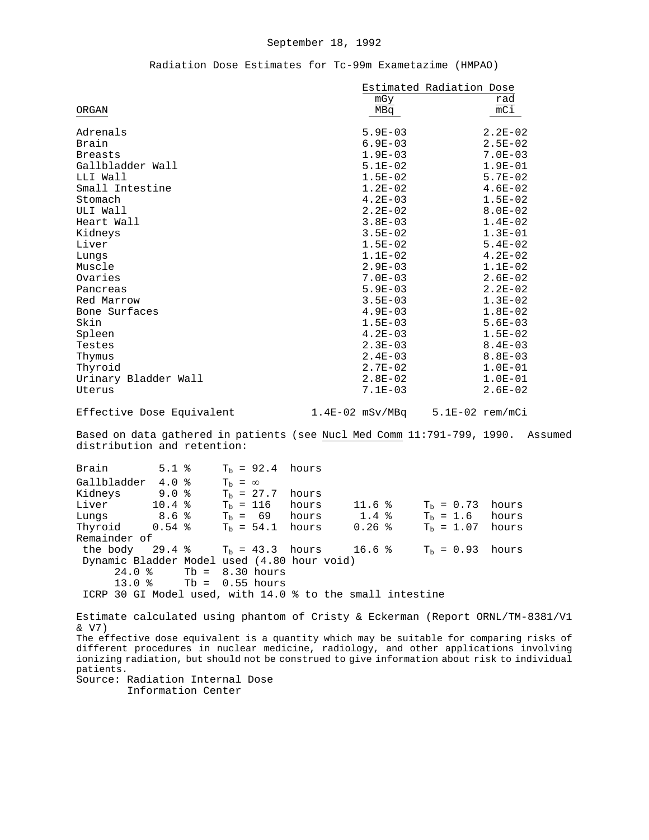## Radiation Dose Estimates for Tc-99m Exametazime (HMPAO)

|                                                                                                                                                                                       |       | Estimated Radiation Dose        |                   |             |
|---------------------------------------------------------------------------------------------------------------------------------------------------------------------------------------|-------|---------------------------------|-------------------|-------------|
|                                                                                                                                                                                       |       | mGy                             |                   | rad         |
| ORGAN                                                                                                                                                                                 |       | MBq                             |                   | mCi         |
|                                                                                                                                                                                       |       |                                 |                   |             |
| Adrenals                                                                                                                                                                              |       | $5.9E-03$                       |                   | $2.2E-02$   |
| Brain                                                                                                                                                                                 |       | $6.9E - 03$                     |                   | $2.5E-02$   |
| <b>Breasts</b>                                                                                                                                                                        |       | $1.9E-03$                       |                   | $7.0E - 03$ |
| Gallbladder Wall                                                                                                                                                                      |       | $5.1E-02$                       |                   | $1.9E-01$   |
| LLI Wall                                                                                                                                                                              |       | $1.5E-02$                       |                   | $5.7E - 02$ |
| Small Intestine                                                                                                                                                                       |       | $1.2E-02$                       |                   | $4.6E - 02$ |
| Stomach                                                                                                                                                                               |       | $4.2E-03$                       |                   | $1.5E-02$   |
| ULI Wall                                                                                                                                                                              |       | $2.2E-02$                       |                   | $8.0E - 02$ |
| Heart Wall                                                                                                                                                                            |       | $3.8E-03$                       |                   | $1.4E-02$   |
| Kidneys                                                                                                                                                                               |       | $3.5E-02$                       |                   | $1.3E-01$   |
| Liver                                                                                                                                                                                 |       | $1.5E-02$                       |                   | $5.4E-02$   |
| Lungs                                                                                                                                                                                 |       | $1.1E-02$                       |                   | $4.2E-02$   |
| Muscle                                                                                                                                                                                |       | $2.9E-03$                       |                   | $1.1E-02$   |
| Ovaries                                                                                                                                                                               |       | $7.0E-03$                       |                   | $2.6E-02$   |
|                                                                                                                                                                                       |       |                                 |                   |             |
| Pancreas                                                                                                                                                                              |       | $5.9E-03$                       |                   | $2.2E-02$   |
| Red Marrow                                                                                                                                                                            |       | $3.5E-03$                       |                   | $1.3E-02$   |
| Bone Surfaces                                                                                                                                                                         |       | $4.9E-03$                       |                   | $1.8E-02$   |
| Skin                                                                                                                                                                                  |       | $1.5E-03$                       |                   | $5.6E - 03$ |
| Spleen                                                                                                                                                                                |       | $4.2E-03$                       |                   | $1.5E-02$   |
| Testes                                                                                                                                                                                |       | $2.3E-03$                       |                   | $8.4E - 03$ |
| Thymus                                                                                                                                                                                |       | $2.4E-03$                       |                   | $8.8E - 03$ |
| Thyroid                                                                                                                                                                               |       | $2.7E-02$                       |                   | $1.0E-01$   |
| Urinary Bladder Wall                                                                                                                                                                  |       | $2.8E-02$                       |                   | $1.0E-01$   |
| Uterus                                                                                                                                                                                |       | $7.1E-03$                       |                   | $2.6E - 02$ |
| Effective Dose Equivalent                                                                                                                                                             |       | 1.4E-02 mSv/MBq 5.1E-02 rem/mCi |                   |             |
| Based on data gathered in patients (see Nucl Med Comm 11:791-799, 1990. Assumed<br>distribution and retention:                                                                        |       |                                 |                   |             |
| $T_b = 92.4$<br>Brain<br>$5.1$ %                                                                                                                                                      | hours |                                 |                   |             |
| Gallbladder 4.0 %<br>$T_b = \infty$                                                                                                                                                   |       |                                 |                   |             |
| Kidneys<br>$9.0$ %<br>$T_{\rm b}$ = 27.7                                                                                                                                              | hours |                                 |                   |             |
| Liver<br>10.4%<br>$T_b = 116$                                                                                                                                                         | hours | 11.6 <sup>8</sup>               | $T_b = 0.73$      | hours       |
| Lungs<br>8.6%<br>$T_b = 69$ hours                                                                                                                                                     |       | $1.4$ %                         | $T_{\rm b} = 1.6$ | hours       |
| Thyroid<br>$T_h = 54.1$ hours<br>$0.54$ %                                                                                                                                             |       | $0.26$ %                        | $T_h = 1.07$      | hours       |
| Remainder of                                                                                                                                                                          |       |                                 |                   |             |
| the body<br>29.4%<br>$Tb = 43.3$ hours                                                                                                                                                |       | 16.6%                           | $T_h = 0.93$      | hours       |
| Dynamic Bladder Model used (4.80 hour void)                                                                                                                                           |       |                                 |                   |             |
| 24.0%<br>8.30 hours<br>$Tb =$                                                                                                                                                         |       |                                 |                   |             |
| $0.55$ hours<br>13.0%<br>$Tb =$                                                                                                                                                       |       |                                 |                   |             |
|                                                                                                                                                                                       |       |                                 |                   |             |
| ICRP 30 GI Model used, with 14.0 % to the small intestine                                                                                                                             |       |                                 |                   |             |
| Estimate calculated using phantom of Cristy & Eckerman (Report ORNL/TM-8381/Vl<br>& V7)                                                                                               |       |                                 |                   |             |
| The effective dose equivalent is a quantity which may be suitable for comparing risks of                                                                                              |       |                                 |                   |             |
| different procedures in nuclear medicine, radiology, and other applications involving<br>ionizing radiation, but should not be construed to give information about risk to individual |       |                                 |                   |             |
| patients.                                                                                                                                                                             |       |                                 |                   |             |
| Source: Radiation Internal Dose<br>Information Center                                                                                                                                 |       |                                 |                   |             |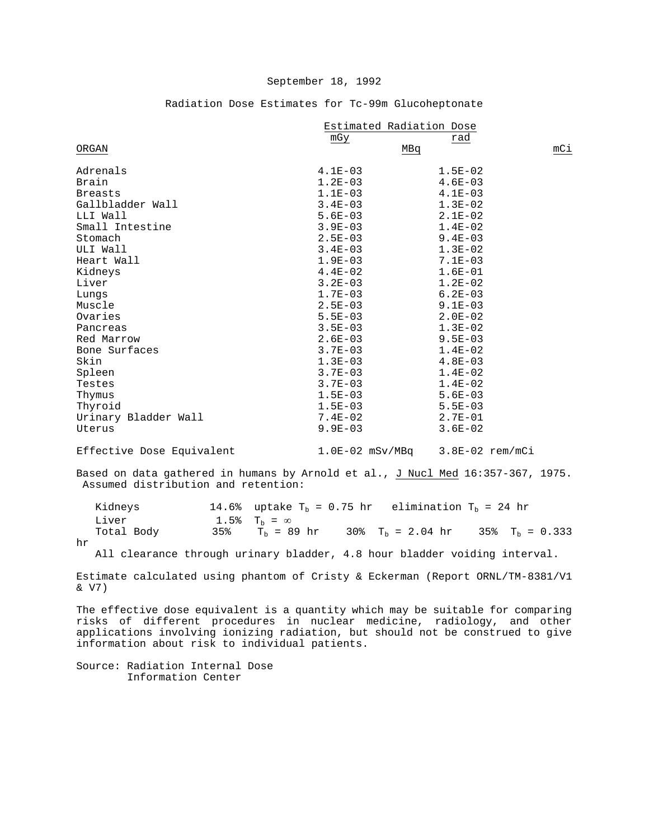|                      | Estimated Radiation Dose |             |     |
|----------------------|--------------------------|-------------|-----|
|                      | mGy                      | rad         |     |
| ORGAN                |                          | MBq         | mCi |
| Adrenals             | $4.1E-03$                | $1.5E-02$   |     |
| Brain                | $1.2E - 03$              | $4.6E - 03$ |     |
| <b>Breasts</b>       | $1.1E-03$                | $4.1E-03$   |     |
| Gallbladder Wall     | $3.4E - 03$              | $1.3E-02$   |     |
| LLI Wall             | $5.6E-03$                | $2.1E-02$   |     |
| Small Intestine      | $3.9E - 03$              | $1.4E - 02$ |     |
| Stomach              | $2.5E - 03$              | $9.4E - 03$ |     |
| ULI Wall             | $3.4E - 03$              | $1.3E-02$   |     |
| Heart Wall           | $1.9E - 03$              | $7.1E - 03$ |     |
| Kidneys              | $4.4E-02$                | $1.6E-01$   |     |
| Liver                | $3.2E - 03$              | $1.2E-02$   |     |
| Lungs                | $1.7E-03$                | $6.2E - 03$ |     |
| Muscle               | $2.5E - 03$              | $9.1E - 03$ |     |
| Ovaries              | $5.5E - 03$              | $2.0E-02$   |     |
| Pancreas             | $3.5E - 03$              | $1.3E-02$   |     |
| Red Marrow           | $2.6E - 03$              | $9.5E - 03$ |     |
| Bone Surfaces        | $3.7E - 03$              | $1.4E-02$   |     |
| Skin                 | $1.3E-03$                | $4.8E - 03$ |     |
| Spleen               | $3.7E - 03$              | $1.4E-02$   |     |
| Testes               | $3.7E - 03$              | $1.4E-02$   |     |
| Thymus               | $1.5E-03$                | $5.6E - 03$ |     |
| Thyroid              | $1.5E-03$                | $5.5E - 03$ |     |
| Urinary Bladder Wall | $7.4E-02$                | $2.7E - 01$ |     |
| Uterus               | $9.9E - 03$              | $3.6E - 02$ |     |
|                      |                          |             |     |

# Radiation Dose Estimates for Tc-99m Glucoheptonate

Effective Dose Equivalent 1.0E-02 mSv/MBq 3.8E-02 rem/mCi

Based on data gathered in humans by Arnold et al., J Nucl Med 16:357-367, 1975. Assumed distribution and retention:

| Kidneys    |     |                     | 14.6% uptake $T_b = 0.75$ hr elimination $T_b = 24$ hr |                   |
|------------|-----|---------------------|--------------------------------------------------------|-------------------|
| Liver      |     | 1.5% $T_h = \infty$ |                                                        |                   |
| Total Body | 35% | $T_{h}$ = 89 hr     | 30% $T_h = 2.04$ hr                                    | 35% $T_h = 0.333$ |

hr

All clearance through urinary bladder, 4.8 hour bladder voiding interval.

Estimate calculated using phantom of Cristy & Eckerman (Report ORNL/TM-8381/V1 & V7)

The effective dose equivalent is a quantity which may be suitable for comparing risks of different procedures in nuclear medicine, radiology, and other applications involving ionizing radiation, but should not be construed to give information about risk to individual patients.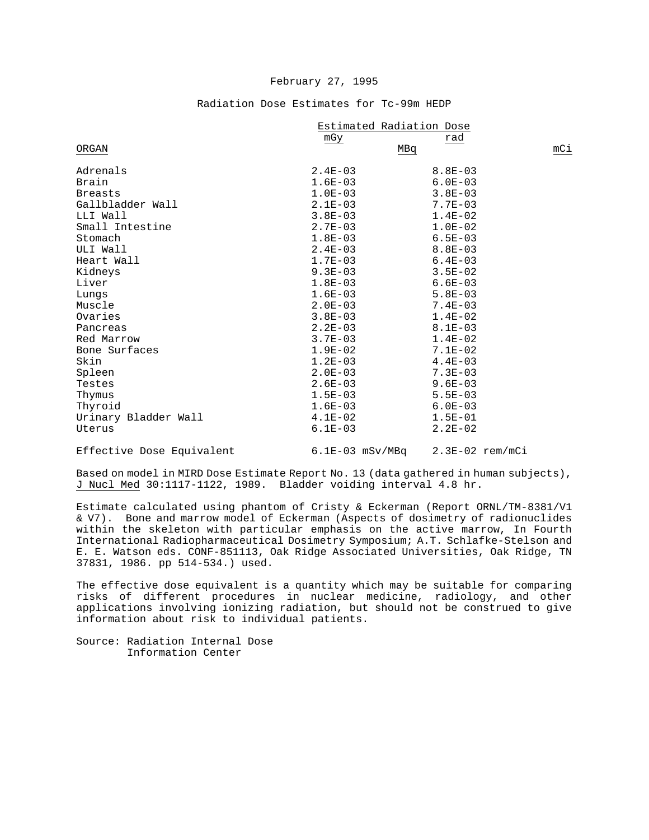# Estimated Radiation Dose<br>mGy rad m $G_Y$  rad  $\overline{\text{M}}$  mass  $\overline{\text{M}}$  mass  $\overline{\text{M}}$  mass  $\overline{\text{M}}$  mass  $\overline{\text{M}}$  mass  $\overline{\text{M}}$  mass  $\overline{\text{M}}$  mass  $\overline{\text{M}}$  mass  $\overline{\text{M}}$  mass  $\overline{\text{M}}$  mass  $\overline{\text{M}}$  mass  $\overline{\text{M}}$  mass  $\overline{\text{M}}$  mass  $\overline{\text{M}}$  ma Adrenals Adrenals 2.4E-03 8.8E-03 Brain 1.6E-03 6.0E-03 Breasts 3.8E-03 1.0E-03 3.8E-03 Gallbladder Wall 2.1E-03 7.7E-03 LLI Wall 3.8E-03 1.4E-02 Small Intestine 2.7E-03 1.0E-02<br>Stomach 1.8E-03 6.5E-03 Stomach 1.8E-03 6.5E-03 ULI Wall 2.4E-03 8.8E-03 Heart Wall 1.7E-03 6.4E-03<br>Kidneys 9.3E-03 3.5E-02  $Kidneys$  3.5E-02 Liver 6.6E-03 6.6E-03 Lungs 5.8E-03 5.8E-03 Muscle 7.4E-03 Ovaries 3.8E-03 1.4E-02 Pancreas 2.2E-03 8.1E-03 Red Marrow 1.4E-02<br>Bone Surfaces 1.9E-02 7.1E-02 Bone Surfaces 1.9E-02 7.1E-02<br>Skin 1.2E-03 4.4E-03 Skin 1.2E-03 4.4E-03 Spleen 2.0E-03 7.3E-03 Testes 2.6E-03 9.6E-03

#### Radiation Dose Estimates for Tc-99m HEDP

Effective Dose Equivalent 6.1E-03 mSv/MBq 2.3E-02 rem/mCi

Based on model in MIRD Dose Estimate Report No. 13 (data gathered in human subjects), J Nucl Med 30:1117-1122, 1989. Bladder voiding interval 4.8 hr.

Thymus 1.5E-03 5.5E-03 Thyroid 1.6E-03 6.0E-03 Urinary Bladder Wall  $4.1E-02$   $1.5E-01$ <br>Uterus  $6.1E-03$   $2.2E-02$ Uterus  $6.1E-03$  2.2E-02

Estimate calculated using phantom of Cristy & Eckerman (Report ORNL/TM-8381/V1 & V7). Bone and marrow model of Eckerman (Aspects of dosimetry of radionuclides within the skeleton with particular emphasis on the active marrow, In Fourth International Radiopharmaceutical Dosimetry Symposium; A.T. Schlafke-Stelson and E. E. Watson eds. CONF-851113, Oak Ridge Associated Universities, Oak Ridge, TN 37831, 1986. pp 514-534.) used.

The effective dose equivalent is a quantity which may be suitable for comparing risks of different procedures in nuclear medicine, radiology, and other applications involving ionizing radiation, but should not be construed to give information about risk to individual patients.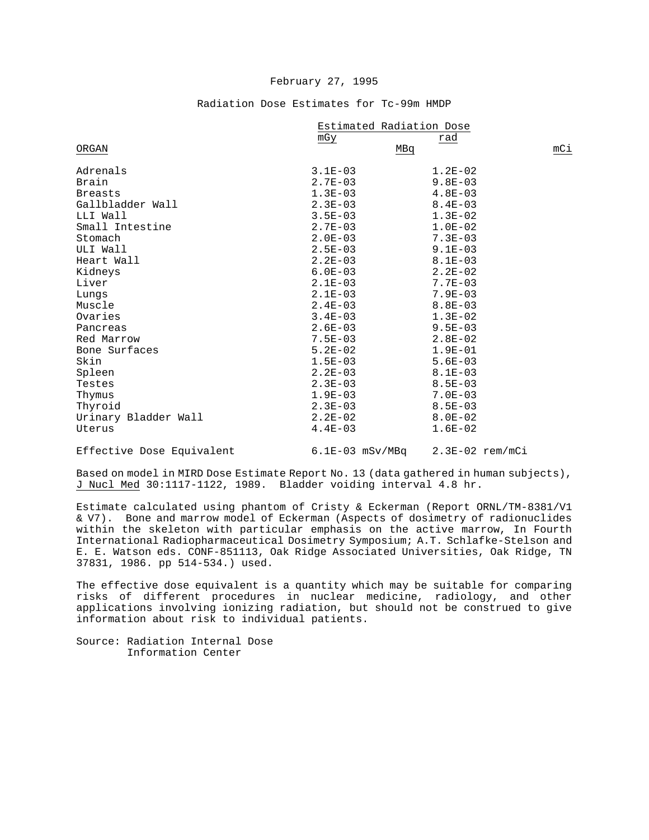# Estimated Radiation Dose mg $\frac{\text{mGy}}{2}$  rad  $\overline{\text{M}}$ Bq mCi Adrenals Adrenals 3.1E-03 1.2E-02 Brain 2.7E-03 9.8E-03 Breasts 1.3E-03 4.8E-03 Gallbladder Wall 2.3E-03 8.4E-03 LLI Wall 3.5E-03 1.3E-02 Small Intestine 2.7E-03 1.0E-02<br>Stomach 2.0E-03 7.3E-03 Stomach 2.0E-03 7.3E-03 ULI Wall 2.5E-03 9.1E-03 Heart Wall  $2.2E-03$  8.1E-03<br>Kidneys 8.2E-02 6.0E-03 2.2E-02 Kidneys 6.0E-03 2.2E-02 Liver 2.1E-03 7.7E-03 Lungs 2.1E-03 7.9E-03 Muscle 8.8E-03 8.8E-03 Ovaries 3.4E-03 1.3E-02 Pancreas 2.6E-03 9.5E-03 Red Marrow 7.5E-03 2.8E-02<br>Bone Surfaces 6.2E-02 1.9E-01 Bone Surfaces 6.2E-02 1.9E-01<br>Skin 1.5E-03 5.6E-03 Skin 1.5E-03 5.6E-03 Spleen 8.1E-03  $T$ estes  $2.3E-03$  8.5E-03 Thymus 1.9E-03 7.0E-03 Thyroid 2.3E-03 8.5E-03 Urinary Bladder Wall  $2.2E-02$  8.0E-02<br>Uterus 1.6E-02 1.6E-02 Uterus 1.6E-02

#### Radiation Dose Estimates for Tc-99m HMDP

Effective Dose Equivalent 6.1E-03 mSv/MBq 2.3E-02 rem/mCi

Based on model in MIRD Dose Estimate Report No. 13 (data gathered in human subjects), J Nucl Med 30:1117-1122, 1989. Bladder voiding interval 4.8 hr.

Estimate calculated using phantom of Cristy & Eckerman (Report ORNL/TM-8381/V1 & V7). Bone and marrow model of Eckerman (Aspects of dosimetry of radionuclides within the skeleton with particular emphasis on the active marrow, In Fourth International Radiopharmaceutical Dosimetry Symposium; A.T. Schlafke-Stelson and E. E. Watson eds. CONF-851113, Oak Ridge Associated Universities, Oak Ridge, TN 37831, 1986. pp 514-534.) used.

The effective dose equivalent is a quantity which may be suitable for comparing risks of different procedures in nuclear medicine, radiology, and other applications involving ionizing radiation, but should not be construed to give information about risk to individual patients.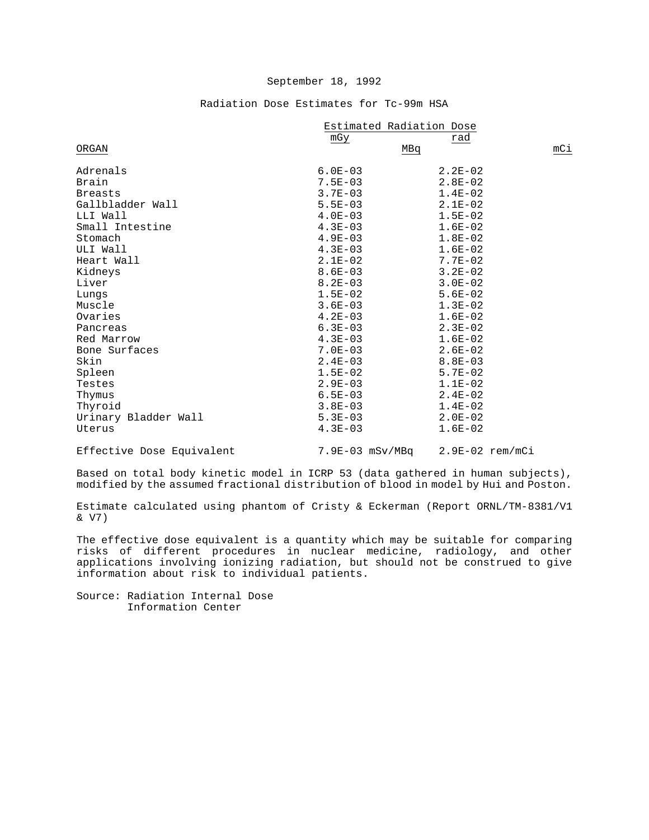# Radiation Dose Estimates for Tc-99m HSA

|                      | Estimated Radiation Dose |             |     |
|----------------------|--------------------------|-------------|-----|
|                      | mGy                      | rad         |     |
| ORGAN                |                          | MBq         | mCi |
| Adrenals             | $6.0E - 03$              | $2.2E - 02$ |     |
| Brain                | $7.5E - 03$              | $2.8E - 02$ |     |
| <b>Breasts</b>       | $3.7E - 03$              | $1.4E-02$   |     |
| Gallbladder Wall     | $5.5E - 03$              | $2.1E-02$   |     |
| LLI Wall             | $4.0E-03$                | $1.5E-02$   |     |
| Small Intestine      | $4.3E - 03$              | $1.6E - 02$ |     |
| Stomach              | $4.9E - 03$              | $1.8E-02$   |     |
| ULI Wall             | $4.3E-03$                | $1.6E-02$   |     |
| Heart Wall           | $2.1E-02$                | $7.7E - 02$ |     |
| Kidneys              | $8.6E - 03$              | $3.2E - 02$ |     |
| Liver                | $8.2E - 03$              | $3.0E - 02$ |     |
| Lungs                | $1.5E-02$                | $5.6E-02$   |     |
| Muscle               | $3.6E - 03$              | $1.3E-02$   |     |
| Ovaries              | $4.2E - 03$              | $1.6E-02$   |     |
| Pancreas             | $6.3E-03$                | $2.3E-02$   |     |
| Red Marrow           | $4.3E - 03$              | $1.6E-02$   |     |
| Bone Surfaces        | $7.0E - 03$              | $2.6E - 02$ |     |
| Skin                 | $2.4E-03$                | $8.8E - 03$ |     |
| Spleen               | $1.5E-02$                | $5.7E - 02$ |     |
| Testes               | $2.9E - 03$              | $1.1E-02$   |     |
| Thymus               | $6.5E - 03$              | $2.4E-02$   |     |
| Thyroid              | $3.8E - 03$              | $1.4E-02$   |     |
| Urinary Bladder Wall | $5.3E - 03$              | $2.0E-02$   |     |
| Uterus               | $4.3E - 03$              | $1.6E-02$   |     |
|                      |                          |             |     |

Effective Dose Equivalent 7.9E-03 mSv/MBq 2.9E-02 rem/mCi

Based on total body kinetic model in ICRP 53 (data gathered in human subjects), modified by the assumed fractional distribution of blood in model by Hui and Poston.

Estimate calculated using phantom of Cristy & Eckerman (Report ORNL/TM-8381/V1 & V7)

The effective dose equivalent is a quantity which may be suitable for comparing risks of different procedures in nuclear medicine, radiology, and other applications involving ionizing radiation, but should not be construed to give information about risk to individual patients.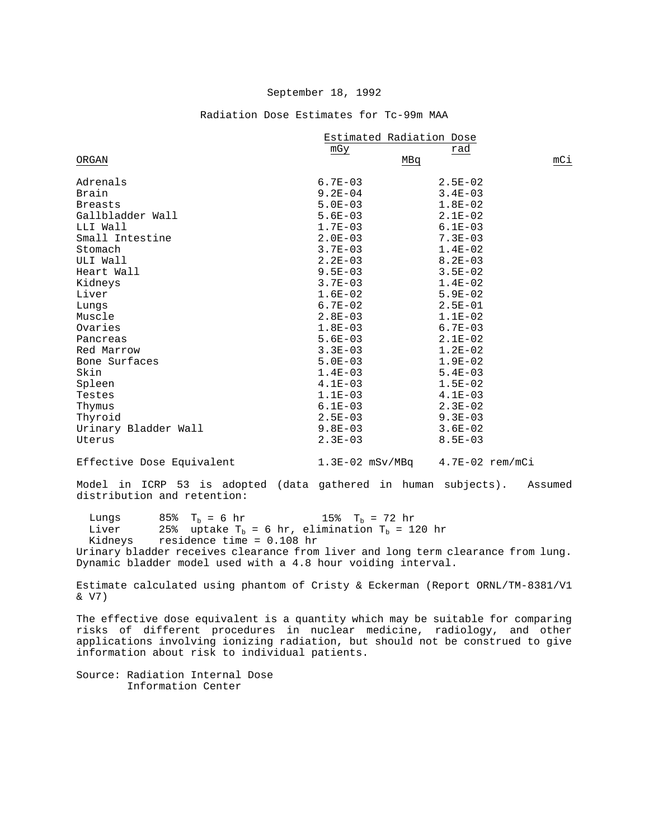|                      | Estimated Radiation Dose |             |     |
|----------------------|--------------------------|-------------|-----|
| ORGAN                | mGy<br>MBq               | rad         | mCi |
| Adrenals             | $6.7E - 03$              | $2.5E-02$   |     |
| Brain                | $9.2E - 04$              | $3.4E - 03$ |     |
| <b>Breasts</b>       | $5.0E-03$                | $1.8E-02$   |     |
| Gallbladder Wall     | $5.6E - 03$              | $2.1E-02$   |     |
| LLI Wall             | $1.7E-03$                | $6.1E - 03$ |     |
| Small Intestine      | $2.0E - 03$              | $7.3E - 03$ |     |
| Stomach              | $3.7E - 03$              | $1.4E-02$   |     |
| ULI Wall             | $2.2E - 03$              | $8.2E - 03$ |     |
| Heart Wall           | $9.5E - 03$              | $3.5E - 02$ |     |
| Kidneys              | $3.7E - 03$              | $1.4E-02$   |     |
| Liver                | $1.6E-02$                | $5.9E - 02$ |     |
| Lungs                | $6.7E - 02$              | $2.5E-01$   |     |
| Muscle               | $2.8E - 03$              | $1.1E-02$   |     |
| Ovaries              | $1.8E - 03$              | $6.7E - 03$ |     |
| Pancreas             | $5.6E - 03$              | $2.1E-02$   |     |
| Red Marrow           | $3.3E - 03$              | $1.2E-02$   |     |
| Bone Surfaces        | $5.0E - 03$              | $1.9E - 02$ |     |
| Skin                 | $1.4E-03$                | $5.4E - 03$ |     |
| Spleen               | $4.1E-03$                | $1.5E-02$   |     |
| Testes               | $1.1E-03$                | $4.1E-03$   |     |
| Thymus               | $6.1E-03$                | $2.3E-02$   |     |
| Thyroid              | $2.5E - 03$              | $9.3E - 03$ |     |
| Urinary Bladder Wall | $9.8E - 03$              | $3.6E - 02$ |     |
| Uterus               | $2.3E - 03$              | $8.5E - 03$ |     |

Radiation Dose Estimates for Tc-99m MAA

Effective Dose Equivalent 1.3E-02 mSv/MBq 4.7E-02 rem/mCi

Model in ICRP 53 is adopted (data gathered in human subjects). Assumed distribution and retention:

Lungs 85%  $T_b = 6$  hr 15%  $T_b = 72$  hr<br>Liver 25% uptake  $T_h = 6$  hr, elimination  $T_h = 1$ Liver 25% uptake  $T_b = 6$  hr, elimination  $T_b = 120$  hr Kidneys residence time = 0.108 hr residence time =  $0.108$  hr Urinary bladder receives clearance from liver and long term clearance from lung. Dynamic bladder model used with a 4.8 hour voiding interval.

Estimate calculated using phantom of Cristy & Eckerman (Report ORNL/TM-8381/V1 & V7)

The effective dose equivalent is a quantity which may be suitable for comparing risks of different procedures in nuclear medicine, radiology, and other applications involving ionizing radiation, but should not be construed to give information about risk to individual patients.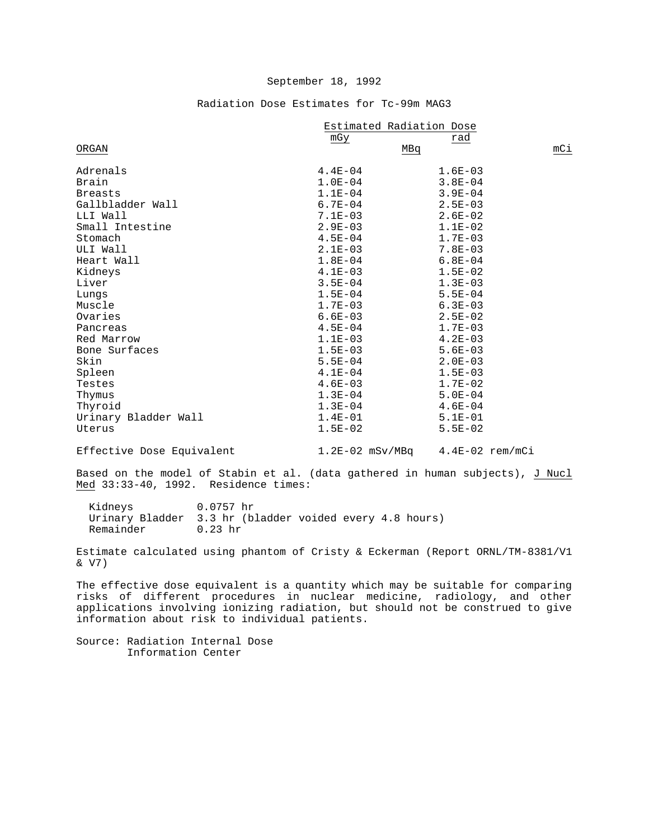# Radiation Dose Estimates for Tc-99m MAG3

|                      | Estimated Radiation Dose |             |     |
|----------------------|--------------------------|-------------|-----|
|                      | mGy                      | rad         |     |
| ORGAN                | MBq                      |             | mCi |
| Adrenals             | $4.4E - 04$              | $1.6E - 03$ |     |
| Brain                | $1.0E - 04$              | $3.8E - 04$ |     |
| <b>Breasts</b>       | $1.1E-04$                | $3.9E - 04$ |     |
| Gallbladder Wall     | $6.7E - 04$              | $2.5E - 03$ |     |
| LLI Wall             | $7.1E-03$                | $2.6E - 02$ |     |
| Small Intestine      | $2.9E - 03$              | $1.1E-02$   |     |
| Stomach              | $4.5E - 04$              | $1.7E - 03$ |     |
| ULI Wall             | $2.1E-03$                | $7.8E - 03$ |     |
| Heart Wall           | $1.8E - 04$              | $6.8E - 04$ |     |
| Kidneys              | $4.1E-03$                | $1.5E-02$   |     |
| Liver                | $3.5E - 04$              | $1.3E-03$   |     |
| Lungs                | $1.5E-04$                | $5.5E - 04$ |     |
| Muscle               | $1.7E-03$                | $6.3E - 03$ |     |
| Ovaries              | $6.6E-03$                | $2.5E - 02$ |     |
| Pancreas             | $4.5E - 04$              | $1.7E - 03$ |     |
| Red Marrow           | $1.1E-03$                | $4.2E - 03$ |     |
| Bone Surfaces        | $1.5E - 03$              | $5.6E - 03$ |     |
| Skin                 | $5.5E - 04$              | $2.0E - 03$ |     |
| Spleen               | $4.1E-04$                | $1.5E - 03$ |     |
| Testes               | $4.6E-03$                | $1.7E-02$   |     |
| Thymus               | $1.3E-04$                | $5.0E - 04$ |     |
| Thyroid              | $1.3E-04$                | $4.6E - 04$ |     |
| Urinary Bladder Wall | $1.4E - 01$              | $5.1E - 01$ |     |
| Uterus               | $1.5E-02$                | $5.5E - 02$ |     |

Effective Dose Equivalent 1.2E-02 mSv/MBq 4.4E-02 rem/mCi

Based on the model of Stabin et al. (data gathered in human subjects), J Nucl Med 33:33-40, 1992. Residence times:

 Kidneys 0.0757 hr Urinary Bladder 3.3 hr (bladder voided every 4.8 hours) Remainder

Estimate calculated using phantom of Cristy & Eckerman (Report ORNL/TM-8381/V1 & V7)

The effective dose equivalent is a quantity which may be suitable for comparing risks of different procedures in nuclear medicine, radiology, and other applications involving ionizing radiation, but should not be construed to give information about risk to individual patients.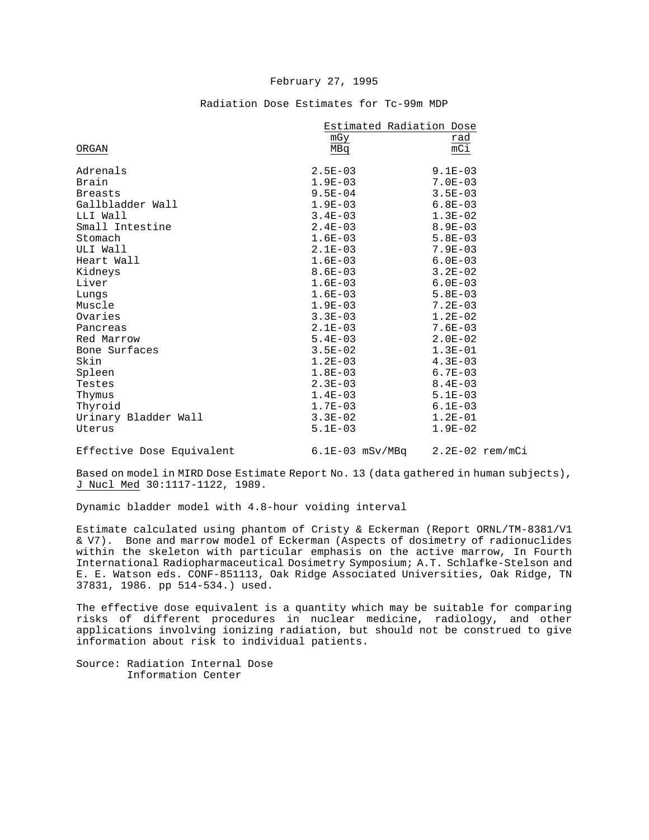|                           | Estimated Radiation Dose |                                     |  |
|---------------------------|--------------------------|-------------------------------------|--|
|                           | mGy                      | rad                                 |  |
| ORGAN                     | MBq                      | mCi                                 |  |
| Adrenals                  | $2.5E-03$                | $9.1E - 03$                         |  |
| Brain                     | $1.9E-03$                | $7.0E - 03$                         |  |
| <b>Breasts</b>            | $9.5E - 04$              | $3.5E - 03$                         |  |
| Gallbladder Wall          | $1.9E-03$                | $6.8E - 03$                         |  |
| LLI Wall                  | $3.4E-03$                | $1.3E-02$                           |  |
| Small Intestine           | $2.4E-03$                | $8.9E - 03$                         |  |
| Stomach                   | $1.6E-03$                | $5.8E - 03$                         |  |
| ULI Wall                  | $2.1E-03$                | $7.9E - 03$                         |  |
| Heart Wall                | $1.6E-03$                | $6.0E - 03$                         |  |
| Kidneys                   | $8.6E - 03$              | $3.2E - 02$                         |  |
| Liver                     | $1.6E - 03$              | $6.0E - 03$                         |  |
| Lungs                     | $1.6E-03$                | $5.8E-03$                           |  |
| Muscle                    | $1.9E-03$                | $7.2E - 03$                         |  |
| Ovaries                   | $3.3E - 03$              | $1.2E-02$                           |  |
| Pancreas                  | $2.1E-03$                | $7.6E - 03$                         |  |
| Red Marrow                | $5.4E-03$                | $2.0E - 02$                         |  |
| Bone Surfaces             | $3.5E-02$                | $1.3E-01$                           |  |
| Skin                      | $1.2E-03$                | $4.3E-03$                           |  |
| Spleen                    | $1.8E-03$                | $6.7E - 03$                         |  |
| Testes                    | $2.3E-03$                | $8.4E - 03$                         |  |
| Thymus                    | $1.4E-03$                | $5.1E-03$                           |  |
| Thyroid                   | $1.7E-03$                | $6.1E-03$                           |  |
| Urinary Bladder Wall      | $3.3E-02$                | $1.2E-01$                           |  |
| Uterus                    | $5.1E-03$                | $1.9E-02$                           |  |
| Effective Dose Equivalent |                          | $6.1E-03$ mSv/MBq $2.2E-02$ rem/mCi |  |

## Radiation Dose Estimates for Tc-99m MDP

Based on model in MIRD Dose Estimate Report No. 13 (data gathered in human subjects), J Nucl Med 30:1117-1122, 1989.

Dynamic bladder model with 4.8-hour voiding interval

Estimate calculated using phantom of Cristy & Eckerman (Report ORNL/TM-8381/V1 & V7). Bone and marrow model of Eckerman (Aspects of dosimetry of radionuclides within the skeleton with particular emphasis on the active marrow, In Fourth International Radiopharmaceutical Dosimetry Symposium; A.T. Schlafke-Stelson and E. E. Watson eds. CONF-851113, Oak Ridge Associated Universities, Oak Ridge, TN 37831, 1986. pp 514-534.) used.

The effective dose equivalent is a quantity which may be suitable for comparing risks of different procedures in nuclear medicine, radiology, and other applications involving ionizing radiation, but should not be construed to give information about risk to individual patients.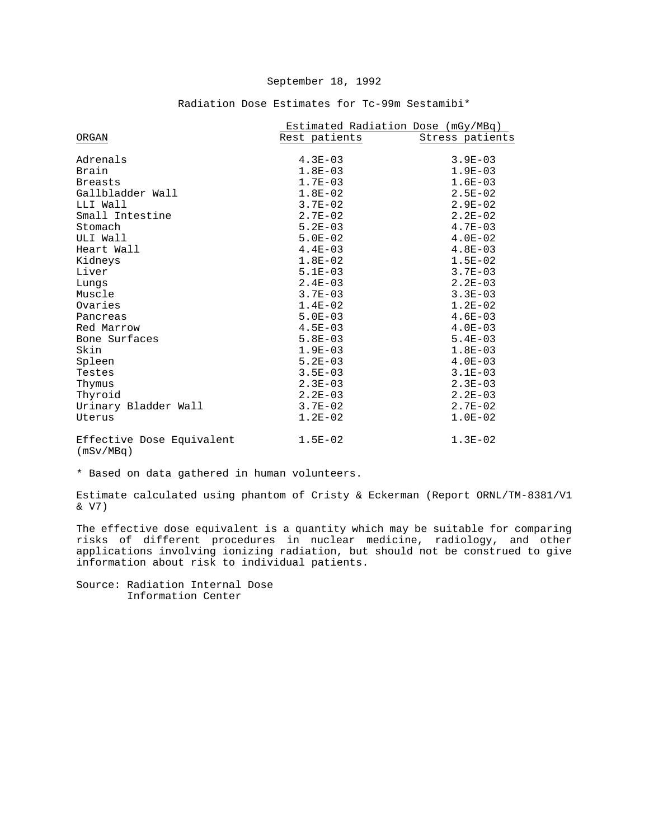|                                        | Estimated Radiation Dose (mGy/MBq) |                 |
|----------------------------------------|------------------------------------|-----------------|
| ORGAN                                  | Rest patients                      | Stress patients |
|                                        |                                    |                 |
| Adrenals                               | $4.3E - 03$                        | $3.9E - 03$     |
| Brain                                  | $1.8E - 03$                        | $1.9E-03$       |
| <b>Breasts</b>                         | $1.7E-03$                          | $1.6E-03$       |
| Gallbladder Wall                       | $1.8E-02$                          | $2.5E - 02$     |
| LLI Wall                               | $3.7E - 02$                        | $2.9E - 02$     |
| Small Intestine                        | $2.7E - 02$                        | $2.2E - 02$     |
| Stomach                                | $5.2E - 03$                        | $4.7E - 03$     |
| ULI Wall                               | $5.0E - 02$                        | $4.0E - 02$     |
| Heart Wall                             | $4.4E-03$                          | $4.8E - 03$     |
| Kidneys                                | $1.8E-02$                          | $1.5E-02$       |
| Liver                                  | $5.1E-03$                          | $3.7E - 03$     |
| Lungs                                  | $2.4E-03$                          | $2.2E - 03$     |
| Muscle                                 | $3.7E - 03$                        | $3.3E-03$       |
| Ovaries                                | $1.4E-02$                          | $1.2E-02$       |
| Pancreas                               | $5.0E - 03$                        | $4.6E-03$       |
| Red Marrow                             | $4.5E - 03$                        | $4.0E - 03$     |
| Bone Surfaces                          | $5.8E-03$                          | $5.4E - 03$     |
| Skin                                   | $1.9E - 03$                        | $1.8E-03$       |
| Spleen                                 | $5.2E - 03$                        | $4.0E-03$       |
| Testes                                 | $3.5E - 03$                        | $3.1E - 03$     |
| Thymus                                 | $2.3E - 03$                        | $2.3E-03$       |
| Thyroid                                | $2.2E - 03$                        | $2.2E - 03$     |
| Urinary Bladder Wall                   | $3.7E - 02$                        | $2.7E - 02$     |
| Uterus                                 | $1.2E-02$                          | $1.0E-02$       |
| Effective Dose Equivalent<br>(mSv/MBq) | $1.5E - 02$                        | $1.3E-02$       |

# Radiation Dose Estimates for Tc-99m Sestamibi\*

\* Based on data gathered in human volunteers.

Estimate calculated using phantom of Cristy & Eckerman (Report ORNL/TM-8381/V1 & V7)

The effective dose equivalent is a quantity which may be suitable for comparing risks of different procedures in nuclear medicine, radiology, and other applications involving ionizing radiation, but should not be construed to give information about risk to individual patients.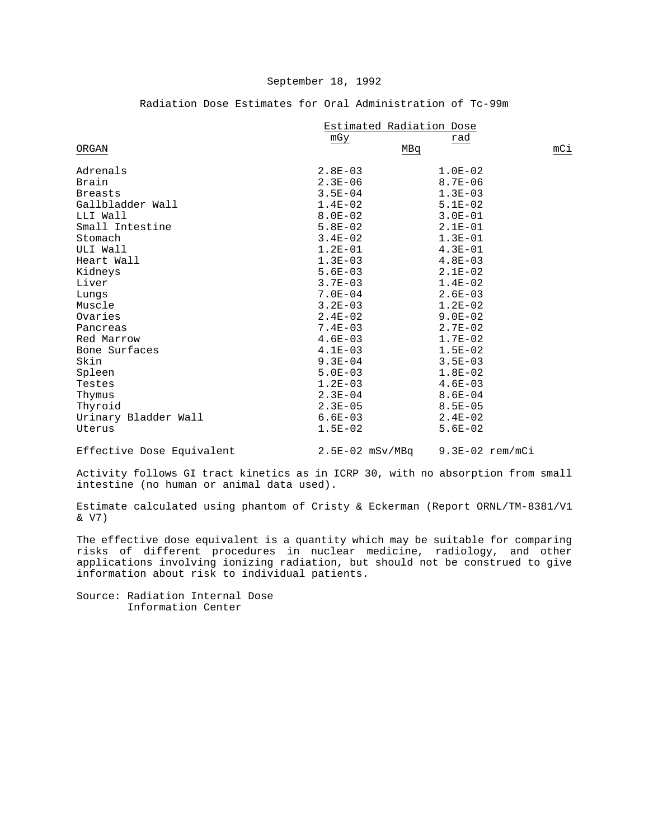Radiation Dose Estimates for Oral Administration of Tc-99m

|                      | Estimated Radiation Dose |             |     |  |
|----------------------|--------------------------|-------------|-----|--|
|                      | mGy                      | rad         |     |  |
| ORGAN                |                          | MBq         | mCi |  |
| Adrenals             | $2.8E - 03$              | $1.0E-02$   |     |  |
| Brain                | $2.3E - 06$              | $8.7E - 06$ |     |  |
| <b>Breasts</b>       | $3.5E - 04$              | $1.3E - 03$ |     |  |
| Gallbladder Wall     | $1.4E-02$                | $5.1E-02$   |     |  |
| LLI Wall             | $8.0E - 02$              | $3.0E - 01$ |     |  |
| Small Intestine      | $5.8E-02$                | $2.1E-01$   |     |  |
| Stomach              | $3.4E-02$                | $1.3E-01$   |     |  |
| ULI Wall             | $1.2E-01$                | $4.3E - 01$ |     |  |
| Heart Wall           | $1.3E-03$                | $4.8E - 03$ |     |  |
| Kidneys              | $5.6E - 03$              | $2.1E-02$   |     |  |
| Liver                | $3.7E - 03$              | $1.4E - 02$ |     |  |
| Lungs                | $7.0E - 04$              | $2.6E - 03$ |     |  |
| Muscle               | $3.2E - 03$              | $1.2E-02$   |     |  |
| Ovaries              | $2.4E-02$                | $9.0E - 02$ |     |  |
| Pancreas             | $7.4E - 03$              | $2.7E - 02$ |     |  |
| Red Marrow           | $4.6E - 03$              | $1.7E - 02$ |     |  |
| Bone Surfaces        | $4.1E-03$                | $1.5E-02$   |     |  |
| Skin                 | $9.3E - 04$              | $3.5E - 03$ |     |  |
| Spleen               | $5.0E - 03$              | $1.8E-02$   |     |  |
| Testes               | $1.2E - 03$              | $4.6E - 03$ |     |  |
| Thymus               | $2.3E-04$                | $8.6E - 04$ |     |  |
| Thyroid              | $2.3E - 05$              | $8.5E - 05$ |     |  |
| Urinary Bladder Wall | $6.6E - 03$              | $2.4E-02$   |     |  |
| Uterus               | $1.5E-02$                | $5.6E-02$   |     |  |
|                      |                          |             |     |  |

Effective Dose Equivalent 2.5E-02 mSv/MBq 9.3E-02 rem/mCi

Activity follows GI tract kinetics as in ICRP 30, with no absorption from small intestine (no human or animal data used).

Estimate calculated using phantom of Cristy & Eckerman (Report ORNL/TM-8381/V1 & V7)

The effective dose equivalent is a quantity which may be suitable for comparing risks of different procedures in nuclear medicine, radiology, and other applications involving ionizing radiation, but should not be construed to give information about risk to individual patients.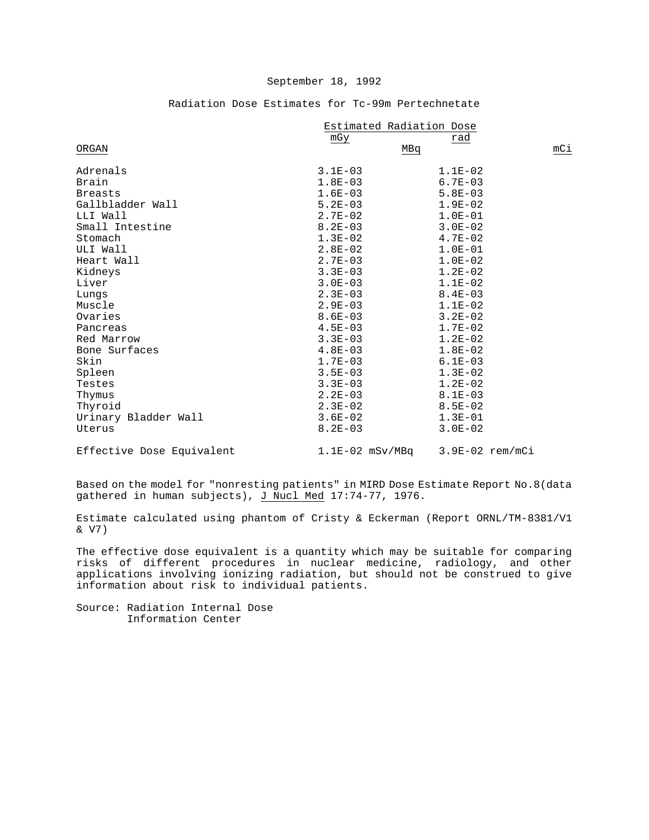|                           | Estimated Radiation Dose |                   |     |
|---------------------------|--------------------------|-------------------|-----|
|                           | mGy                      | rad               |     |
| ORGAN                     | MBq                      |                   | mCi |
| Adrenals                  | $3.1E-03$                | $1.1E-02$         |     |
| Brain                     | $1.8E-03$                | $6.7E - 03$       |     |
| <b>Breasts</b>            | $1.6E-03$                | $5.8E - 03$       |     |
| Gallbladder Wall          | $5.2E-03$                | $1.9E-02$         |     |
| LLI Wall                  | $2.7E-02$                | $1.0E-01$         |     |
| Small Intestine           | $8.2E - 03$              | $3.0E - 02$       |     |
| Stomach                   | $1.3E-02$                | $4.7E - 02$       |     |
| ULI Wall                  | $2.8E-02$                | $1.0E-01$         |     |
| Heart Wall                | $2.7E-03$                | $1.0E-02$         |     |
| Kidneys                   | $3.3E - 03$              | $1.2E-02$         |     |
| Liver                     | $3.0E-03$                | $1.1E-02$         |     |
| Lungs                     | $2.3E-03$                | $8.4E - 03$       |     |
| Muscle                    | $2.9E-03$                | $1.1E-02$         |     |
| Ovaries                   | $8.6E - 03$              | $3.2E-02$         |     |
| Pancreas                  | $4.5E - 03$              | $1.7E-02$         |     |
| Red Marrow                | $3.3E - 03$              | $1.2E-02$         |     |
| Bone Surfaces             | $4.8E-03$                | $1.8E-02$         |     |
| Skin                      | $1.7E-03$                | $6.1E - 03$       |     |
| Spleen                    | $3.5E - 03$              | $1.3E-02$         |     |
| Testes                    | $3.3E - 03$              | $1.2E - 02$       |     |
| Thymus                    | $2.2E-03$                | $8.1E-03$         |     |
| Thyroid                   | $2.3E-02$                | $8.5E - 02$       |     |
| Urinary Bladder Wall      | $3.6E-02$                | $1.3E-01$         |     |
| Uterus                    | $8.2E - 03$              | $3.0E - 02$       |     |
| Effective Dose Equivalent | $1.1E-02$ mSv/MBq        | $3.9E-02$ rem/mCi |     |

## Radiation Dose Estimates for Tc-99m Pertechnetate

Based on the model for "nonresting patients" in MIRD Dose Estimate Report No.8(data gathered in human subjects), J Nucl Med 17:74-77, 1976.

Estimate calculated using phantom of Cristy & Eckerman (Report ORNL/TM-8381/V1 & V7)

The effective dose equivalent is a quantity which may be suitable for comparing risks of different procedures in nuclear medicine, radiology, and other applications involving ionizing radiation, but should not be construed to give information about risk to individual patients.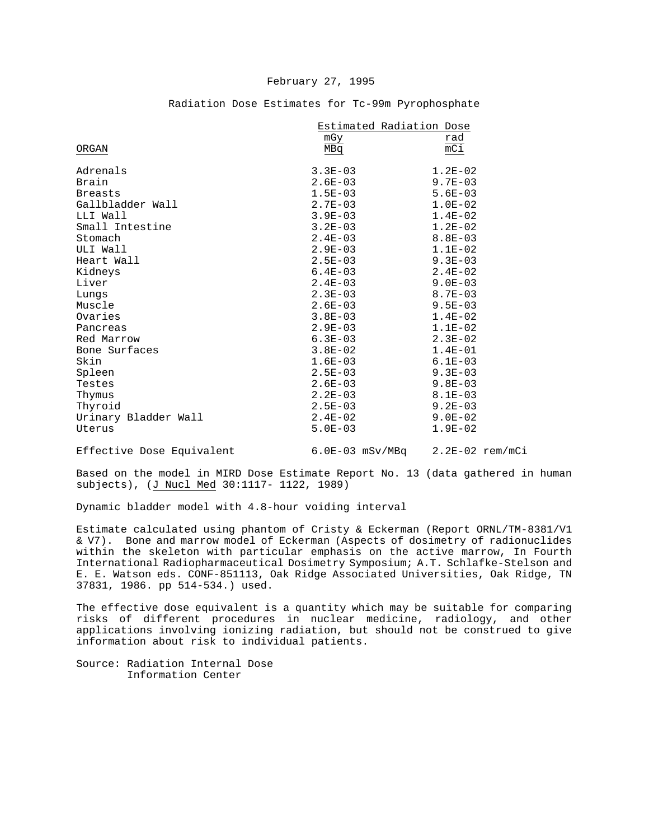|                      | Estimated Radiation Dose |                 |
|----------------------|--------------------------|-----------------|
|                      | mGy                      | rad             |
| ORGAN                | MBq                      | mC <sub>1</sub> |
|                      |                          |                 |
| Adrenals             | $3.3E - 03$              | $1.2E-02$       |
| Brain                | $2.6E - 03$              | $9.7E - 03$     |
| <b>Breasts</b>       | $1.5E - 03$              | $5.6E - 03$     |
| Gallbladder Wall     | $2.7E - 03$              | $1.0E-02$       |
| LLI Wall             | $3.9E - 03$              | $1.4E-02$       |
| Small Intestine      | $3.2E - 03$              | $1.2E - 02$     |
| Stomach              | $2.4E - 03$              | $8.8E - 03$     |
| ULI Wall             | $2.9E - 03$              | $1.1E-02$       |
| Heart Wall           | $2.5E - 03$              | $9.3E - 03$     |
| Kidneys              | $6.4E - 03$              | $2.4E-02$       |
| Liver                | $2.4E - 03$              | $9.0E-03$       |
| Lungs                | $2.3E - 03$              | $8.7E - 03$     |
| Muscle               | $2.6E - 03$              | $9.5E - 03$     |
| Ovaries              | $3.8E - 03$              | $1.4E-02$       |
| Pancreas             | $2.9E - 03$              | $1.1E-02$       |
| Red Marrow           | $6.3E - 03$              | $2.3E - 02$     |
| Bone Surfaces        | $3.8E - 02$              | $1.4E-01$       |
| Skin                 | $1.6E-03$                | $6.1E-03$       |
| Spleen               | $2.5E - 03$              | $9.3E - 03$     |
| Testes               | $2.6E - 03$              | $9.8E - 03$     |
| Thymus               | $2.2E - 03$              | $8.1E - 03$     |
| Thyroid              | $2.5E-03$                | $9.2E - 03$     |
| Urinary Bladder Wall | $2.4E-02$                | $9.0E - 02$     |
| Uterus               | $5.0E - 03$              | $1.9E - 02$     |
|                      |                          |                 |

### Radiation Dose Estimates for Tc-99m Pyrophosphate

Effective Dose Equivalent 6.0E-03 mSv/MBq 2.2E-02 rem/mCi

Based on the model in MIRD Dose Estimate Report No. 13 (data gathered in human subjects), (J Nucl Med 30:1117- 1122, 1989)

Dynamic bladder model with 4.8-hour voiding interval

Estimate calculated using phantom of Cristy & Eckerman (Report ORNL/TM-8381/V1 & V7). Bone and marrow model of Eckerman (Aspects of dosimetry of radionuclides within the skeleton with particular emphasis on the active marrow, In Fourth International Radiopharmaceutical Dosimetry Symposium; A.T. Schlafke-Stelson and E. E. Watson eds. CONF-851113, Oak Ridge Associated Universities, Oak Ridge, TN 37831, 1986. pp 514-534.) used.

The effective dose equivalent is a quantity which may be suitable for comparing risks of different procedures in nuclear medicine, radiology, and other applications involving ionizing radiation, but should not be construed to give information about risk to individual patients.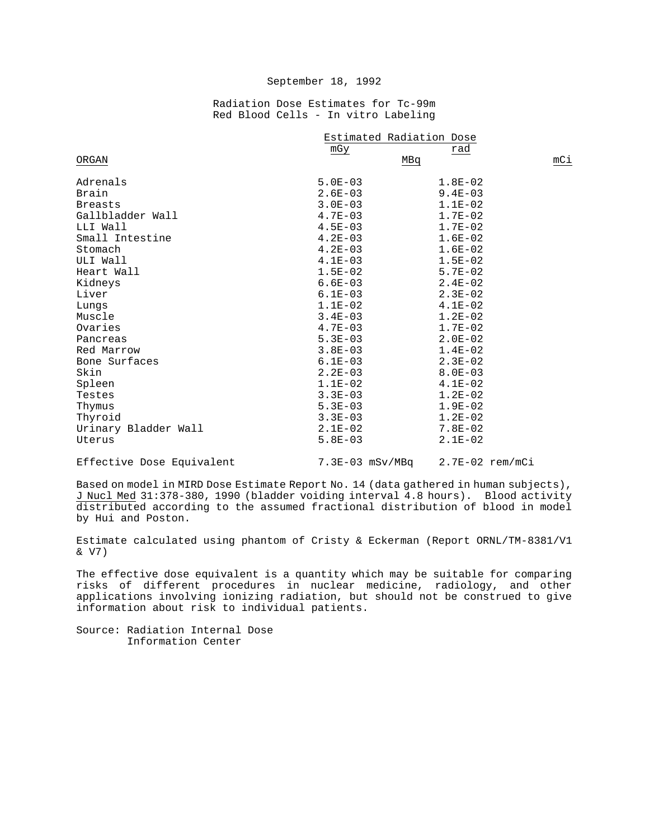Radiation Dose Estimates for Tc-99m Red Blood Cells - In vitro Labeling

|                      | Estimated Radiation Dose |             |     |
|----------------------|--------------------------|-------------|-----|
|                      | mGy                      | rad         |     |
| ORGAN                |                          | MBq         | mCi |
| Adrenals             | $5.0E - 03$              | $1.8E - 02$ |     |
| Brain                | $2.6E - 03$              | $9.4E - 03$ |     |
| <b>Breasts</b>       | $3.0E - 03$              | $1.1E-02$   |     |
| Gallbladder Wall     | $4.7E - 03$              | $1.7E-02$   |     |
| LLI Wall             | $4.5E - 03$              | $1.7E-02$   |     |
| Small Intestine      | $4.2E-03$                | $1.6E-02$   |     |
| Stomach              | $4.2E-03$                | $1.6E-02$   |     |
| ULI Wall             | $4.1E-03$                | $1.5E-02$   |     |
| Heart Wall           | $1.5E-02$                | $5.7E - 02$ |     |
| Kidneys              | $6.6E-03$                | $2.4E-02$   |     |
| Liver                | $6.1E - 03$              | $2.3E-02$   |     |
| Lungs                | $1.1E-02$                | $4.1E-02$   |     |
| Muscle               | $3.4E-03$                | $1.2E-02$   |     |
| Ovaries              | $4.7E - 03$              | $1.7E-02$   |     |
| Pancreas             | $5.3E-03$                | $2.0E - 02$ |     |
| Red Marrow           | $3.8E - 03$              | $1.4E - 02$ |     |
| Bone Surfaces        | $6.1E-03$                | $2.3E - 02$ |     |
| Skin                 | $2.2E-03$                | $8.0E - 03$ |     |
| Spleen               | $1.1E-02$                | $4.1E-02$   |     |
| Testes               | $3.3E - 03$              | $1.2E - 02$ |     |
| Thymus               | $5.3E-03$                | $1.9E-02$   |     |
| Thyroid              | $3.3E-03$                | $1.2E-02$   |     |
| Urinary Bladder Wall | $2.1E-02$                | $7.8E - 02$ |     |
| Uterus               | $5.8E - 03$              | $2.1E-02$   |     |

Effective Dose Equivalent 7.3E-03 mSv/MBq 2.7E-02 rem/mCi

Based on model in MIRD Dose Estimate Report No. 14 (data gathered in human subjects), J Nucl Med 31:378-380, 1990 (bladder voiding interval 4.8 hours). Blood activity distributed according to the assumed fractional distribution of blood in model by Hui and Poston.

Estimate calculated using phantom of Cristy & Eckerman (Report ORNL/TM-8381/V1 & V7)

The effective dose equivalent is a quantity which may be suitable for comparing risks of different procedures in nuclear medicine, radiology, and other applications involving ionizing radiation, but should not be construed to give information about risk to individual patients.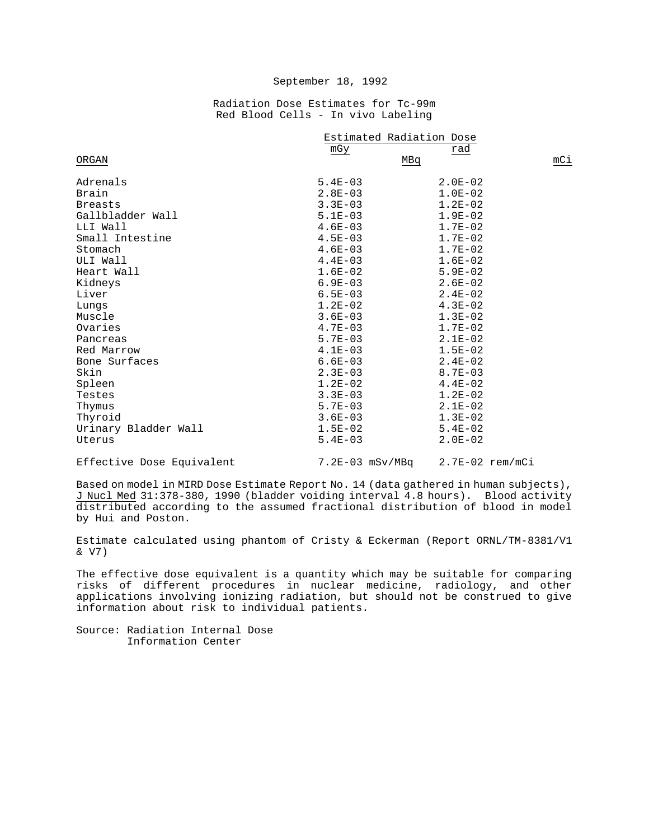Radiation Dose Estimates for Tc-99m Red Blood Cells - In vivo Labeling

|                      | Estimated Radiation Dose |             |     |
|----------------------|--------------------------|-------------|-----|
|                      | mGy                      | rad         |     |
| ORGAN                |                          | MBq         | mCi |
| Adrenals             | $5.4E - 03$              | $2.0E - 02$ |     |
| Brain                | $2.8E - 03$              | $1.0E-02$   |     |
| <b>Breasts</b>       | $3.3E - 03$              | $1.2E-02$   |     |
| Gallbladder Wall     | $5.1E-03$                | $1.9E-02$   |     |
| LLI Wall             | $4.6E - 03$              | $1.7E-02$   |     |
| Small Intestine      | $4.5E - 03$              | $1.7E-02$   |     |
| Stomach              | $4.6E-03$                | $1.7E-02$   |     |
| ULI Wall             | $4.4E - 03$              | $1.6E-02$   |     |
| Heart Wall           | $1.6E-02$                | $5.9E - 02$ |     |
| Kidneys              | $6.9E-03$                | $2.6E - 02$ |     |
| Liver                | $6.5E - 03$              | $2.4E-02$   |     |
| Lungs                | $1.2E-02$                | $4.3E-02$   |     |
| Muscle               | $3.6E - 03$              | $1.3E-02$   |     |
| Ovaries              | $4.7E - 03$              | $1.7E - 02$ |     |
| Pancreas             | $5.7E - 03$              | $2.1E-02$   |     |
| Red Marrow           | $4.1E-03$                | $1.5E-02$   |     |
| Bone Surfaces        | $6.6E - 03$              | $2.4E-02$   |     |
| Skin                 | $2.3E - 03$              | $8.7E - 03$ |     |
| Spleen               | $1.2E-02$                | $4.4E-02$   |     |
| Testes               | $3.3E - 03$              | $1.2E - 02$ |     |
| Thymus               | $5.7E-03$                | $2.1E-02$   |     |
| Thyroid              | $3.6E-03$                | $1.3E-02$   |     |
| Urinary Bladder Wall | $1.5E-02$                | $5.4E - 02$ |     |
| Uterus               | $5.4E - 03$              | $2.0E - 02$ |     |

Effective Dose Equivalent 7.2E-03 mSv/MBq 2.7E-02 rem/mCi

Based on model in MIRD Dose Estimate Report No. 14 (data gathered in human subjects), J Nucl Med 31:378-380, 1990 (bladder voiding interval 4.8 hours). Blood activity distributed according to the assumed fractional distribution of blood in model by Hui and Poston.

Estimate calculated using phantom of Cristy & Eckerman (Report ORNL/TM-8381/V1 & V7)

The effective dose equivalent is a quantity which may be suitable for comparing risks of different procedures in nuclear medicine, radiology, and other applications involving ionizing radiation, but should not be construed to give information about risk to individual patients.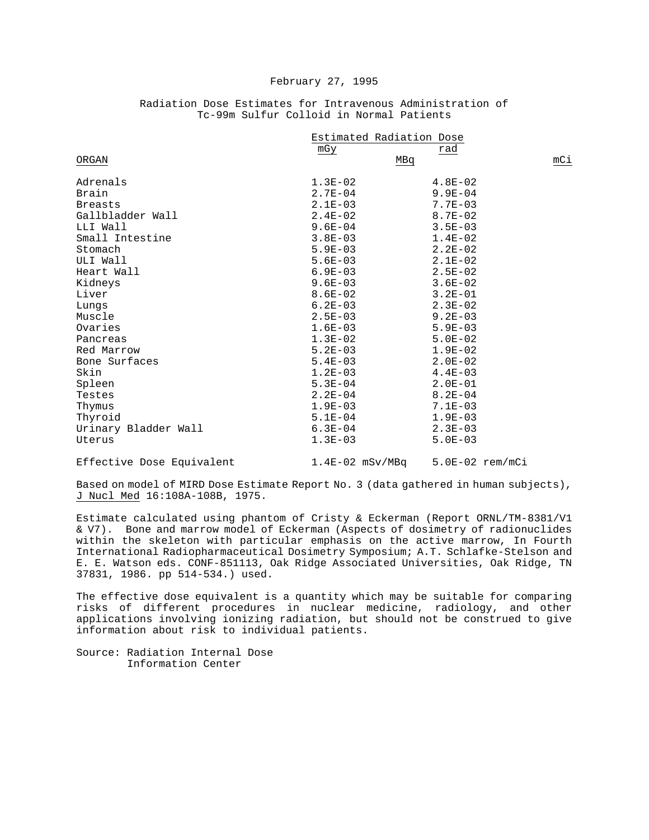|                      | Estimated Radiation Dose |             |     |
|----------------------|--------------------------|-------------|-----|
|                      | mGy                      | rad         |     |
| ORGAN                | MBq                      |             | mCi |
| Adrenals             | $1.3E-02$                | $4.8E-02$   |     |
| Brain                | $2.7E - 04$              | $9.9E - 04$ |     |
| <b>Breasts</b>       | $2.1E-03$                | $7.7E - 03$ |     |
| Gallbladder Wall     | $2.4E-02$                | $8.7E - 02$ |     |
| LLI Wall             | $9.6E - 04$              | $3.5E - 03$ |     |
| Small Intestine      | $3.8E - 03$              | $1.4E-02$   |     |
| Stomach              | $5.9E-03$                | $2.2E - 02$ |     |
| ULI Wall             | $5.6E - 03$              | $2.1E-02$   |     |
| Heart Wall           | $6.9E - 03$              | $2.5E - 02$ |     |
| Kidneys              | $9.6E - 03$              | $3.6E - 02$ |     |
| Liver                | $8.6E - 02$              | $3.2E - 01$ |     |
| Lungs                | $6.2E - 03$              | $2.3E-02$   |     |
| Muscle               | $2.5E - 03$              | $9.2E - 03$ |     |
| Ovaries              | $1.6E-03$                | $5.9E - 03$ |     |
| Pancreas             | $1.3E-02$                | $5.0E - 02$ |     |
| Red Marrow           | $5.2E - 03$              | $1.9E - 02$ |     |
| Bone Surfaces        | $5.4E - 03$              | $2.0E - 02$ |     |
| Skin                 | $1.2E - 03$              | $4.4E - 03$ |     |
| Spleen               | $5.3E-04$                | $2.0E-01$   |     |
| Testes               | $2.2E-04$                | $8.2E - 04$ |     |
| Thymus               | $1.9E-03$                | $7.1E - 03$ |     |
| Thyroid              | $5.1E-04$                | $1.9E - 03$ |     |
| Urinary Bladder Wall | $6.3E-04$                | $2.3E - 03$ |     |
| Uterus               | $1.3E-03$                | $5.0E - 03$ |     |

## Radiation Dose Estimates for Intravenous Administration of Tc-99m Sulfur Colloid in Normal Patients

Effective Dose Equivalent 1.4E-02 mSv/MBq 5.0E-02 rem/mCi

Based on model of MIRD Dose Estimate Report No. 3 (data gathered in human subjects), J Nucl Med 16:108A-108B, 1975.

Estimate calculated using phantom of Cristy & Eckerman (Report ORNL/TM-8381/V1 & V7). Bone and marrow model of Eckerman (Aspects of dosimetry of radionuclides within the skeleton with particular emphasis on the active marrow, In Fourth International Radiopharmaceutical Dosimetry Symposium; A.T. Schlafke-Stelson and E. E. Watson eds. CONF-851113, Oak Ridge Associated Universities, Oak Ridge, TN 37831, 1986. pp 514-534.) used.

The effective dose equivalent is a quantity which may be suitable for comparing risks of different procedures in nuclear medicine, radiology, and other applications involving ionizing radiation, but should not be construed to give information about risk to individual patients.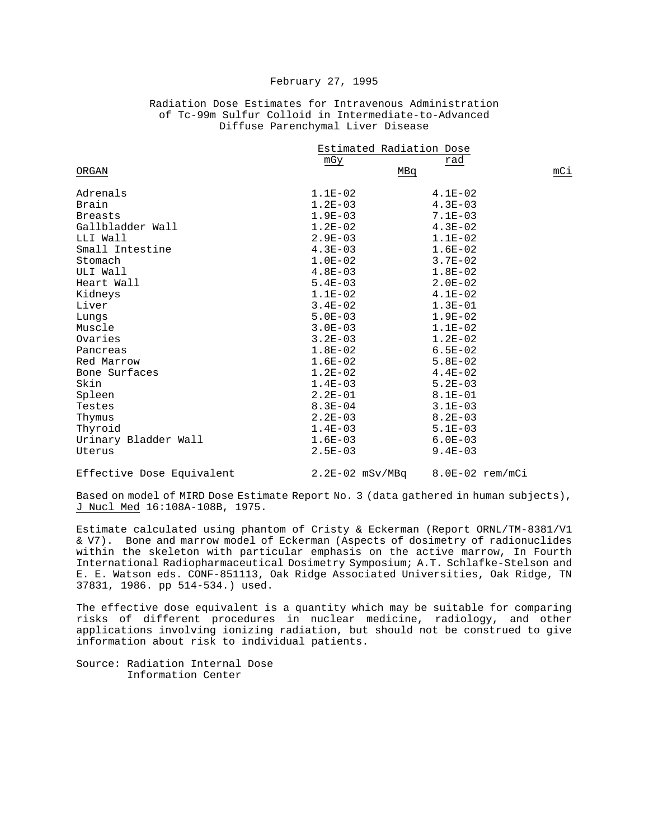|  |  |  |                                   | Radiation Dose Estimates for Intravenous Administration |  |
|--|--|--|-----------------------------------|---------------------------------------------------------|--|
|  |  |  |                                   | of Tc-99m Sulfur Colloid in Intermediate-to-Advanced    |  |
|  |  |  | Diffuse Parenchymal Liver Disease |                                                         |  |

|                      | Estimated Radiation Dose |             |     |  |
|----------------------|--------------------------|-------------|-----|--|
|                      | mGy                      | rad         |     |  |
| ORGAN                | MBq                      |             | mCi |  |
| Adrenals             | $1.1E-02$                | $4.1E-02$   |     |  |
| Brain                | $1.2E-03$                | $4.3E - 03$ |     |  |
| <b>Breasts</b>       | $1.9E-03$                | $7.1E - 03$ |     |  |
| Gallbladder Wall     | $1.2E-02$                | $4.3E - 02$ |     |  |
| LLI Wall             | $2.9E - 03$              | $1.1E-02$   |     |  |
| Small Intestine      | $4.3E - 03$              | $1.6E-02$   |     |  |
| Stomach              | $1.0E-02$                | $3.7E - 02$ |     |  |
| ULI Wall             | $4.8E - 03$              | $1.8E-02$   |     |  |
| Heart Wall           | $5.4E-03$                | $2.0E - 02$ |     |  |
| Kidneys              | $1.1E-02$                | $4.1E-02$   |     |  |
| Liver                | $3.4E - 02$              | $1.3E-01$   |     |  |
| Lungs                | $5.0E - 03$              | $1.9E - 02$ |     |  |
| Muscle               | $3.0E - 03$              | $1.1E-02$   |     |  |
| Ovaries              | $3.2E - 03$              | $1.2E-02$   |     |  |
| Pancreas             | $1.8E-02$                | $6.5E - 02$ |     |  |
| Red Marrow           | $1.6E-02$                | $5.8E - 02$ |     |  |
| Bone Surfaces        | $1.2E-02$                | $4.4E-02$   |     |  |
| Skin                 | $1.4E - 03$              | $5.2E - 03$ |     |  |
| Spleen               | $2.2E - 01$              | $8.1E - 01$ |     |  |
| Testes               | $8.3E - 04$              | $3.1E - 03$ |     |  |
| Thymus               | $2.2E - 03$              | $8.2E - 03$ |     |  |
| Thyroid              | $1.4E-03$                | $5.1E-03$   |     |  |
| Urinary Bladder Wall | $1.6E-03$                | $6.0E - 03$ |     |  |
| Uterus               | $2.5E - 03$              | $9.4E - 03$ |     |  |

Effective Dose Equivalent 2.2E-02 mSv/MBq 8.0E-02 rem/mCi

Based on model of MIRD Dose Estimate Report No. 3 (data gathered in human subjects), J Nucl Med 16:108A-108B, 1975.

Estimate calculated using phantom of Cristy & Eckerman (Report ORNL/TM-8381/V1 & V7). Bone and marrow model of Eckerman (Aspects of dosimetry of radionuclides within the skeleton with particular emphasis on the active marrow, In Fourth International Radiopharmaceutical Dosimetry Symposium; A.T. Schlafke-Stelson and E. E. Watson eds. CONF-851113, Oak Ridge Associated Universities, Oak Ridge, TN 37831, 1986. pp 514-534.) used.

The effective dose equivalent is a quantity which may be suitable for comparing risks of different procedures in nuclear medicine, radiology, and other applications involving ionizing radiation, but should not be construed to give information about risk to individual patients.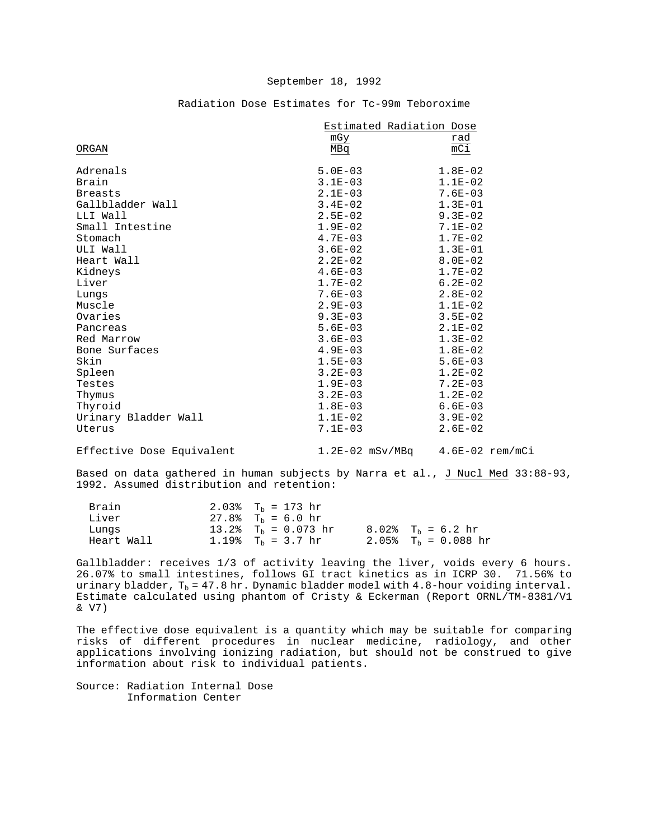|                           | Estimated Radiation Dose            |             |  |  |
|---------------------------|-------------------------------------|-------------|--|--|
|                           | mGy                                 | rad         |  |  |
| ORGAN                     | MBq                                 | mC1         |  |  |
| Adrenals                  | $5.0E - 03$                         | $1.8E-02$   |  |  |
| Brain                     | $3.1E-03$                           | $1.1E-02$   |  |  |
| <b>Breasts</b>            | $2.1E-03$                           | $7.6E - 03$ |  |  |
| Gallbladder Wall          | $3.4E - 02$                         | $1.3E-01$   |  |  |
| LLI Wall                  | $2.5E-02$                           | $9.3E-02$   |  |  |
| Small Intestine           | $1.9E-02$                           | $7.1E-02$   |  |  |
| Stomach                   | $4.7E-03$                           | $1.7E - 02$ |  |  |
| ULI Wall                  | $3.6E - 02$                         | $1.3E-01$   |  |  |
| Heart Wall                | $2.2E-02$                           | $8.0E - 02$ |  |  |
| Kidneys                   | $4.6E-03$                           | $1.7E-02$   |  |  |
| Liver                     | $1.7E-02$                           | $6.2E-02$   |  |  |
| Lungs                     | $7.6E - 03$                         | $2.8E-02$   |  |  |
| Muscle                    | $2.9E-03$                           | $1.1E-02$   |  |  |
| Ovaries                   | $9.3E-03$                           | $3.5E - 02$ |  |  |
| Pancreas                  | $5.6E-03$                           | $2.1E-02$   |  |  |
| Red Marrow                | $3.6E - 03$                         | $1.3E-02$   |  |  |
| Bone Surfaces             | $4.9E-03$                           | $1.8E-02$   |  |  |
| Skin                      | $1.5E-03$                           | $5.6E - 03$ |  |  |
| Spleen                    | $3.2E - 03$                         | $1.2E-02$   |  |  |
| Testes                    | $1.9E - 03$                         | $7.2E - 03$ |  |  |
| Thymus                    | $3.2E - 03$                         | $1.2E-02$   |  |  |
| Thyroid                   | $1.8E-03$                           | $6.6E-03$   |  |  |
| Urinary Bladder Wall      | $1.1E-02$                           | $3.9E - 02$ |  |  |
| Uterus                    | $7.1E-03$                           | $2.6E-02$   |  |  |
| Effective Dose Equivalent | $1.2E-02$ mSv/MBq $4.6E-02$ rem/mCi |             |  |  |

#### Radiation Dose Estimates for Tc-99m Teboroxime

Based on data gathered in human subjects by Narra et al., J Nucl Med 33:88-93, 1992. Assumed distribution and retention:

| Brain      | 2.03% $T_h = 173$ hr           |                                |
|------------|--------------------------------|--------------------------------|
| Liver      | $27.8$ T <sub>h</sub> = 6.0 hr |                                |
| Lungs      | 13.2% $T_h = 0.073$ hr         | $8.02$ T <sub>h</sub> = 6.2 hr |
| Heart Wall | 1.19% $T_b = 3.7$ hr           | 2.05% $T_h = 0.088$ hr         |
|            |                                |                                |

Gallbladder: receives 1/3 of activity leaving the liver, voids every 6 hours. 26.07% to small intestines, follows GI tract kinetics as in ICRP 30. 71.56% to urinary bladder,  $T_b = 47.8$  hr. Dynamic bladder model with  $4.8$ -hour voiding interval. Estimate calculated using phantom of Cristy & Eckerman (Report ORNL/TM-8381/V1 & V7)

The effective dose equivalent is a quantity which may be suitable for comparing risks of different procedures in nuclear medicine, radiology, and other applications involving ionizing radiation, but should not be construed to give information about risk to individual patients.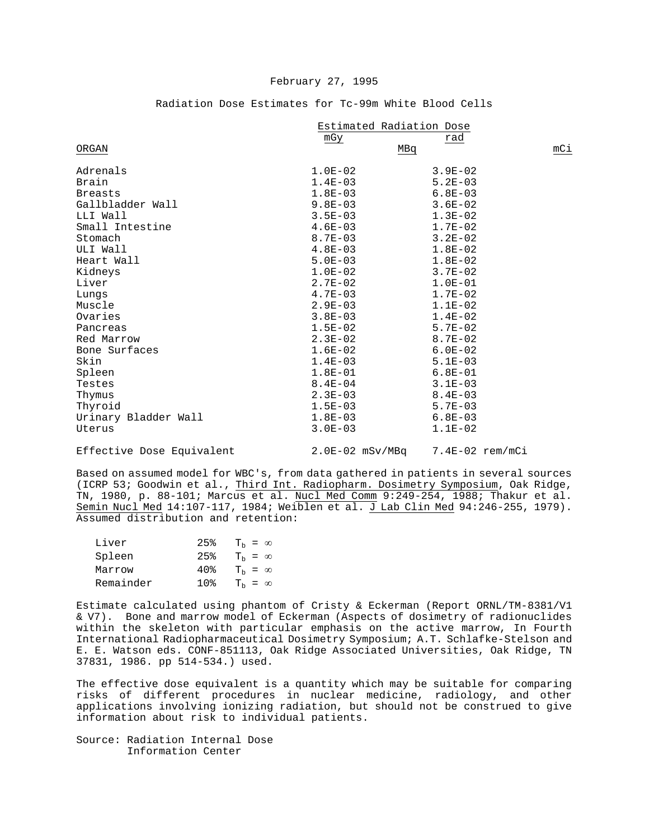|  | Radiation Dose Estimates for Tc-99m White Blood Cells |  |  |  |
|--|-------------------------------------------------------|--|--|--|
|  |                                                       |  |  |  |

|                      | Estimated Radiation Dose |             |     |  |
|----------------------|--------------------------|-------------|-----|--|
|                      | mGy                      | rad         |     |  |
| ORGAN                |                          | MBq         | mCi |  |
| Adrenals             | $1.0E-02$                | $3.9E - 02$ |     |  |
| Brain                | $1.4E-03$                | $5.2E - 03$ |     |  |
| <b>Breasts</b>       | $1.8E-03$                | $6.8E - 03$ |     |  |
| Gallbladder Wall     | $9.8E - 03$              | $3.6E - 02$ |     |  |
| LLI Wall             | $3.5E - 03$              | $1.3E-02$   |     |  |
| Small Intestine      | $4.6E-03$                | $1.7E-02$   |     |  |
| Stomach              | $8.7E - 03$              | $3.2E - 02$ |     |  |
| ULI Wall             | $4.8E-03$                | $1.8E-02$   |     |  |
| Heart Wall           | $5.0E - 03$              | $1.8E-02$   |     |  |
| Kidneys              | $1.0E-02$                | $3.7E - 02$ |     |  |
| Liver                | $2.7E - 02$              | $1.0E-01$   |     |  |
| Lungs                | $4.7E-03$                | $1.7E-02$   |     |  |
| Muscle               | $2.9E-03$                | $1.1E-02$   |     |  |
| Ovaries              | $3.8E - 03$              | $1.4E-02$   |     |  |
| Pancreas             | $1.5E-02$                | $5.7E-02$   |     |  |
| Red Marrow           | $2.3E-02$                | $8.7E - 02$ |     |  |
| Bone Surfaces        | $1.6E-02$                | $6.0E - 02$ |     |  |
| Skin                 | $1.4E-03$                | $5.1E - 03$ |     |  |
| Spleen               | $1.8E-01$                | $6.8E - 01$ |     |  |
| Testes               | $8.4E - 04$              | $3.1E - 03$ |     |  |
| Thymus               | $2.3E-03$                | $8.4E - 03$ |     |  |
| Thyroid              | $1.5E-03$                | $5.7E - 03$ |     |  |
| Urinary Bladder Wall | $1.8E-03$                | $6.8E - 03$ |     |  |
| Uterus               | $3.0E - 03$              | $1.1E-02$   |     |  |
|                      |                          |             |     |  |

Effective Dose Equivalent 2.0E-02 mSv/MBq 7.4E-02 rem/mCi

Based on assumed model for WBC's, from data gathered in patients in several sources (ICRP 53; Goodwin et al., Third Int. Radiopharm. Dosimetry Symposium, Oak Ridge, TN, 1980, p. 88-101; Marcus et al. Nucl Med Comm 9:249-254, 1988; Thakur et al. Semin Nucl Med 14:107-117, 1984; Weiblen et al. J Lab Clin Med 94:246-255, 1979). Assumed distribution and retention:

| Liver     | 25%   | $T_h = \infty$   |
|-----------|-------|------------------|
| Spleen    | 25%   | $T_h = \infty$   |
| Marrow    | 40%   | $T_h = \infty$   |
| Remainder | 1 በ » | $T_{h} = \infty$ |

Estimate calculated using phantom of Cristy & Eckerman (Report ORNL/TM-8381/V1 & V7). Bone and marrow model of Eckerman (Aspects of dosimetry of radionuclides within the skeleton with particular emphasis on the active marrow, In Fourth International Radiopharmaceutical Dosimetry Symposium; A.T. Schlafke-Stelson and E. E. Watson eds. CONF-851113, Oak Ridge Associated Universities, Oak Ridge, TN 37831, 1986. pp 514-534.) used.

The effective dose equivalent is a quantity which may be suitable for comparing risks of different procedures in nuclear medicine, radiology, and other applications involving ionizing radiation, but should not be construed to give information about risk to individual patients.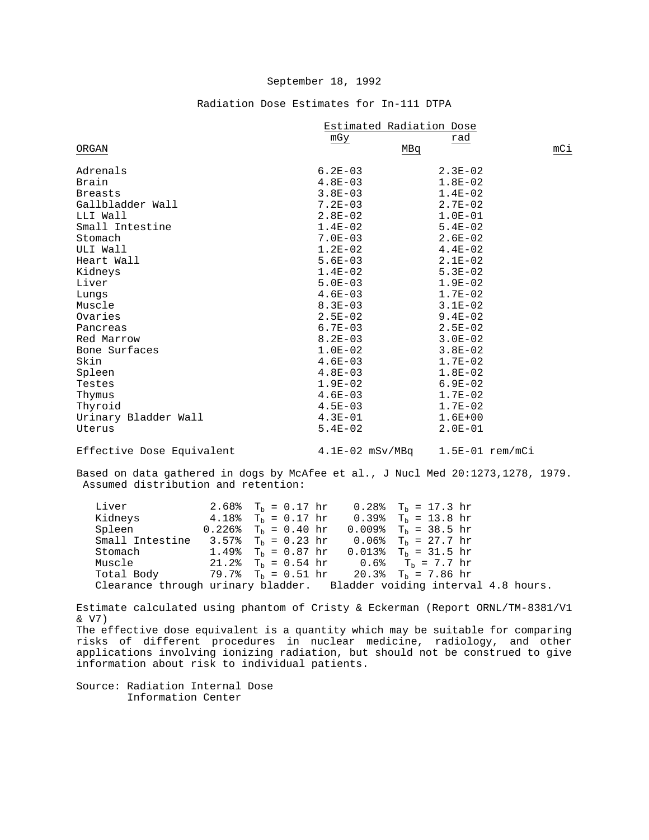### Radiation Dose Estimates for In-111 DTPA

|                           | Estimated Radiation Dose |                   |     |  |
|---------------------------|--------------------------|-------------------|-----|--|
|                           | mGy                      | rad               |     |  |
| ORGAN                     |                          | MBq               | mCi |  |
| Adrenals                  | $6.2E - 03$              | $2.3E - 02$       |     |  |
| Brain                     | $4.8E - 03$              | $1.8E-02$         |     |  |
| <b>Breasts</b>            | $3.8E - 03$              | $1.4E-02$         |     |  |
| Gallbladder Wall          | $7.2E - 03$              | $2.7E-02$         |     |  |
| LLI Wall                  | $2.8E-02$                | $1.0E-01$         |     |  |
| Small Intestine           | $1.4E-02$                | $5.4E-02$         |     |  |
| Stomach                   | $7.0E - 03$              | $2.6E - 02$       |     |  |
| ULI Wall                  | $1.2E-02$                | $4.4E-02$         |     |  |
| Heart Wall                | $5.6E-03$                | $2.1E-02$         |     |  |
| Kidneys                   | $1.4E-02$                | $5.3E - 02$       |     |  |
| Liver                     | $5.0E-03$                | $1.9E - 02$       |     |  |
| Lungs                     | $4.6E - 03$              | $1.7E-02$         |     |  |
| Muscle                    | $8.3E - 03$              | $3.1E-02$         |     |  |
| Ovaries                   | $2.5E-02$                | $9.4E - 02$       |     |  |
| Pancreas                  | $6.7E - 03$              | $2.5E-02$         |     |  |
| Red Marrow                | $8.2E - 03$              | $3.0E - 02$       |     |  |
| Bone Surfaces             | $1.0E-02$                | $3.8E - 02$       |     |  |
| Skin                      | $4.6E - 03$              | $1.7E-02$         |     |  |
| Spleen                    | $4.8E-03$                | $1.8E-02$         |     |  |
| Testes                    | $1.9E-02$                | $6.9E - 02$       |     |  |
| Thymus                    | $4.6E-03$                | $1.7E-02$         |     |  |
| Thyroid                   | $4.5E - 03$              | $1.7E-02$         |     |  |
| Urinary Bladder Wall      | $4.3E-01$                | $1.6E + 00$       |     |  |
| Uterus                    | $5.4E-02$                | $2.0E-01$         |     |  |
| Effective Dose Equivalent | $4.1E-02$ mSv/MBq        | $1.5E-01$ rem/mCi |     |  |

Based on data gathered in dogs by McAfee et al., J Nucl Med 20:1273,1278, 1979. Assumed distribution and retention:

Liver 2.68%  $T_b = 0.17$  hr  $0.28$ %  $T_b = 17.3$  hr  $Kidneys$  4.18%  $T_b = 0.17$  hr  $0.39$ %  $T_b = 13.8$  hr Kidneys  $4.18\%$   $T_b = 0.17$  hr<br>Spleen  $0.226\%$   $T_b = 0.40$  hr Spleen 0.226%  $T_b = 0.40$  hr 0.009%  $T_b = 38.5$  hr Small Intestine 3.57%  $T_b = 0.23$  hr 0.06%  $T_b = 27.7$  hr Small Intestine 3.57%  $T_b = 0.23$  hr 0.06%  $T_b = 27.7$  hr Stomach 1.49%  $T_b = 0.87$  hr 0.013%  $T_b = 31.5$  hr Stomach 1.49%  $T_b = 0.87$  hr  $0.013$ %  $T_b = 31.5$  hr Muscle 21.2%  $T_b = 0.54$  hr  $0.6$ %  $T_b = 7.7$  hr Muscle 21.2%  $T_b = 0.54$  hr  $0.6$ %  $T_b = 7.7$  hr Total Body 79.7%  $T_b = 0.51$  hr  $20.3$ %  $T_b = 7.86$  hr  $79.7$ % T<sub>b</sub> = 0.51 hr Clearance through urinary bladder. Bladder voiding interval 4.8 hours.

Estimate calculated using phantom of Cristy & Eckerman (Report ORNL/TM-8381/V1 & V7) The effective dose equivalent is a quantity which may be suitable for comparing risks of different procedures in nuclear medicine, radiology, and other applications involving ionizing radiation, but should not be construed to give information about risk to individual patients.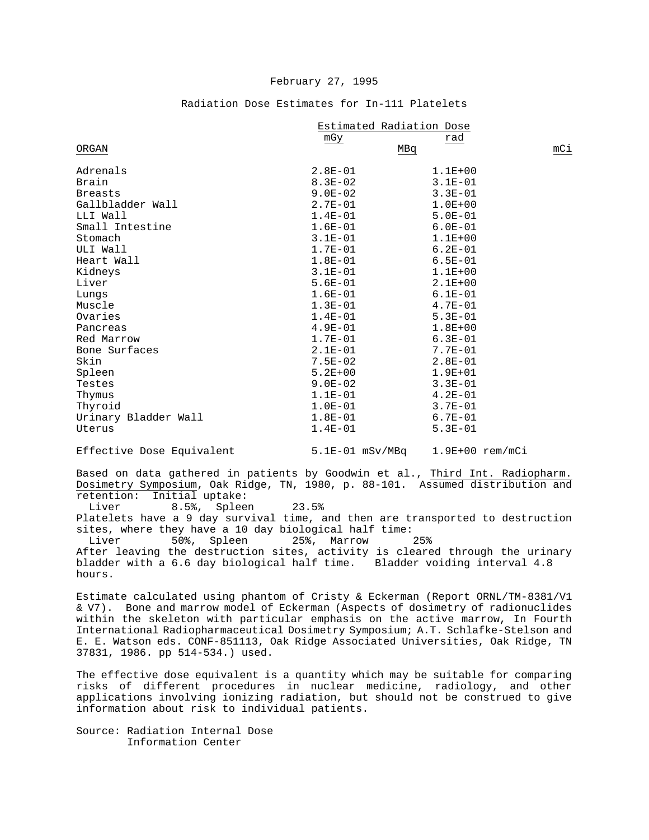### Radiation Dose Estimates for In-111 Platelets

|                      | Estimated Radiation Dose |             |     |  |
|----------------------|--------------------------|-------------|-----|--|
|                      | mGy                      | rad         |     |  |
| ORGAN                |                          | MBq         | mCi |  |
| Adrenals             | $2.8E-01$                | $1.1E + 00$ |     |  |
| Brain                | $8.3E - 02$              | $3.1E - 01$ |     |  |
| <b>Breasts</b>       | $9.0E - 02$              | $3.3E - 01$ |     |  |
| Gallbladder Wall     | $2.7E-01$                | $1.0E + 00$ |     |  |
| LLI Wall             | $1.4E-01$                | $5.0E - 01$ |     |  |
| Small Intestine      | $1.6E-01$                | $6.0E - 01$ |     |  |
| Stomach              | $3.1E - 01$              | $1.1E + 00$ |     |  |
| ULI Wall             | $1.7E-01$                | $6.2E - 01$ |     |  |
| Heart Wall           | $1.8E-01$                | $6.5E - 01$ |     |  |
| Kidneys              | $3.1E-01$                | $1.1E + 00$ |     |  |
| Liver                | $5.6E-01$                | $2.1E + 00$ |     |  |
| Lungs                | $1.6E-01$                | $6.1E - 01$ |     |  |
| Muscle               | $1.3E-01$                | $4.7E-01$   |     |  |
| Ovaries              | $1.4E-01$                | $5.3E - 01$ |     |  |
| Pancreas             | $4.9E-01$                | $1.8E + 00$ |     |  |
| Red Marrow           | $1.7E-01$                | $6.3E - 01$ |     |  |
| Bone Surfaces        | $2.1E-01$                | $7.7E - 01$ |     |  |
| Skin                 | $7.5E - 02$              | $2.8E-01$   |     |  |
| Spleen               | $5.2E + 00$              | $1.9E + 01$ |     |  |
| Testes               | $9.0E - 02$              | $3.3E-01$   |     |  |
| Thymus               | $1.1E-01$                | $4.2E - 01$ |     |  |
| Thyroid              | $1.0E-01$                | $3.7E - 01$ |     |  |
| Urinary Bladder Wall | $1.8E-01$                | $6.7E - 01$ |     |  |
| Uterus               | $1.4E-01$                | $5.3E - 01$ |     |  |
|                      |                          |             |     |  |

Effective Dose Equivalent 5.1E-01 mSv/MBq 1.9E+00 rem/mCi

Based on data gathered in patients by Goodwin et al., Third Int. Radiopharm. Dosimetry Symposium, Oak Ridge, TN, 1980, p. 88-101. Assumed distribution and retention: Initial uptake:<br>Liver 8.5% Spleet

8.5%, Spleen 23.5%

Platelets have a 9 day survival time, and then are transported to destruction sites, where they have a 10 day biological half time:<br>Liver 50%, Spleen 25%, Marrow 25%

50%, Spleen 25%, Marrow After leaving the destruction sites, activity is cleared through the urinary bladder with a 6.6 day biological half time. Bladder voiding interval 4.8 hours.

Estimate calculated using phantom of Cristy & Eckerman (Report ORNL/TM-8381/V1 & V7). Bone and marrow model of Eckerman (Aspects of dosimetry of radionuclides within the skeleton with particular emphasis on the active marrow, In Fourth International Radiopharmaceutical Dosimetry Symposium; A.T. Schlafke-Stelson and E. E. Watson eds. CONF-851113, Oak Ridge Associated Universities, Oak Ridge, TN 37831, 1986. pp 514-534.) used.

The effective dose equivalent is a quantity which may be suitable for comparing risks of different procedures in nuclear medicine, radiology, and other applications involving ionizing radiation, but should not be construed to give information about risk to individual patients.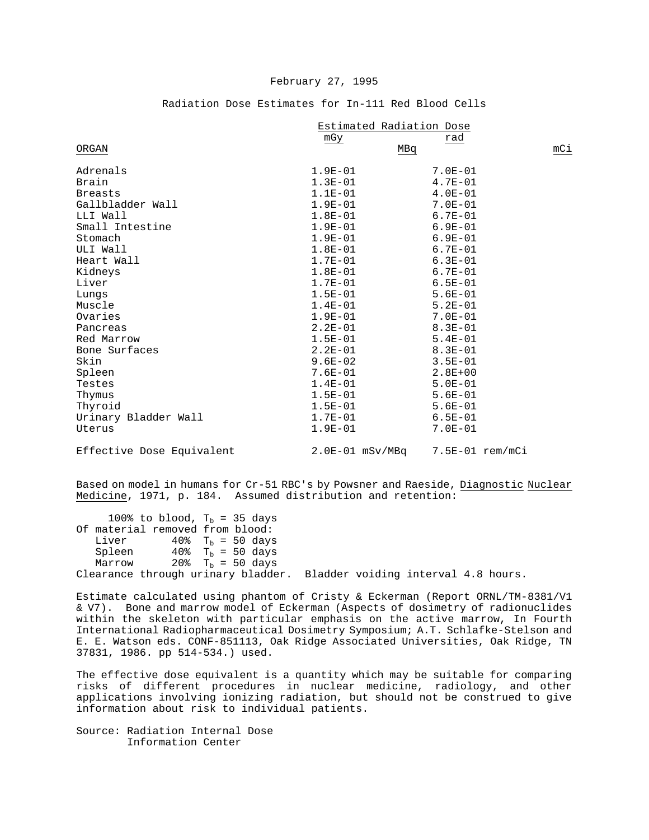|                           | Estimated Radiation Dose |                 |     |  |
|---------------------------|--------------------------|-----------------|-----|--|
|                           | mGy                      | rad             |     |  |
| ORGAN                     | MBq                      |                 | mCi |  |
| Adrenals                  | $1.9E - 01$              | $7.0E - 01$     |     |  |
| Brain                     | $1.3E-01$                | $4.7E-01$       |     |  |
| <b>Breasts</b>            | $1.1E-01$                | $4.0E - 01$     |     |  |
| Gallbladder Wall          | $1.9E-01$                | $7.0E - 01$     |     |  |
| LLI Wall                  | $1.8E-01$                | $6.7E - 01$     |     |  |
| Small Intestine           | $1.9E-01$                | $6.9E - 01$     |     |  |
| Stomach                   | $1.9E-01$                | $6.9E - 01$     |     |  |
| ULI Wall                  | $1.8E-01$                | $6.7E - 01$     |     |  |
| Heart Wall                | $1.7E-01$                | $6.3E - 01$     |     |  |
| Kidneys                   | $1.8E-01$                | $6.7E - 01$     |     |  |
| Liver                     | $1.7E-01$                | $6.5E - 01$     |     |  |
| Lungs                     | $1.5E-01$                | $5.6E - 01$     |     |  |
| Muscle                    | $1.4E-01$                | $5.2E - 01$     |     |  |
| Ovaries                   | $1.9E-01$                | $7.0E - 01$     |     |  |
| Pancreas                  | $2.2E - 01$              | $8.3E - 01$     |     |  |
| Red Marrow                | $1.5E-01$                | $5.4E - 01$     |     |  |
| Bone Surfaces             | $2.2E-01$                | $8.3E - 01$     |     |  |
| Skin                      | $9.6E - 02$              | $3.5E - 01$     |     |  |
| Spleen                    | $7.6E - 01$              | $2.8E + 00$     |     |  |
| Testes                    | $1.4E-01$                | $5.0E - 01$     |     |  |
| Thymus                    | $1.5E-01$                | $5.6E - 01$     |     |  |
| Thyroid                   | $1.5E-01$                | $5.6E - 01$     |     |  |
| Urinary Bladder Wall      | $1.7E-01$                | $6.5E - 01$     |     |  |
| Uterus                    | $1.9E-01$                | $7.0E - 01$     |     |  |
| Effective Dose Equivalent | $2.0E-01$ mSv/MBq        | 7.5E-01 rem/mCi |     |  |

### Radiation Dose Estimates for In-111 Red Blood Cells

Based on model in humans for Cr-51 RBC's by Powsner and Raeside, Diagnostic Nuclear Medicine, 1971, p. 184. Assumed distribution and retention:

100% to blood,  $T_b = 35$  days Of material removed from blood:<br>Liver  $40\%$  T<sub>h</sub> = 50 days Liver  $40\%$  T<sub>b</sub> = 50 days<br>Spleen  $40\%$  T<sub>b</sub> = 50 days Spleen  $40\%$  T<sub>b</sub> = 50 days<br>Marrow  $20\%$  T<sub>b</sub> = 50 days 20%  $T_b = 50$  days Clearance through urinary bladder. Bladder voiding interval 4.8 hours.

Estimate calculated using phantom of Cristy & Eckerman (Report ORNL/TM-8381/V1 & V7). Bone and marrow model of Eckerman (Aspects of dosimetry of radionuclides within the skeleton with particular emphasis on the active marrow, In Fourth International Radiopharmaceutical Dosimetry Symposium; A.T. Schlafke-Stelson and E. E. Watson eds. CONF-851113, Oak Ridge Associated Universities, Oak Ridge, TN 37831, 1986. pp 514-534.) used.

The effective dose equivalent is a quantity which may be suitable for comparing risks of different procedures in nuclear medicine, radiology, and other applications involving ionizing radiation, but should not be construed to give information about risk to individual patients.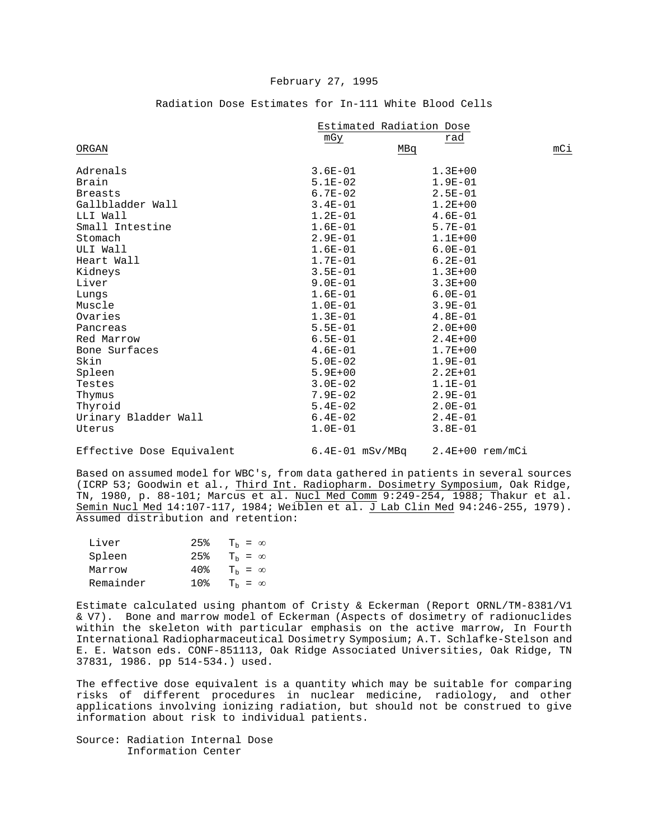|  | Radiation Dose Estimates for In-111 White Blood Cells |  |  |  |
|--|-------------------------------------------------------|--|--|--|
|  |                                                       |  |  |  |

|                      | Estimated Radiation Dose |             |     |
|----------------------|--------------------------|-------------|-----|
|                      | mGy                      | rad         |     |
| ORGAN                | MBq                      |             | mCi |
| Adrenals             | $3.6E - 01$              | $1.3E + 00$ |     |
| Brain                | $5.1E-02$                | $1.9E - 01$ |     |
| <b>Breasts</b>       | $6.7E-02$                | $2.5E - 01$ |     |
| Gallbladder Wall     | $3.4E - 01$              | $1.2E + 00$ |     |
| LLI Wall             | $1.2E-01$                | $4.6E-01$   |     |
| Small Intestine      | $1.6E-01$                | $5.7E - 01$ |     |
| Stomach              | $2.9E-01$                | $1.1E + 00$ |     |
| ULI Wall             | $1.6E-01$                | $6.0E - 01$ |     |
| Heart Wall           | $1.7E-01$                | $6.2E - 01$ |     |
| Kidneys              | $3.5E-01$                | $1.3E + 00$ |     |
| Liver                | $9.0E-01$                | $3.3E + 00$ |     |
| Lungs                | $1.6E-01$                | $6.0E - 01$ |     |
| Muscle               | $1.0E-01$                | $3.9E - 01$ |     |
| Ovaries              | $1.3E-01$                | $4.8E - 01$ |     |
| Pancreas             | $5.5E-01$                | $2.0E + 00$ |     |
| Red Marrow           | $6.5E - 01$              | $2.4E + 00$ |     |
| Bone Surfaces        | $4.6E-01$                | $1.7E + 00$ |     |
| Skin                 | $5.0E - 02$              | $1.9E - 01$ |     |
| Spleen               | $5.9E + 00$              | $2.2E + 01$ |     |
| Testes               | $3.0E - 02$              | $1.1E-01$   |     |
| Thymus               | $7.9E - 02$              | $2.9E - 01$ |     |
| Thyroid              | $5.4E-02$                | $2.0E-01$   |     |
| Urinary Bladder Wall | $6.4E-02$                | $2.4E-01$   |     |
| Uterus               | $1.0E-01$                | $3.8E - 01$ |     |
|                      |                          |             |     |

Effective Dose Equivalent 6.4E-01 mSv/MBq 2.4E+00 rem/mCi

Based on assumed model for WBC's, from data gathered in patients in several sources (ICRP 53; Goodwin et al., Third Int. Radiopharm. Dosimetry Symposium, Oak Ridge, TN, 1980, p. 88-101; Marcus et al. Nucl Med Comm 9:249-254, 1988; Thakur et al. Semin Nucl Med 14:107-117, 1984; Weiblen et al. J Lab Clin Med 94:246-255, 1979). Assumed distribution and retention:

| Liver     | 25% | $T_h = \infty$   |
|-----------|-----|------------------|
| Spleen    | 25% | $T_{h} = \infty$ |
| Marrow    | 40% | $T_h = \infty$   |
| Remainder |     | $T_{h} = \infty$ |

Estimate calculated using phantom of Cristy & Eckerman (Report ORNL/TM-8381/V1 & V7). Bone and marrow model of Eckerman (Aspects of dosimetry of radionuclides within the skeleton with particular emphasis on the active marrow, In Fourth International Radiopharmaceutical Dosimetry Symposium; A.T. Schlafke-Stelson and E. E. Watson eds. CONF-851113, Oak Ridge Associated Universities, Oak Ridge, TN 37831, 1986. pp 514-534.) used.

The effective dose equivalent is a quantity which may be suitable for comparing risks of different procedures in nuclear medicine, radiology, and other applications involving ionizing radiation, but should not be construed to give information about risk to individual patients.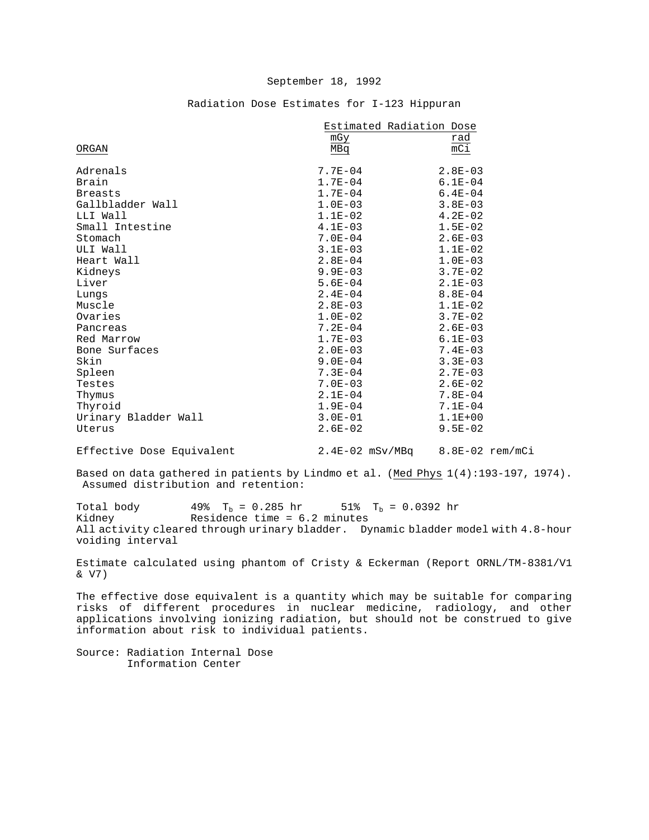# Radiation Dose Estimates for I-123 Hippuran

|                      | Estimated Radiation Dose |             |
|----------------------|--------------------------|-------------|
|                      | mGy                      | rad         |
| ORGAN                | MBq                      | $mC\dot{1}$ |
|                      |                          |             |
| Adrenals             | $7.7E - 04$              | $2.8E - 03$ |
| Brain                | $1.7E - 04$              | $6.1E - 04$ |
| <b>Breasts</b>       | $1.7E-04$                | $6.4E - 04$ |
| Gallbladder Wall     | $1.0E-03$                | $3.8E - 03$ |
| LLI Wall             | $1.1E-02$                | $4.2E - 02$ |
| Small Intestine      | $4.1E-03$                | $1.5E-02$   |
| Stomach              | $7.0E - 04$              | $2.6E - 03$ |
| ULI Wall             | $3.1E - 03$              | $1.1E-02$   |
| Heart Wall           | $2.8E - 04$              | $1.0E-03$   |
| Kidneys              | $9.9E - 03$              | $3.7E - 02$ |
| Liver                | $5.6E - 04$              | $2.1E-03$   |
| Lungs                | $2.4E - 04$              | $8.8E - 04$ |
| Muscle               | $2.8E - 03$              | $1.1E-02$   |
| Ovaries              | $1.0E-02$                | $3.7E - 02$ |
| Pancreas             | $7.2E - 04$              | $2.6E - 03$ |
| Red Marrow           | $1.7E - 03$              | $6.1E-03$   |
| Bone Surfaces        | $2.0E - 03$              | $7.4E - 03$ |
| Skin                 | $9.0E - 04$              | $3.3E - 03$ |
| Spleen               | $7.3E - 04$              | $2.7E - 03$ |
| Testes               | $7.0E - 03$              | $2.6E - 02$ |
| Thymus               | $2.1E-04$                | $7.8E - 04$ |
| Thyroid              | $1.9E - 04$              | $7.1E - 04$ |
| Urinary Bladder Wall | $3.0E - 01$              | $1.1E + 00$ |
| Uterus               | $2.6E - 02$              | $9.5E - 02$ |
|                      |                          |             |

Effective Dose Equivalent 2.4E-02 mSv/MBq 8.8E-02 rem/mCi

Based on data gathered in patients by Lindmo et al. (Med Phys 1(4):193-197, 1974). Assumed distribution and retention:

Total body  $49\%$  T<sub>b</sub> = 0.285 hr 51% T<sub>b</sub> = 0.0392 hr<br>Kidney Residence time = 6.2 minutes Residence time =  $6.2$  minutes All activity cleared through urinary bladder. Dynamic bladder model with 4.8-hour voiding interval

Estimate calculated using phantom of Cristy & Eckerman (Report ORNL/TM-8381/V1 & V7)

The effective dose equivalent is a quantity which may be suitable for comparing risks of different procedures in nuclear medicine, radiology, and other applications involving ionizing radiation, but should not be construed to give information about risk to individual patients.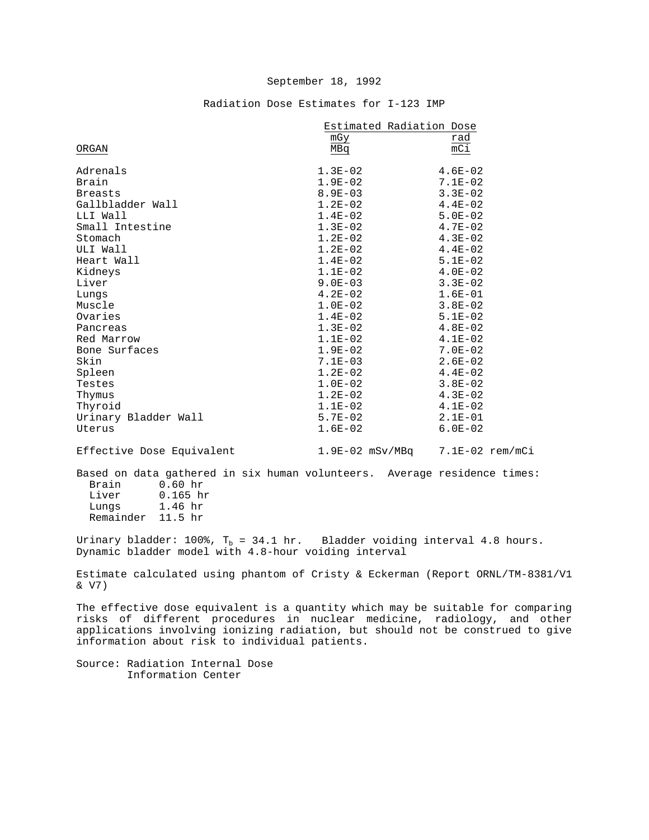# Radiation Dose Estimates for I-123 IMP

|                                                                                                                                                               | Estimated Radiation Dose            |                  |
|---------------------------------------------------------------------------------------------------------------------------------------------------------------|-------------------------------------|------------------|
|                                                                                                                                                               | mGy                                 | rad              |
| ORGAN                                                                                                                                                         | MBq                                 | $\overline{mC1}$ |
| Adrenals                                                                                                                                                      | $1.3E-02$                           | $4.6E-02$        |
| Brain                                                                                                                                                         | $1.9E-02$                           | $7.1E-02$        |
| <b>Breasts</b>                                                                                                                                                | $8.9E - 03$                         | $3.3E - 02$      |
| Gallbladder Wall                                                                                                                                              | $1.2E-02$                           | $4.4E - 02$      |
| LLI Wall                                                                                                                                                      | $1.4E-02$                           | $5.0E - 02$      |
| Small Intestine                                                                                                                                               | $1.3E-02$                           | $4.7E-02$        |
| Stomach                                                                                                                                                       | $1.2E-02$                           | $4.3E-02$        |
| ULI Wall                                                                                                                                                      | $1.2E-02$                           | $4.4E-02$        |
| Heart Wall                                                                                                                                                    | $1.4E-02$                           | $5.1E-02$        |
| Kidneys                                                                                                                                                       | $1.1E-02$                           | $4.0E-02$        |
| Liver                                                                                                                                                         | $9.0E-03$                           | $3.3E-02$        |
| Lungs                                                                                                                                                         | $4.2E-02$                           | $1.6E-01$        |
| Muscle                                                                                                                                                        | $1.0E-02$                           | $3.8E - 02$      |
| Ovaries                                                                                                                                                       | $1.4E-02$                           | $5.1E-02$        |
| Pancreas                                                                                                                                                      | $1.3E-02$                           | $4.8E-02$        |
| Red Marrow                                                                                                                                                    | $1.1E-02$                           | $4.1E-02$        |
| Bone Surfaces                                                                                                                                                 | $1.9E-02$                           | $7.0E-02$        |
| Skin                                                                                                                                                          | $7.1E-03$                           | $2.6E-02$        |
| Spleen                                                                                                                                                        | $1.2E-02$                           | $4.4E-02$        |
| Testes                                                                                                                                                        | $1.0E-02$                           | $3.8E-02$        |
| Thymus                                                                                                                                                        | $1.2E-02$                           | $4.3E-02$        |
| Thyroid                                                                                                                                                       | $1.1E-02$                           | $4.1E-02$        |
| Urinary Bladder Wall                                                                                                                                          | $5.7E - 02$                         | $2.1E-01$        |
| Uterus                                                                                                                                                        | $1.6E-02$                           | $6.0E-02$        |
| Effective Dose Equivalent                                                                                                                                     | $1.9E-02$ mSv/MBq $7.1E-02$ rem/mCi |                  |
| Based on data gathered in six human volunteers. Average residence times:<br>$0.60$ hr<br>Brain<br>Liver<br>$0.165$ hr<br>$1 \t1$<br>$T = 1.25$ and $T = 1.25$ |                                     |                  |

 Lungs 1.46 hr Remainder 11.5 hr

Urinary bladder: 100%,  $T_b = 34.1$  hr. Bladder voiding interval 4.8 hours. Dynamic bladder model with 4.8-hour voiding interval

Estimate calculated using phantom of Cristy & Eckerman (Report ORNL/TM-8381/V1 & V7)

The effective dose equivalent is a quantity which may be suitable for comparing risks of different procedures in nuclear medicine, radiology, and other applications involving ionizing radiation, but should not be construed to give information about risk to individual patients.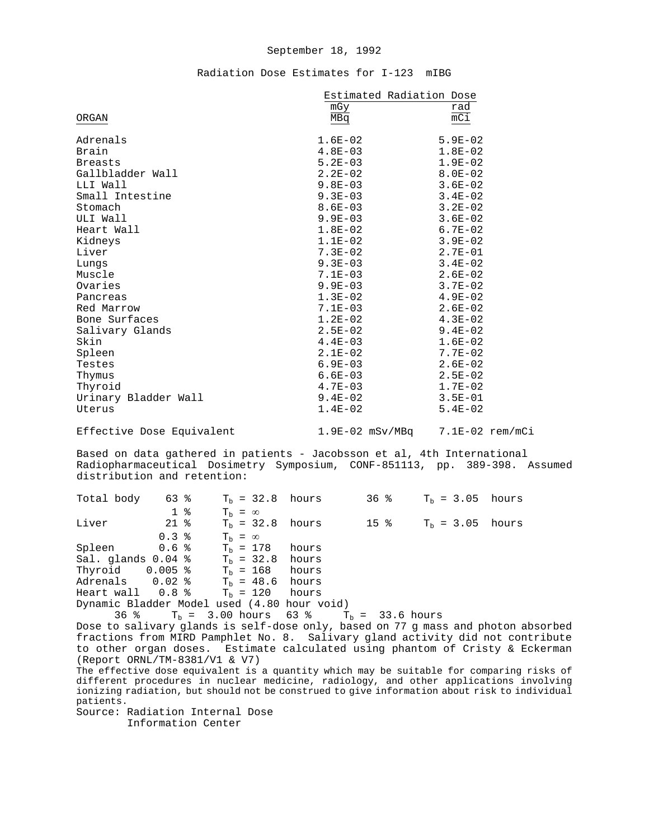## Radiation Dose Estimates for I-123 mIBG

| mGy         | rad                                                         |
|-------------|-------------------------------------------------------------|
| MBq         | mC1                                                         |
| $1.6E-02$   | 5.9E-02                                                     |
| $4.8E-03$   | $1.8E-02$                                                   |
| $5.2E - 03$ | $1.9E-02$                                                   |
| $2.2E-02$   | $8.0E - 02$                                                 |
| $9.8E-03$   | $3.6E - 02$                                                 |
| $9.3E-03$   | $3.4E - 02$                                                 |
| $8.6E-03$   | $3.2E - 02$                                                 |
| $9.9E-03$   | $3.6E-02$                                                   |
| $1.8E-02$   | $6.7E - 02$                                                 |
| $1.1E-02$   | $3.9E-02$                                                   |
| $7.3E-02$   | $2.7E-01$                                                   |
| $9.3E-03$   | $3.4E - 02$                                                 |
| $7.1E-03$   | $2.6E-02$                                                   |
| $9.9E-03$   | $3.7E - 02$                                                 |
| $1.3E-02$   | $4.9E-02$                                                   |
| $7.1E-03$   | $2.6E-02$                                                   |
| $1.2E-02$   | $4.3E-02$                                                   |
| $2.5E-02$   | $9.4E - 02$                                                 |
| $4.4E-03$   | $1.6E-02$                                                   |
| $2.1E-02$   | $7.7E-02$                                                   |
| 6.9E-03     | $2.6E-02$                                                   |
| $6.6E-03$   | $2.5E-02$                                                   |
| $4.7E-03$   | $1.7E-02$                                                   |
| 9.4E-02     | $3.5E - 01$                                                 |
| $1.4E-02$   | $5.4E-02$                                                   |
|             |                                                             |
|             | Estimated Radiation Dose<br>1.9E-02 mSv/MBq 7.1E-02 rem/mCi |

Based on data gathered in patients - Jacobsson et al, 4th International Radiopharmaceutical Dosimetry Symposium, CONF-851113, pp. 389-398. Assumed distribution and retention:

| Total body 63 %                                  |                |                | $Tb = 32.8$ hours                               |  | 36 % $T_h = 3.05$ hours |  |
|--------------------------------------------------|----------------|----------------|-------------------------------------------------|--|-------------------------|--|
|                                                  | 1 <sup>8</sup> | $T_h = \infty$ |                                                 |  |                         |  |
| Liver                                            | 21 %           |                | $T_h = 32.8$ hours                              |  | 15 % $T_h = 3.05$ hours |  |
|                                                  | $0.3$ %        | $T_h = \infty$ |                                                 |  |                         |  |
| Spleen $0.6 %$ T <sub>h</sub> = 178 hours        |                |                |                                                 |  |                         |  |
| Sal. glands $0.04$ % T <sub>h</sub> = 32.8 hours |                |                |                                                 |  |                         |  |
| Thyroid $0.005$ % $T_b = 168$ hours              |                |                |                                                 |  |                         |  |
| Adrenals $0.02$ % $T_h = 48.6$ hours             |                |                |                                                 |  |                         |  |
| Heart wall $0.8$ % $T_h = 120$ hours             |                |                |                                                 |  |                         |  |
| Dynamic Bladder Model used (4.80 hour void)      |                |                |                                                 |  |                         |  |
|                                                  |                |                | 36 % $T_h = 3.00$ hours 63 % $T_h = 33.6$ hours |  |                         |  |
|                                                  |                |                |                                                 |  |                         |  |

Dose to salivary glands is self-dose only, based on 77 g mass and photon absorbed fractions from MIRD Pamphlet No. 8. Salivary gland activity did not contribute to other organ doses. Estimate calculated using phantom of Cristy & Eckerman (Report ORNL/TM-8381/V1 & V7)

The effective dose equivalent is a quantity which may be suitable for comparing risks of different procedures in nuclear medicine, radiology, and other applications involving ionizing radiation, but should not be construed to give information about risk to individual patients.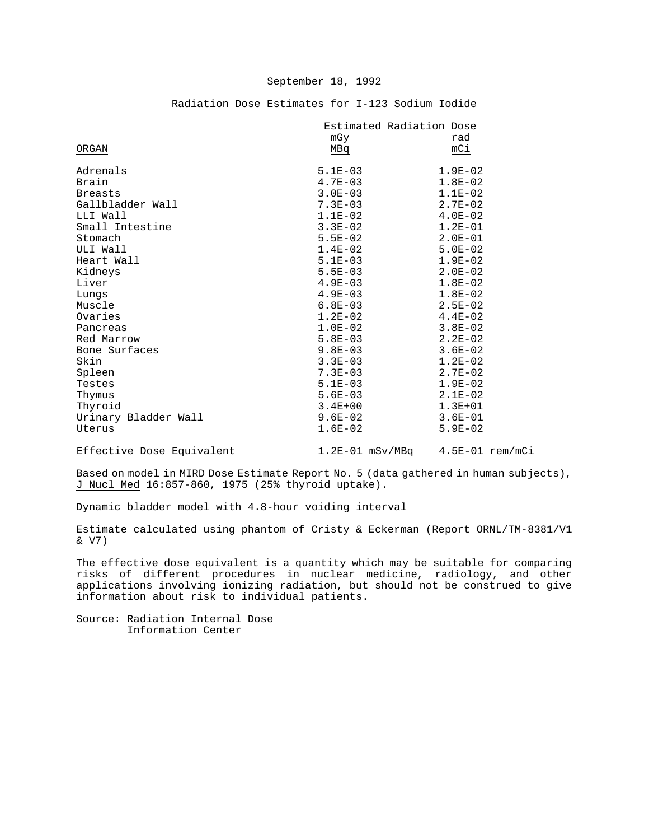|                           | Estimated Radiation Dose |                                     |
|---------------------------|--------------------------|-------------------------------------|
|                           | mGy                      | rad                                 |
| ORGAN                     | MBq                      | $\overline{mCi}$                    |
| Adrenals                  | $5.1E-03$                | $1.9E-02$                           |
| Brain                     | $4.7E - 03$              | $1.8E-02$                           |
| <b>Breasts</b>            | $3.0E - 03$              | $1.1E-02$                           |
| Gallbladder Wall          | $7.3E - 03$              | $2.7E-02$                           |
| LLI Wall                  | $1.1E-02$                | $4.0E - 02$                         |
| Small Intestine           | $3.3E-02$                | $1.2E-01$                           |
| Stomach                   | $5.5E-02$                | $2.0E-01$                           |
| ULI Wall                  | $1.4E-02$                | $5.0E-02$                           |
| Heart Wall                | $5.1E-03$                | $1.9E-02$                           |
| Kidneys                   | $5.5E-03$                | $2.0E-02$                           |
| Liver                     | $4.9E-03$                | $1.8E-02$                           |
| Lungs                     | $4.9E-03$                | $1.8E-02$                           |
| Muscle                    | $6.8E-03$                | $2.5E-02$                           |
| Ovaries                   | $1.2E-02$                | $4.4E-02$                           |
| Pancreas                  | $1.0E-02$                | $3.8E - 02$                         |
| Red Marrow                | $5.8E-03$                | $2.2E-02$                           |
| Bone Surfaces             | $9.8E-03$                | $3.6E - 02$                         |
| Skin                      | $3.3E - 03$              | $1.2E-02$                           |
| Spleen                    | $7.3E - 03$              | $2.7E-02$                           |
| Testes                    | $5.1E-03$                | $1.9E - 02$                         |
| Thymus                    | $5.6E-03$                | $2.1E-02$                           |
| Thyroid                   | $3.4E + 00$              | $1.3E + 01$                         |
| Urinary Bladder Wall      | $9.6E - 02$              | $3.6E - 01$                         |
| Uterus                    | $1.6E-02$                | $5.9E - 02$                         |
| Effective Dose Equivalent |                          | $1.2E-01$ mSv/MBq $4.5E-01$ rem/mCi |

## Radiation Dose Estimates for I-123 Sodium Iodide

Based on model in MIRD Dose Estimate Report No. 5 (data gathered in human subjects), J Nucl Med 16:857-860, 1975 (25% thyroid uptake).

Dynamic bladder model with 4.8-hour voiding interval

Estimate calculated using phantom of Cristy & Eckerman (Report ORNL/TM-8381/V1 & V7)

The effective dose equivalent is a quantity which may be suitable for comparing risks of different procedures in nuclear medicine, radiology, and other applications involving ionizing radiation, but should not be construed to give information about risk to individual patients.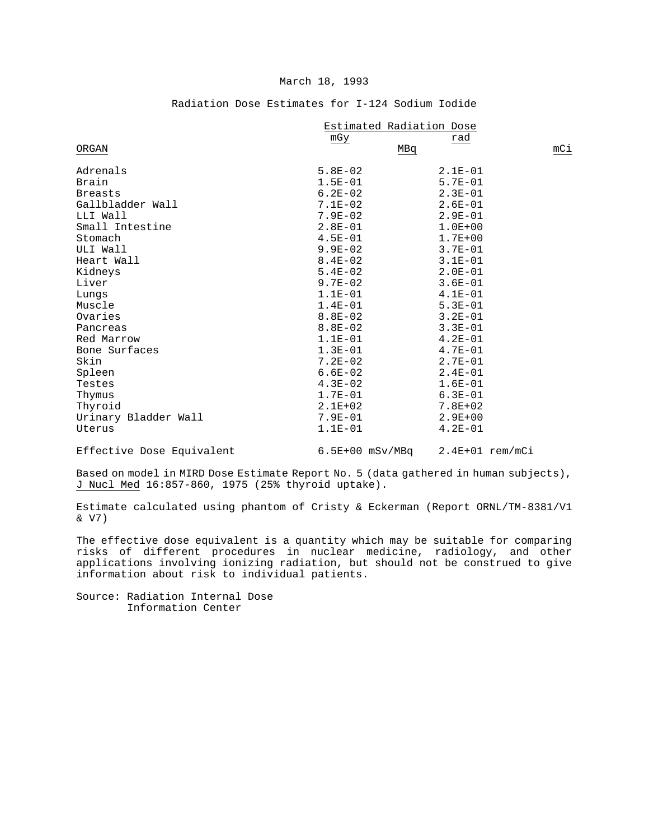#### March 18, 1993

|                      |             | Estimated Radiation Dose |     |
|----------------------|-------------|--------------------------|-----|
|                      | mGy         | rad                      |     |
| ORGAN                |             | MBq                      | mCi |
| Adrenals             | $5.8E-02$   | $2.1E-01$                |     |
| Brain                | $1.5E - 01$ | $5.7E - 01$              |     |
| <b>Breasts</b>       | $6.2E - 02$ | $2.3E-01$                |     |
| Gallbladder Wall     | $7.1E-02$   | $2.6E - 01$              |     |
| LLI Wall             | $7.9E - 02$ | $2.9E - 01$              |     |
| Small Intestine      | $2.8E - 01$ | $1.0E + 00$              |     |
| Stomach              | $4.5E - 01$ | $1.7E + 00$              |     |
| ULI Wall             | $9.9E - 02$ | $3.7E - 01$              |     |
| Heart Wall           | $8.4E - 02$ | $3.1E - 01$              |     |
| Kidneys              | $5.4E-02$   | $2.0E - 01$              |     |
| Liver                | $9.7E-02$   | $3.6E - 01$              |     |
| Lungs                | $1.1E-01$   | $4.1E-01$                |     |
| Muscle               | $1.4E-01$   | $5.3E - 01$              |     |
| Ovaries              | $8.8E-02$   | $3.2E - 01$              |     |
| Pancreas             | $8.8E - 02$ | $3.3E - 01$              |     |
| Red Marrow           | $1.1E-01$   | $4.2E-01$                |     |
| Bone Surfaces        | $1.3E-01$   | $4.7E - 01$              |     |
| Skin                 | $7.2E - 02$ | $2.7E - 01$              |     |
| Spleen               | $6.6E-02$   | $2.4E - 01$              |     |
| Testes               | $4.3E-02$   | $1.6E-01$                |     |
| Thymus               | $1.7E - 01$ | $6.3E - 01$              |     |
| Thyroid              | $2.1E + 02$ | $7.8E + 02$              |     |
| Urinary Bladder Wall | $7.9E - 01$ | $2.9E + 00$              |     |
| Uterus               | $1.1E - 01$ | $4.2E - 01$              |     |

# Radiation Dose Estimates for I-124 Sodium Iodide

Effective Dose Equivalent 6.5E+00 mSv/MBq 2.4E+01 rem/mCi

Based on model in MIRD Dose Estimate Report No. 5 (data gathered in human subjects), J Nucl Med 16:857-860, 1975 (25% thyroid uptake).

Estimate calculated using phantom of Cristy & Eckerman (Report ORNL/TM-8381/V1 & V7)

The effective dose equivalent is a quantity which may be suitable for comparing risks of different procedures in nuclear medicine, radiology, and other applications involving ionizing radiation, but should not be construed to give information about risk to individual patients.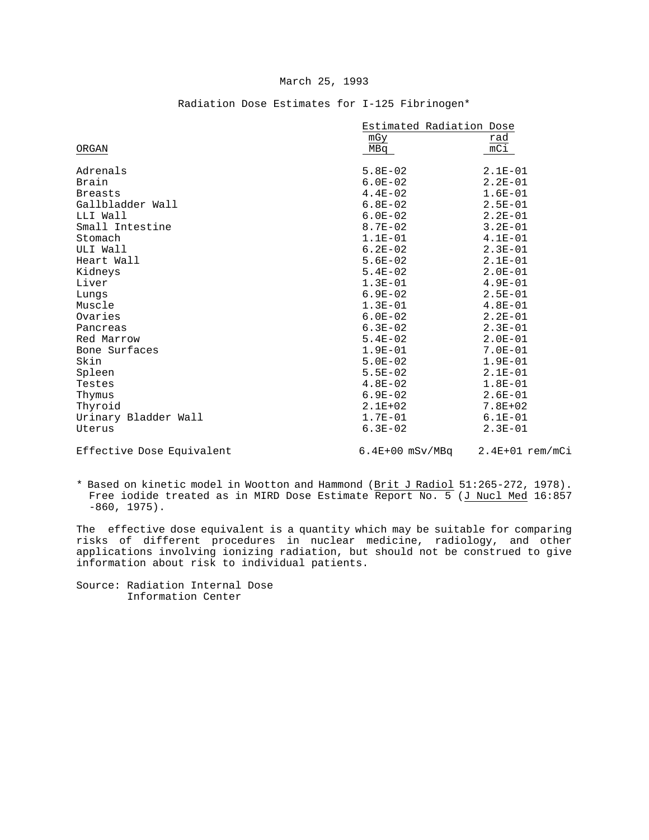### March 25, 1993

|                           | Estimated Radiation Dose |                   |
|---------------------------|--------------------------|-------------------|
|                           | mGy                      | rad               |
| ORGAN                     | MBq                      | $mC_1$            |
|                           |                          |                   |
| Adrenals                  | $5.8E-02$                | $2.1E-01$         |
| Brain                     | $6.0E-02$                | $2.2E-01$         |
| <b>Breasts</b>            | $4.4E-02$                | $1.6E-01$         |
| Gallbladder Wall          | $6.8E-02$                | $2.5E - 01$       |
| LLI Wall                  | $6.0E-02$                | $2.2E-01$         |
| Small Intestine           | $8.7E - 02$              | $3.2E - 01$       |
| Stomach                   | $1.1E-01$                | $4.1E-01$         |
| ULI Wall                  | $6.2E-02$                | $2.3E-01$         |
| Heart Wall                | $5.6E-02$                | $2.1E-01$         |
| Kidneys                   | $5.4E-02$                | $2.0E - 01$       |
| Liver                     | $1.3E-01$                | $4.9E - 01$       |
| Lungs                     | $6.9E-02$                | $2.5E - 01$       |
| Muscle                    | $1.3E-01$                | $4.8E - 01$       |
| Ovaries                   | $6.0E-02$                | $2.2E-01$         |
| Pancreas                  | $6.3E-02$                | $2.3E-01$         |
| Red Marrow                | $5.4E-02$                | $2.0E-01$         |
| Bone Surfaces             | $1.9E-01$                | $7.0E - 01$       |
| Skin                      | $5.0E-02$                | $1.9E-01$         |
| Spleen                    | $5.5E - 02$              | $2.1E-01$         |
| Testes                    | $4.8E-02$                | $1.8E - 01$       |
| Thymus                    | $6.9E-02$                | $2.6E-01$         |
| Thyroid                   | $2.1E + 02$              | $7.8E + 02$       |
| Urinary Bladder Wall      | $1.7E-01$                | $6.1E - 01$       |
| Uterus                    | $6.3E-02$                | $2.3E-01$         |
| Effective Dose Equivalent | $6.4E+00$ mSv/MBq        | $2.4E+01$ rem/mCi |

# Radiation Dose Estimates for I-125 Fibrinogen\*

\* Based on kinetic model in Wootton and Hammond (Brit J Radiol 51:265-272, 1978). Free iodide treated as in MIRD Dose Estimate Report No. 5 (J Nucl Med 16:857 -860, 1975).

The effective dose equivalent is a quantity which may be suitable for comparing risks of different procedures in nuclear medicine, radiology, and other applications involving ionizing radiation, but should not be construed to give information about risk to individual patients.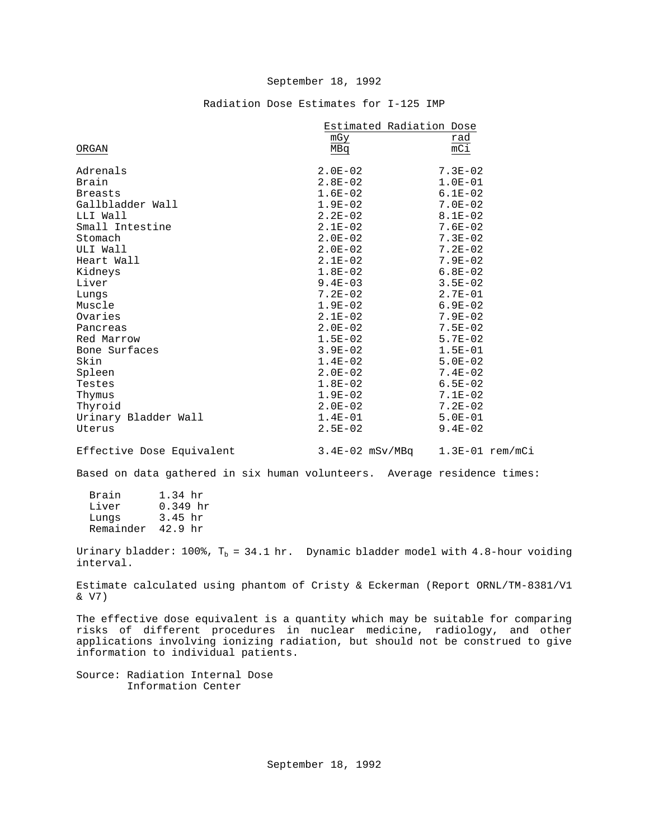# Radiation Dose Estimates for I-125 IMP

|                           | Estimated Radiation Dose |                   |
|---------------------------|--------------------------|-------------------|
|                           | mGy                      | rad               |
| ORGAN                     | MBq                      | mC1               |
| Adrenals                  | $2.0E-02$                | $7.3E - 02$       |
| Brain                     | $2.8E-02$                | $1.0E-01$         |
| <b>Breasts</b>            | $1.6E-02$                | $6.1E - 02$       |
| Gallbladder Wall          | $1.9E-02$                | $7.0E - 02$       |
| LLI Wall                  | $2.2E-02$                | $8.1E - 02$       |
| Small Intestine           | $2.1E-02$                | $7.6E - 02$       |
| Stomach                   | $2.0E-02$                | $7.3E - 02$       |
| ULI Wall                  | $2.0E-02$                | $7.2E-02$         |
| Heart Wall                | $2.1E-02$                | $7.9E - 02$       |
| Kidneys                   | $1.8E-02$                | $6.8E-02$         |
| Liver                     | $9.4E-03$                | $3.5E - 02$       |
| Lungs                     | $7.2E-02$                | $2.7E-01$         |
| Muscle                    | $1.9E-02$                | $6.9E - 02$       |
| Ovaries                   | $2.1E-02$                | $7.9E - 02$       |
| Pancreas                  | $2.0E-02$                | $7.5E - 02$       |
| Red Marrow                | $1.5E-02$                | $5.7E - 02$       |
| Bone Surfaces             | $3.9E - 02$              | $1.5E-01$         |
| Skin                      | $1.4E-02$                | $5.0E-02$         |
| Spleen                    | $2.0E-02$                | $7.4E - 02$       |
| Testes                    | $1.8E-02$                | $6.5E-02$         |
| Thymus                    | $1.9E-02$                | $7.1E-02$         |
| Thyroid                   | $2.0E-02$                | $7.2E - 02$       |
| Urinary Bladder Wall      | $1.4E-01$                | $5.0E-01$         |
| Uterus                    | $2.5E-02$                | $9.4E - 02$       |
| Effective Dose Equivalent | $3.4E-02$ mSv/MBq        | $1.3E-01$ rem/mCi |

Based on data gathered in six human volunteers. Average residence times:

| Brain     | 1.34 hr    |
|-----------|------------|
| Liver     | $0.349$ hr |
| Lungs     | $3.45\;hr$ |
| Remainder | 42.9 hr    |

Urinary bladder: 100%,  $T_b = 34.1$  hr. Dynamic bladder model with 4.8-hour voiding interval.

Estimate calculated using phantom of Cristy & Eckerman (Report ORNL/TM-8381/V1 & V7)

The effective dose equivalent is a quantity which may be suitable for comparing risks of different procedures in nuclear medicine, radiology, and other applications involving ionizing radiation, but should not be construed to give information to individual patients.

Source: Radiation Internal Dose Information Center

September 18, 1992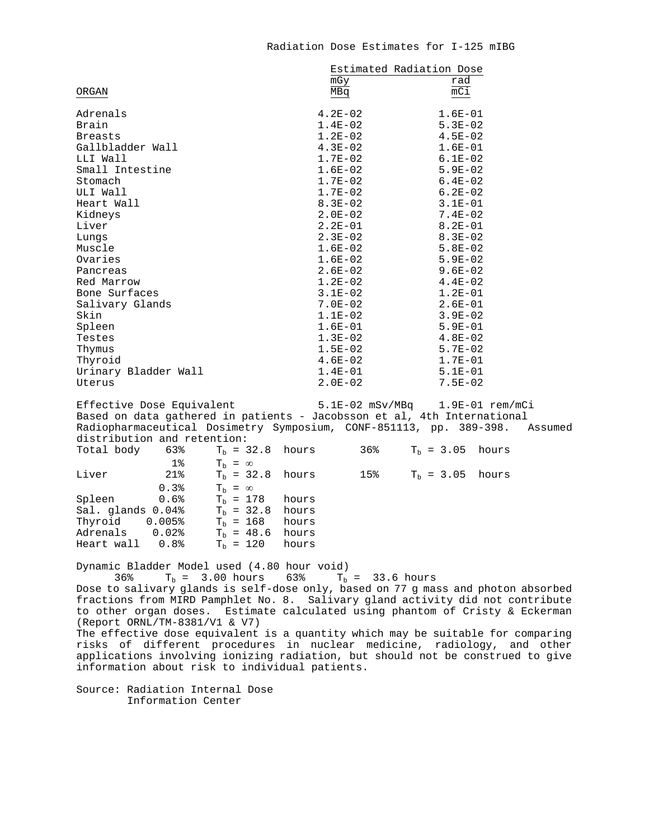## Radiation Dose Estimates for I-125 mIBG

|                           | Estimated Radiation Dose     |                |
|---------------------------|------------------------------|----------------|
|                           | mGy                          | rad            |
| ORGAN                     | MBq                          | mCi            |
| Adrenals                  | $4.2E - 02$                  | $1.6E-01$      |
| Brain                     | $1.4E-02$                    | $5.3E-02$      |
| <b>Breasts</b>            | $1.2E-02$                    | $4.5E - 02$    |
| Gallbladder Wall          | $4.3E-02$                    | $1.6E-01$      |
| LLI Wall                  | $1.7E-02$                    | $6.1E-02$      |
| Small Intestine           | $1.6E-02$                    | $5.9E - 02$    |
| Stomach                   | $1.7E-02$                    | $6.4E - 02$    |
| ULI Wall                  | $1.7E-02$                    | $6.2E-02$      |
| Heart Wall                | $8.3E - 02$                  | $3.1E-01$      |
| Kidneys                   | $2.0E-02$                    | $7.4E - 02$    |
| Liver                     | $2.2E-01$                    | $8.2E - 01$    |
| Lungs                     | $2.3E-02$                    | $8.3E-02$      |
| Muscle                    | $1.6E-02$                    | $5.8E-02$      |
| Ovaries                   | $1.6E-02$                    | $5.9E - 02$    |
| Pancreas                  | $2.6E-02$                    | $9.6E-02$      |
| Red Marrow                | $1.2E-02$                    | $4.4E-02$      |
| Bone Surfaces             | $3.1E-02$                    | $1.2E-01$      |
| Salivary Glands           | $7.0E - 02$                  | $2.6E-01$      |
| Skin                      | $1.1E-02$                    | $3.9E - 02$    |
| Spleen                    | $1.6E-01$                    | $5.9E-01$      |
| Testes                    | $1.3E-02$                    | $4.8E-02$      |
| Thymus                    | $1.5E-02$                    | $5.7E-02$      |
| Thyroid                   | $4.6E-02$                    | $1.7E-01$      |
| Urinary Bladder Wall      | $1.4E-01$                    | $5.1E-01$      |
| Uterus                    | $2.0E-02$                    | $7.5E - 02$    |
| Effective Dose Equivalent | $5.1E - 0.2$ mSv/MB $\alpha$ | $1.9F-01$ rem/ |

Effective Dose Equivalent 5.1E-02 mSv/MBq 1.9E-01 rem/mCi Based on data gathered in patients - Jacobsson et al, 4th International Radiopharmaceutical Dosimetry Symposium, CONF-851113, pp. 389-398. Assumed distribution and retention:

| Total body                                         |       | $63\%$ T <sub>h</sub> = 32.8 hours |  | 36% $T_h = 3.05$ hours |  |
|----------------------------------------------------|-------|------------------------------------|--|------------------------|--|
|                                                    | $1\%$ | $T_h = \infty$                     |  |                        |  |
| Liver                                              | 21%   | $Tb = 32.8$ hours                  |  | 15% $T_h = 3.05$ hours |  |
|                                                    | 0.3%  | $T_h = \infty$                     |  |                        |  |
| Spleen 0.6%                                        |       | $T_h = 178$ hours                  |  |                        |  |
| Sal. glands $0.04$ <sup>2</sup> $T_h$ = 32.8 hours |       |                                    |  |                        |  |
| Thyroid 0.005%                                     |       | $T_h = 168$ hours                  |  |                        |  |
| Adrenals 0.02%                                     |       | $T_h = 48.6$ hours                 |  |                        |  |
| Heart wall 0.8%                                    |       | $T_h = 120$ hours                  |  |                        |  |
|                                                    |       |                                    |  |                        |  |

Dynamic Bladder Model used (4.80 hour void)

 $36\%$  T<sub>b</sub> = 3.00 hours  $63\%$  T<sub>b</sub> = 33.6 hours

Dose to salivary glands is self-dose only, based on 77 g mass and photon absorbed fractions from MIRD Pamphlet No. 8. Salivary gland activity did not contribute to other organ doses. Estimate calculated using phantom of Cristy & Eckerman (Report ORNL/TM-8381/V1 & V7)

The effective dose equivalent is a quantity which may be suitable for comparing risks of different procedures in nuclear medicine, radiology, and other applications involving ionizing radiation, but should not be construed to give information about risk to individual patients.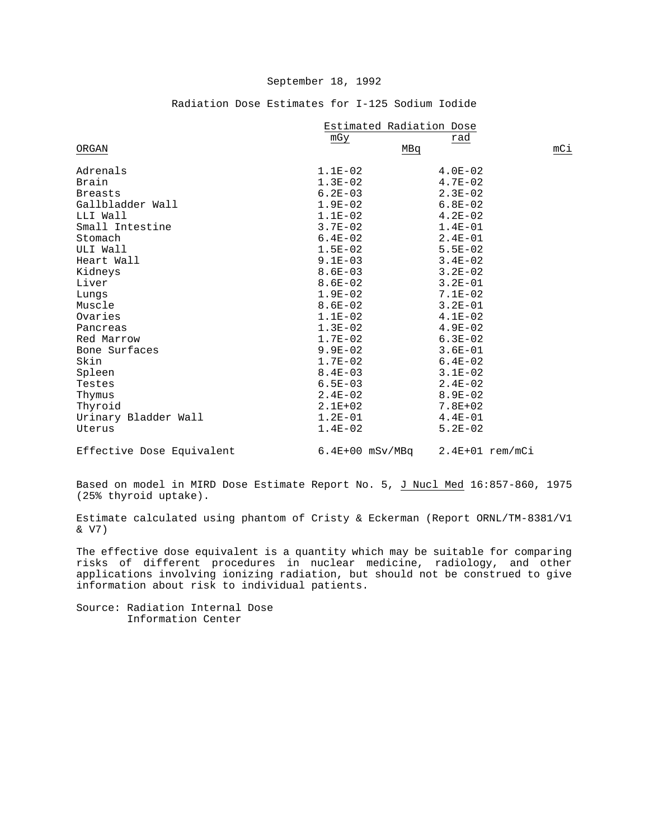|                           | Estimated Radiation Dose |                   |     |  |
|---------------------------|--------------------------|-------------------|-----|--|
|                           | mGy                      | rad               |     |  |
| ORGAN                     | MBq                      |                   | mCi |  |
| Adrenals                  | $1.1E-02$                | $4.0E-02$         |     |  |
| Brain                     | $1.3E-02$                | $4.7E-02$         |     |  |
| <b>Breasts</b>            | $6.2E - 03$              | $2.3E-02$         |     |  |
| Gallbladder Wall          | $1.9E-02$                | $6.8E-02$         |     |  |
| LLI Wall                  | $1.1E-02$                | $4.2E-02$         |     |  |
| Small Intestine           | $3.7E - 02$              | $1.4E-01$         |     |  |
| Stomach                   | $6.4E-02$                | $2.4E-01$         |     |  |
| ULI Wall                  | $1.5E-02$                | $5.5E - 02$       |     |  |
| Heart Wall                | $9.1E-03$                | $3.4E - 02$       |     |  |
| Kidneys                   | $8.6E - 03$              | $3.2E - 02$       |     |  |
| Liver                     | $8.6E - 02$              | $3.2E - 01$       |     |  |
| Lungs                     | $1.9E-02$                | $7.1E-02$         |     |  |
| Muscle                    | $8.6E - 02$              | $3.2E - 01$       |     |  |
| Ovaries                   | $1.1E-02$                | $4.1E-02$         |     |  |
| Pancreas                  | $1.3E-02$                | $4.9E-02$         |     |  |
| Red Marrow                | $1.7E-02$                | $6.3E-02$         |     |  |
| Bone Surfaces             | $9.9E - 02$              | $3.6E - 01$       |     |  |
| Skin                      | $1.7E-02$                | $6.4E - 02$       |     |  |
| Spleen                    | $8.4E - 03$              | $3.1E-02$         |     |  |
| Testes                    | $6.5E - 03$              | $2.4E-02$         |     |  |
| Thymus                    | $2.4E-02$                | $8.9E - 02$       |     |  |
| Thyroid                   | $2.1E+02$                | $7.8E + 02$       |     |  |
| Urinary Bladder Wall      | $1.2E-01$                | $4.4E - 01$       |     |  |
| Uterus                    | $1.4E-02$                | $5.2E - 02$       |     |  |
| Effective Dose Equivalent | $6.4E+00$ mSv/MBq        | $2.4E+01$ rem/mCi |     |  |

## Radiation Dose Estimates for I-125 Sodium Iodide

Based on model in MIRD Dose Estimate Report No. 5, J Nucl Med 16:857-860, 1975 (25% thyroid uptake).

Estimate calculated using phantom of Cristy & Eckerman (Report ORNL/TM-8381/V1 & V7)

The effective dose equivalent is a quantity which may be suitable for comparing risks of different procedures in nuclear medicine, radiology, and other applications involving ionizing radiation, but should not be construed to give information about risk to individual patients.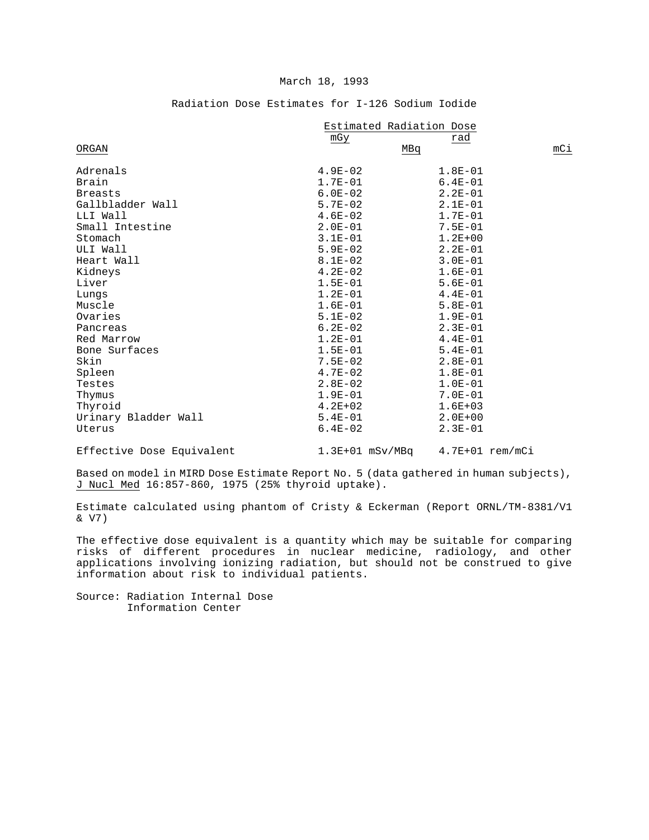#### March 18, 1993

|                      |             | Estimated Radiation Dose |  |  |
|----------------------|-------------|--------------------------|--|--|
|                      | mGy         | rad                      |  |  |
| ORGAN                | MBq         |                          |  |  |
| Adrenals             | $4.9E - 02$ | $1.8E-01$                |  |  |
| Brain                | $1.7E-01$   | $6.4E - 01$              |  |  |
| <b>Breasts</b>       | $6.0E - 02$ | $2.2E-01$                |  |  |
| Gallbladder Wall     | $5.7E-02$   | $2.1E-01$                |  |  |
| LLI Wall             | $4.6E - 02$ | $1.7E - 01$              |  |  |
| Small Intestine      | $2.0E-01$   | $7.5E - 01$              |  |  |
| Stomach              | $3.1E-01$   | $1.2E + 00$              |  |  |
| ULI Wall             | $5.9E-02$   | $2.2E-01$                |  |  |
| Heart Wall           | $8.1E-02$   | $3.0E - 01$              |  |  |
| Kidneys              | $4.2E-02$   | $1.6E-01$                |  |  |
| Liver                | $1.5E-01$   | $5.6E - 01$              |  |  |
| Lungs                | $1.2E - 01$ | $4.4E-01$                |  |  |
| Muscle               | $1.6E-01$   | $5.8E - 01$              |  |  |
| Ovaries              | $5.1E-02$   | $1.9E-01$                |  |  |
| Pancreas             | $6.2E-02$   | $2.3E-01$                |  |  |
| Red Marrow           | $1.2E-01$   | $4.4E - 01$              |  |  |
| Bone Surfaces        | $1.5E - 01$ | $5.4E - 01$              |  |  |
| Skin                 | $7.5E - 02$ | $2.8E - 01$              |  |  |
| Spleen               | $4.7E-02$   | $1.8E - 01$              |  |  |
| Testes               | $2.8E-02$   | $1.0E-01$                |  |  |
| Thymus               | $1.9E-01$   | $7.0E - 01$              |  |  |
| Thyroid              | $4.2E + 02$ | $1.6E + 03$              |  |  |
| Urinary Bladder Wall | $5.4E - 01$ | $2.0E + 00$              |  |  |
| Uterus               | $6.4E-02$   | $2.3E-01$                |  |  |
|                      |             |                          |  |  |

# Radiation Dose Estimates for I-126 Sodium Iodide

Effective Dose Equivalent

 $1.3E+01$  mSv/MBq  $4.7E+01$  rem/mCi

Based on model in MIRD Dose Estimate Report No. 5 (data gathered in human subjects), J Nucl Med 16:857-860, 1975 (25% thyroid uptake).

Estimate calculated using phantom of Cristy & Eckerman (Report ORNL/TM-8381/V1 & V7)

The effective dose equivalent is a quantity which may be suitable for comparing risks of different procedures in nuclear medicine, radiology, and other applications involving ionizing radiation, but should not be construed to give information about risk to individual patients.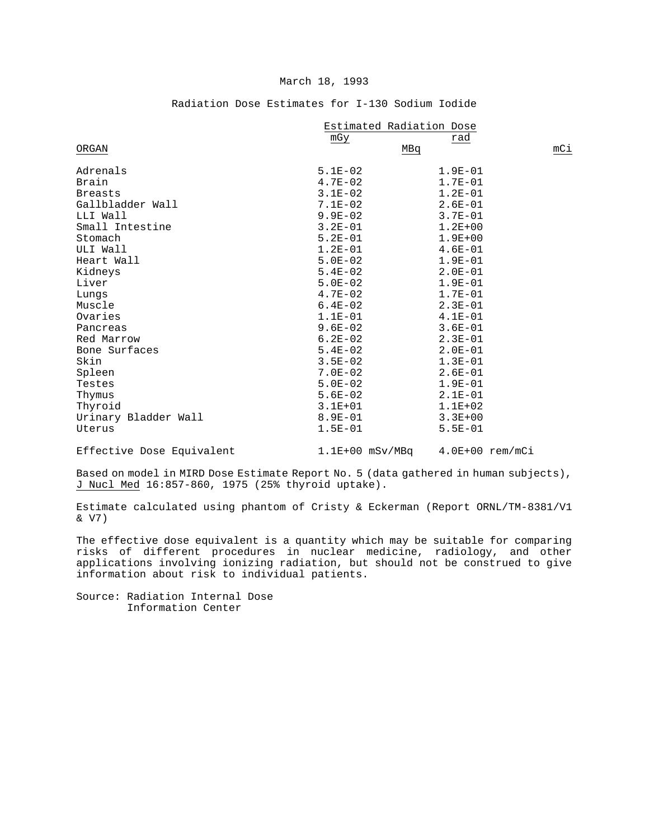#### March 18, 1993

|                      | Estimated Radiation Dose |             |     |
|----------------------|--------------------------|-------------|-----|
|                      | mGy                      | rad         |     |
| ORGAN                |                          | MBq         | mCi |
| Adrenals             | $5.1E-02$                | $1.9E-01$   |     |
| Brain                | $4.7E-02$                | $1.7E - 01$ |     |
| <b>Breasts</b>       | $3.1E-02$                | $1.2E-01$   |     |
| Gallbladder Wall     | $7.1E-02$                | $2.6E - 01$ |     |
| LLI Wall             | $9.9E - 02$              | $3.7E - 01$ |     |
| Small Intestine      | $3.2E - 01$              | $1.2E + 00$ |     |
| Stomach              | $5.2E - 01$              | $1.9E + 00$ |     |
| ULI Wall             | $1.2E-01$                | $4.6E - 01$ |     |
| Heart Wall           | $5.0E-02$                | $1.9E - 01$ |     |
| Kidneys              | $5.4E-02$                | $2.0E - 01$ |     |
| Liver                | $5.0E-02$                | $1.9E-01$   |     |
| Lungs                | $4.7E-02$                | $1.7E-01$   |     |
| Muscle               | $6.4E-02$                | $2.3E-01$   |     |
| Ovaries              | $1.1E-01$                | $4.1E-01$   |     |
| Pancreas             | $9.6E-02$                | $3.6E - 01$ |     |
| Red Marrow           | $6.2E - 02$              | $2.3E-01$   |     |
| Bone Surfaces        | $5.4E-02$                | $2.0E - 01$ |     |
| Skin                 | $3.5E - 02$              | $1.3E-01$   |     |
| Spleen               | $7.0E - 02$              | $2.6E - 01$ |     |
| Testes               | $5.0E-02$                | $1.9E - 01$ |     |
| Thymus               | $5.6E-02$                | $2.1E-01$   |     |
| Thyroid              | $3.1E + 01$              | $1.1E + 02$ |     |
| Urinary Bladder Wall | $8.9E - 01$              | $3.3E + 00$ |     |
| Uterus               | $1.5E - 01$              | $5.5E - 01$ |     |
|                      |                          |             |     |

# Radiation Dose Estimates for I-130 Sodium Iodide

Effective Dose Equivalent

 $1.1E+00$  mSv/MBq  $4.0E+00$  rem/mCi

Based on model in MIRD Dose Estimate Report No. 5 (data gathered in human subjects), J Nucl Med 16:857-860, 1975 (25% thyroid uptake).

Estimate calculated using phantom of Cristy & Eckerman (Report ORNL/TM-8381/V1 & V7)

The effective dose equivalent is a quantity which may be suitable for comparing risks of different procedures in nuclear medicine, radiology, and other applications involving ionizing radiation, but should not be construed to give information about risk to individual patients.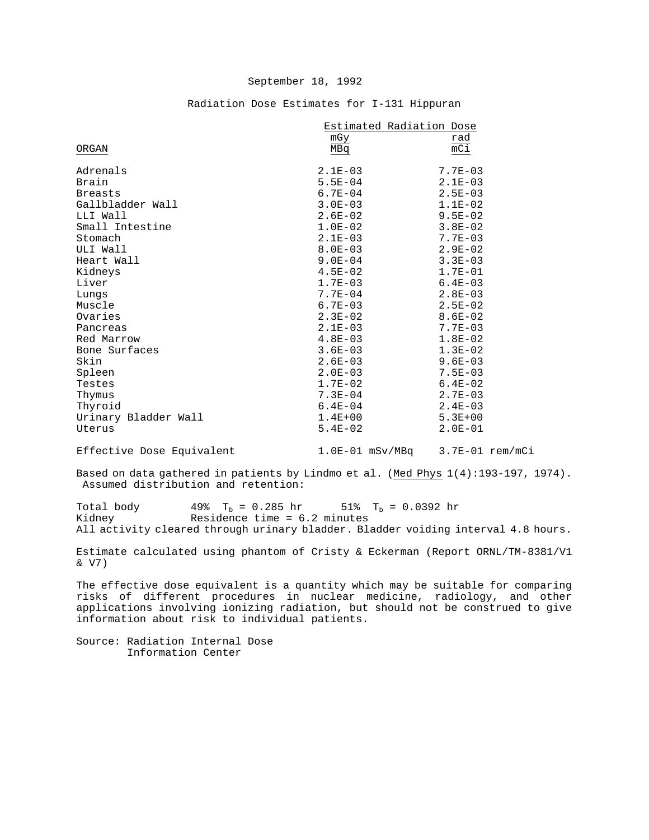|  | Radiation Dose Estimates for I-131 Hippuran |  |  |
|--|---------------------------------------------|--|--|

|                      | Estimated Radiation Dose |             |
|----------------------|--------------------------|-------------|
|                      | mGy                      | rad         |
| ORGAN                | MBq                      | mCi         |
| Adrenals             | $2.1E-03$                | $7.7E - 03$ |
| Brain                | $5.5E - 04$              | $2.1E-03$   |
| <b>Breasts</b>       | $6.7E - 04$              | $2.5E - 03$ |
| Gallbladder Wall     | $3.0E - 03$              | $1.1E-02$   |
| LLI Wall             | $2.6E - 02$              | $9.5E - 02$ |
| Small Intestine      | $1.0E-02$                | $3.8E - 02$ |
| Stomach              | $2.1E-03$                | $7.7E - 03$ |
| ULI Wall             | $8.0E - 03$              | $2.9E - 02$ |
| Heart Wall           | $9.0E - 04$              | $3.3E - 03$ |
| Kidneys              | $4.5E-02$                | $1.7E-01$   |
| Liver                | $1.7E - 03$              | $6.4E - 03$ |
| Lungs                | $7.7E - 04$              | $2.8E - 03$ |
| Muscle               | $6.7E - 03$              | $2.5E-02$   |
| Ovaries              | $2.3E - 02$              | $8.6E - 02$ |
| Pancreas             | $2.1E - 03$              | $7.7E - 03$ |
| Red Marrow           | $4.8E - 03$              | $1.8E-02$   |
| Bone Surfaces        | $3.6E - 03$              | $1.3E-02$   |
| Skin                 | $2.6E - 03$              | $9.6E - 03$ |
| Spleen               | $2.0E - 03$              | $7.5E - 03$ |
| Testes               | $1.7E-02$                | $6.4E-02$   |
| Thymus               | $7.3E - 04$              | $2.7E - 03$ |
| Thyroid              | $6.4E - 04$              | $2.4E-03$   |
| Urinary Bladder Wall | $1.4E + 00$              | $5.3E + 00$ |
| Uterus               | $5.4E-02$                | $2.0E-01$   |

Effective Dose Equivalent 1.0E-01 mSv/MBq 3.7E-01 rem/mCi

Based on data gathered in patients by Lindmo et al. (Med Phys 1(4):193-197, 1974). Assumed distribution and retention:

Total body  $49\%$  T<sub>b</sub> = 0.285 hr 51% T<sub>b</sub> = 0.0392 hr<br>Kidney Residence time = 6.2 minutes Residence time =  $6.2$  minutes All activity cleared through urinary bladder. Bladder voiding interval 4.8 hours.

Estimate calculated using phantom of Cristy & Eckerman (Report ORNL/TM-8381/V1 & V7)

The effective dose equivalent is a quantity which may be suitable for comparing risks of different procedures in nuclear medicine, radiology, and other applications involving ionizing radiation, but should not be construed to give information about risk to individual patients.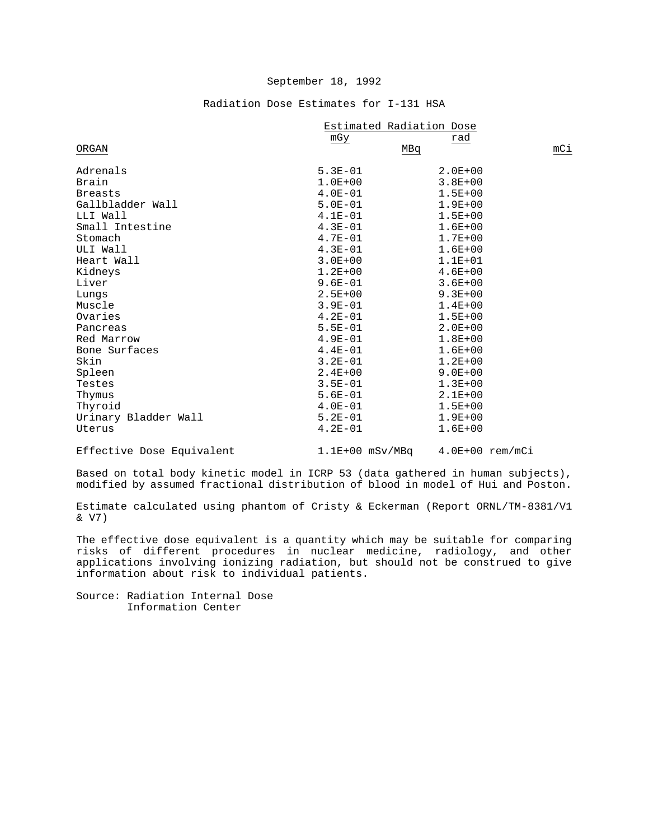# Radiation Dose Estimates for I-131 HSA

|                      | Estimated Radiation Dose |             |     |
|----------------------|--------------------------|-------------|-----|
|                      | mGy                      | rad         |     |
| ORGAN                |                          | MBq         | mCi |
| Adrenals             | $5.3E - 01$              | $2.0E + 00$ |     |
| Brain                | $1.0E + 00$              | $3.8E + 00$ |     |
| <b>Breasts</b>       | $4.0E-01$                | $1.5E + 00$ |     |
| Gallbladder Wall     | $5.0E - 01$              | $1.9E + 00$ |     |
| LLI Wall             | $4.1E-01$                | $1.5E + 00$ |     |
| Small Intestine      | $4.3E - 01$              | $1.6E + 00$ |     |
| Stomach              | $4.7E - 01$              | $1.7E + 00$ |     |
| ULI Wall             | $4.3E - 01$              | $1.6E + 00$ |     |
| Heart Wall           | $3.0E + 00$              | $1.1E + 01$ |     |
| Kidneys              | $1.2E + 00$              | $4.6E + 00$ |     |
| Liver                | $9.6E - 01$              | $3.6E + 00$ |     |
| Lungs                | $2.5E + 00$              | $9.3E + 00$ |     |
| Muscle               | $3.9E - 01$              | $1.4E + 00$ |     |
| Ovaries              | $4.2E - 01$              | $1.5E + 00$ |     |
| Pancreas             | $5.5E - 01$              | $2.0E + 00$ |     |
| Red Marrow           | $4.9E - 01$              | $1.8E + 00$ |     |
| Bone Surfaces        | $4.4E-01$                | $1.6E + 00$ |     |
| Skin                 | $3.2E - 01$              | $1.2E + 00$ |     |
| Spleen               | $2.4E + 00$              | $9.0E + 00$ |     |
| Testes               | $3.5E - 01$              | $1.3E + 00$ |     |
| Thymus               | $5.6E - 01$              | $2.1E + 00$ |     |
| Thyroid              | $4.0E - 01$              | $1.5E + 00$ |     |
| Urinary Bladder Wall | $5.2E - 01$              | $1.9E + 00$ |     |
| Uterus               | $4.2E - 01$              | $1.6E + 00$ |     |
|                      |                          |             |     |

Effective Dose Equivalent 1.1E+00 mSv/MBq 4.0E+00 rem/mCi

Based on total body kinetic model in ICRP 53 (data gathered in human subjects), modified by assumed fractional distribution of blood in model of Hui and Poston.

Estimate calculated using phantom of Cristy & Eckerman (Report ORNL/TM-8381/V1 & V7)

The effective dose equivalent is a quantity which may be suitable for comparing risks of different procedures in nuclear medicine, radiology, and other applications involving ionizing radiation, but should not be construed to give information about risk to individual patients.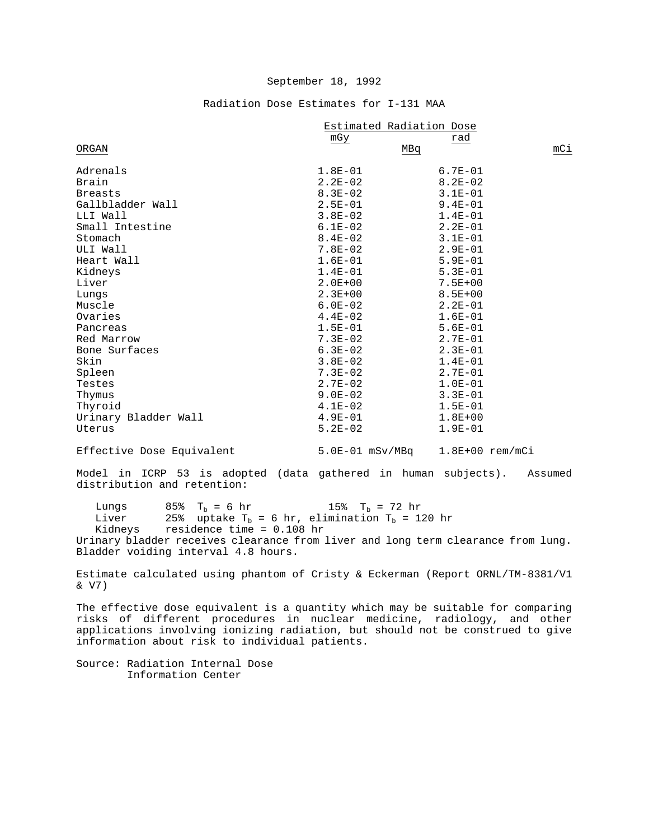# Radiation Dose Estimates for I-131 MAA

|                           | Estimated Radiation Dose |                   |     |
|---------------------------|--------------------------|-------------------|-----|
|                           | mGy                      | rad               |     |
| ORGAN                     | MBq                      |                   | mCi |
| Adrenals                  | $1.8E-01$                | $6.7E - 01$       |     |
| Brain                     | $2.2E-02$                | $8.2E - 02$       |     |
| <b>Breasts</b>            | $8.3E - 02$              | $3.1E - 01$       |     |
| Gallbladder Wall          | $2.5E - 01$              | $9.4E - 01$       |     |
| LLI Wall                  | $3.8E-02$                | $1.4E - 01$       |     |
| Small Intestine           | $6.1E-02$                | $2.2E - 01$       |     |
| Stomach                   | $8.4E - 02$              | $3.1E-01$         |     |
| ULI Wall                  | $7.8E-02$                | $2.9E-01$         |     |
| Heart Wall                | $1.6E-01$                | $5.9E - 01$       |     |
| Kidneys                   | $1.4E-01$                | $5.3E - 01$       |     |
| Liver                     | $2.0E + 00$              | $7.5E + 00$       |     |
| Lungs                     | $2.3E + 00$              | $8.5E + 00$       |     |
| Muscle                    | $6.0E-02$                | $2.2E - 01$       |     |
| Ovaries                   | $4.4E-02$                | $1.6E-01$         |     |
| Pancreas                  | $1.5E-01$                | $5.6E-01$         |     |
| Red Marrow                | $7.3E - 02$              | $2.7E - 01$       |     |
| Bone Surfaces             | $6.3E-02$                | $2.3E - 01$       |     |
| Skin                      | $3.8E - 02$              | $1.4E-01$         |     |
| Spleen                    | $7.3E - 02$              | $2.7E - 01$       |     |
| Testes                    | $2.7E-02$                | $1.0E-01$         |     |
| Thymus                    | $9.0E - 02$              | $3.3E - 01$       |     |
| Thyroid                   | $4.1E-02$                | $1.5E - 01$       |     |
| Urinary Bladder Wall      | $4.9E - 01$              | $1.8E + 00$       |     |
| Uterus                    | $5.2E - 02$              | $1.9E-01$         |     |
| Effective Dose Equivalent | 5.0E-01 mSv/MBq          | $1.8E+00$ rem/mCi |     |

Model in ICRP 53 is adopted (data gathered in human subjects). Assumed distribution and retention:

Lungs 85%  $T_b = 6$  hr 15%  $T_b = 72$  hr<br>Liver 25% uptake  $T_b = 6$  hr, elimination  $T_b = 1$ Liver 25% uptake  $T_b = 6$  hr, elimination  $T_b = 120$  hr Kidneys residence time = 0.108 hr residence time =  $0.108$  hr Urinary bladder receives clearance from liver and long term clearance from lung. Bladder voiding interval 4.8 hours.

Estimate calculated using phantom of Cristy & Eckerman (Report ORNL/TM-8381/V1 & V7)

The effective dose equivalent is a quantity which may be suitable for comparing risks of different procedures in nuclear medicine, radiology, and other applications involving ionizing radiation, but should not be construed to give information about risk to individual patients.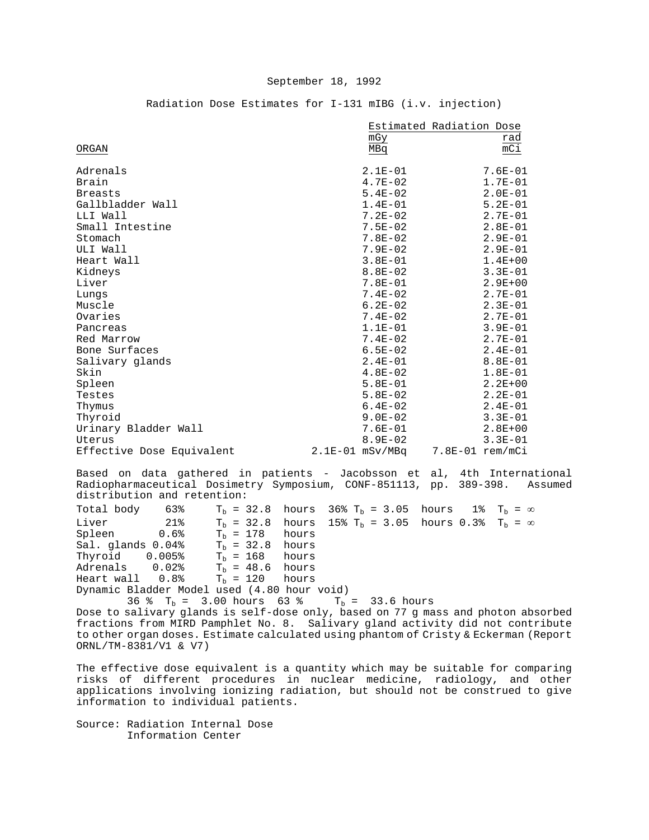|                           | mGy               | Estimated Radiation Dose<br>rad |
|---------------------------|-------------------|---------------------------------|
| ORGAN                     | MBq               | mCi                             |
| Adrenals                  | $2.1E-01$         | $7.6E - 01$                     |
| Brain                     | $4.7E - 02$       | $1.7E - 01$                     |
| <b>Breasts</b>            | $5.4E-02$         | $2.0E-01$                       |
| Gallbladder Wall          | $1.4E-01$         | $5.2E - 01$                     |
| LLI Wall                  | $7.2E - 02$       | $2.7E-01$                       |
| Small Intestine           | $7.5E - 02$       | $2.8E-01$                       |
| Stomach                   | $7.8E - 02$       | $2.9E - 01$                     |
| ULI Wall                  | $7.9E - 02$       | $2.9E - 01$                     |
| Heart Wall                | $3.8E - 01$       | $1.4E + 00$                     |
| Kidneys                   | $8.8E - 02$       | $3.3E - 01$                     |
| Liver                     | $7.8E - 01$       | $2.9E + 00$                     |
| Lungs                     | $7.4E - 02$       | $2.7E-01$                       |
| Muscle                    | $6.2E - 02$       | $2.3E-01$                       |
| Ovaries                   | $7.4E - 02$       | $2.7E-01$                       |
| Pancreas                  | $1.1E-01$         | $3.9E - 01$                     |
| Red Marrow                | $7.4E - 02$       | $2.7E - 01$                     |
| Bone Surfaces             | $6.5E - 02$       | $2.4E-01$                       |
| Salivary glands           | $2.4E-01$         | $8.8E - 01$                     |
| Skin                      | $4.8E-02$         | $1.8E-01$                       |
| Spleen                    | $5.8E-01$         | $2.2E + 00$                     |
| Testes                    | $5.8E-02$         | $2.2E - 01$                     |
| Thymus                    | $6.4E - 02$       | $2.4E - 01$                     |
| Thyroid                   | $9.0E - 02$       | $3.3E - 01$                     |
| Urinary Bladder Wall      | $7.6E - 01$       | $2.8E + 00$                     |
| Uterus                    | $8.9E - 02$       | $3.3E - 01$                     |
| Effective Dose Equivalent | $2.1E-01$ mSv/MBq | $7.8E-01$ rem/mCi               |

#### Radiation Dose Estimates for I-131 mIBG (i.v. injection)

Based on data gathered in patients - Jacobsson et al, 4th International<br>Radiopharmaceutical Dosimetry Symposium, CONF-851113, pp. 389-398. Assumed Radiopharmaceutical Dosimetry Symposium, CONF-851113, pp. 389-398. distribution and retention:

Total body 63% T<sub>b</sub> = 32.8 hours 36% T<sub>b</sub> = 3.05 hours 1% T<sub>b</sub> =  $\infty$ Liver 21%  $T_b = 32.8$  hours 15%  $T_b = 3.05$  hours 0.3%  $T_b = \infty$ <br>Spleen 0.6%  $T_b = 178$  hours  $T_b = 178$  hours<br> $T_b = 32.8$  hours Sal. glands  $0.04$  T<sub>b</sub> = 32.8 hours<br>Thyroid 0.005<sup>8</sup> T<sub>b</sub> = 168 hours Thyroid 0.005%<br>Adrenals 0.02%  $0.02$  T<sub>b</sub> = 48.6 hours<br>0.8% T<sub>b</sub> = 120 hours Heart wall Dynamic Bladder Model used (4.80 hour void)

36 %  $T_b = 3.00$  hours 63 %  $T_b = 33.6$  hours Dose to salivary glands is self-dose only, based on 77 g mass and photon absorbed fractions from MIRD Pamphlet No. 8. Salivary gland activity did not contribute to other organ doses. Estimate calculated using phantom of Cristy & Eckerman (Report ORNL/TM-8381/V1 & V7)

The effective dose equivalent is a quantity which may be suitable for comparing risks of different procedures in nuclear medicine, radiology, and other applications involving ionizing radiation, but should not be construed to give information to individual patients.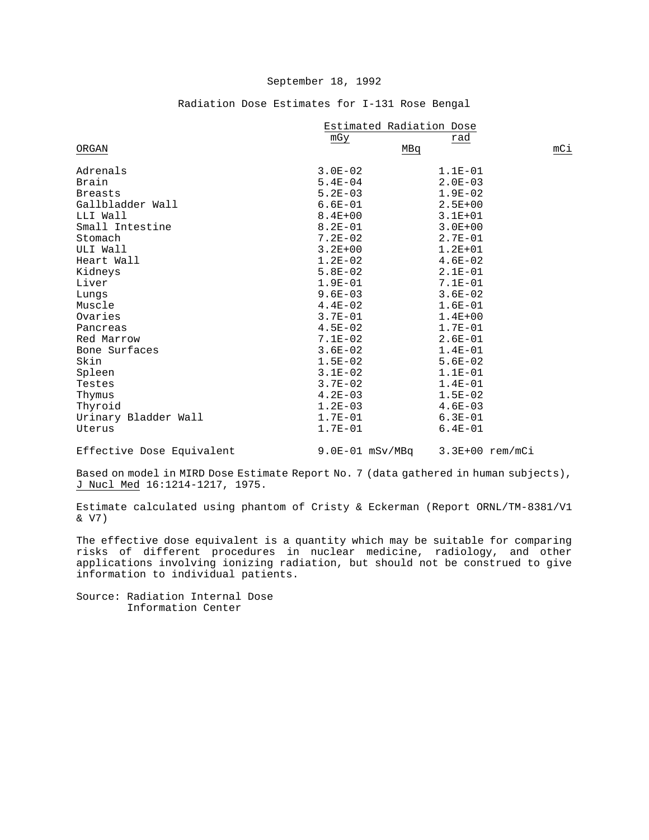|                      | Estimated Radiation Dose |             |     |
|----------------------|--------------------------|-------------|-----|
|                      | mGy                      | rad         |     |
| ORGAN                |                          | MBq         | mCi |
| Adrenals             | $3.0E - 02$              | $1.1E-01$   |     |
| Brain                | $5.4E - 04$              | $2.0E - 03$ |     |
| <b>Breasts</b>       | $5.2E - 03$              | $1.9E-02$   |     |
| Gallbladder Wall     | $6.6E - 01$              | $2.5E + 00$ |     |
| LLI Wall             | $8.4E + 00$              | $3.1E + 01$ |     |
| Small Intestine      | $8.2E - 01$              | $3.0E + 00$ |     |
| Stomach              | $7.2E - 02$              | $2.7E - 01$ |     |
| ULI Wall             | $3.2E + 00$              | $1.2E + 01$ |     |
| Heart Wall           | $1.2E-02$                | $4.6E-02$   |     |
| Kidneys              | $5.8E-02$                | $2.1E-01$   |     |
| Liver                | $1.9E-01$                | $7.1E - 01$ |     |
| Lungs                | $9.6E - 03$              | $3.6E - 02$ |     |
| Muscle               | $4.4E-02$                | $1.6E-01$   |     |
| Ovaries              | $3.7E - 01$              | $1.4E + 00$ |     |
| Pancreas             | $4.5E-02$                | $1.7E - 01$ |     |
| Red Marrow           | $7.1E-02$                | $2.6E - 01$ |     |
| Bone Surfaces        | $3.6E - 02$              | $1.4E - 01$ |     |
| Skin                 | $1.5E-02$                | $5.6E - 02$ |     |
| Spleen               | $3.1E-02$                | $1.1E-01$   |     |
| Testes               | $3.7E - 02$              | $1.4E-01$   |     |
| Thymus               | $4.2E - 03$              | $1.5E-02$   |     |
| Thyroid              | $1.2E-03$                | $4.6E - 03$ |     |
| Urinary Bladder Wall | $1.7E-01$                | $6.3E-01$   |     |
| Uterus               | $1.7E-01$                | $6.4E - 01$ |     |
|                      |                          |             |     |

# Radiation Dose Estimates for I-131 Rose Bengal

Effective Dose Equivalent 9.0E-01 mSv/MBq 3.3E+00 rem/mCi

Based on model in MIRD Dose Estimate Report No. 7 (data gathered in human subjects), J Nucl Med 16:1214-1217, 1975.

Estimate calculated using phantom of Cristy & Eckerman (Report ORNL/TM-8381/V1 & V7)

The effective dose equivalent is a quantity which may be suitable for comparing risks of different procedures in nuclear medicine, radiology, and other applications involving ionizing radiation, but should not be construed to give information to individual patients.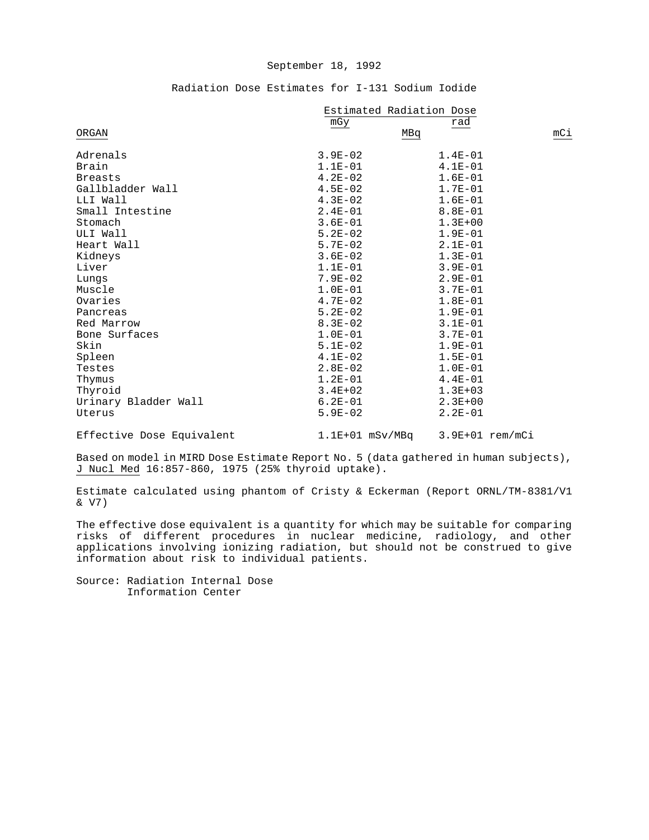| Radiation Dose Estimates for I-131 Sodium Iodide |
|--------------------------------------------------|
|--------------------------------------------------|

|                           | Estimated Radiation Dose |                   |     |
|---------------------------|--------------------------|-------------------|-----|
|                           | mGy                      | rad               |     |
| ORGAN                     | MBq                      |                   | mCi |
| Adrenals                  | $3.9E - 02$              | $1.4E-01$         |     |
| Brain                     | $1.1E-01$                | $4.1E-01$         |     |
| <b>Breasts</b>            | $4.2E-02$                | $1.6E-01$         |     |
| Gallbladder Wall          | $4.5E-02$                | $1.7E - 01$       |     |
| LLI Wall                  | $4.3E-02$                | $1.6E-01$         |     |
| Small Intestine           | $2.4E-01$                | $8.8E - 01$       |     |
| Stomach                   | $3.6E - 01$              | $1.3E + 00$       |     |
| ULI Wall                  | $5.2E-02$                | $1.9E - 01$       |     |
| Heart Wall                | $5.7E-02$                | $2.1E-01$         |     |
| Kidneys                   | $3.6E-02$                | $1.3E-01$         |     |
| Liver                     | $1.1E-01$                | $3.9E - 01$       |     |
| Lungs                     | $7.9E - 02$              | $2.9E-01$         |     |
| Muscle                    | $1.0E-01$                | $3.7E - 01$       |     |
| Ovaries                   | $4.7E-02$                | $1.8E-01$         |     |
| Pancreas                  | $5.2E - 02$              | $1.9E - 01$       |     |
| Red Marrow                | $8.3E - 02$              | $3.1E-01$         |     |
| Bone Surfaces             | $1.0E-01$                | $3.7E-01$         |     |
| Skin                      | $5.1E-02$                | $1.9E-01$         |     |
| Spleen                    | $4.1E-02$                | $1.5E - 01$       |     |
| Testes                    | $2.8E-02$                | $1.0E-01$         |     |
| Thymus                    | $1.2E-01$                | $4.4E - 01$       |     |
| Thyroid                   | $3.4E + 02$              | $1.3E + 03$       |     |
| Urinary Bladder Wall      | $6.2E - 01$              | $2.3E+00$         |     |
| Uterus                    | $5.9E - 02$              | $2.2E-01$         |     |
| Effective Dose Equivalent | $1.1E+01$ mSv/MBq        | $3.9E+01$ rem/mCi |     |

Based on model in MIRD Dose Estimate Report No. 5 (data gathered in human subjects), J Nucl Med 16:857-860, 1975 (25% thyroid uptake).

Estimate calculated using phantom of Cristy & Eckerman (Report ORNL/TM-8381/V1 & V7)

The effective dose equivalent is a quantity for which may be suitable for comparing risks of different procedures in nuclear medicine, radiology, and other applications involving ionizing radiation, but should not be construed to give information about risk to individual patients.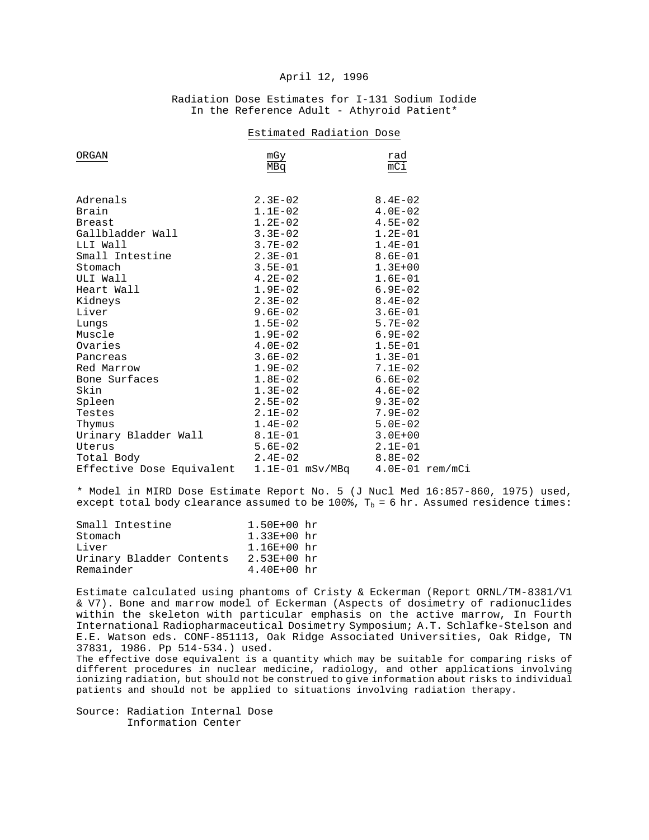# April 12, 1996

# Radiation Dose Estimates for I-131 Sodium Iodide In the Reference Adult - Athyroid Patient\*

| ORGAN                     | mGy<br>MBq        | rad<br>$\overline{mC1}$ |
|---------------------------|-------------------|-------------------------|
| Adrenals                  | $2.3E-02$         | $8.4E-02$               |
| Brain                     | $1.1E-02$         | $4.0E-02$               |
| <b>Breast</b>             | $1.2E-02$         | $4.5E-02$               |
| Gallbladder Wall          | $3.3E - 02$       | $1.2E - 01$             |
| LLI Wall                  | $3.7E - 02$       | $1.4E-01$               |
| Small Intestine           | $2.3E-01$         | $8.6E-01$               |
| Stomach                   | $3.5E - 01$       | $1.3E + 00$             |
| ULI Wall                  | $4.2E-02$         | $1.6E-01$               |
| Heart Wall                | $1.9E-02$         | 6.9E-02                 |
| Kidneys                   | $2.3E-02$         | $8.4E-02$               |
| Liver                     | $9.6E - 02$       | 3.6E-01                 |
| Lungs                     | $1.5E-02$         | 5.7E-02                 |
| Muscle                    | $1.9E-02$         | 6.9E-02                 |
| Ovaries                   | $4.0E-02$         | $1.5E-01$               |
| Pancreas                  | $3.6E - 02$       | $1.3E-01$               |
| Red Marrow                | $1.9E-02$         | $7.1E-02$               |
| Bone Surfaces             | $1.8E-02$         | $6.6E - 02$             |
| Skin                      | $1.3E-02$         | $4.6E-02$               |
| Spleen                    | $2.5E-02$         | $9.3E-02$               |
| Testes                    | $2.1E-02$         | $7.9E - 02$             |
| Thymus                    | $1.4E-02$         | 5.0E-02                 |
| Urinary Bladder Wall      | $8.1E-01$         | $3.0E + 00$             |
| Uterus                    | $5.6E-02$         | $2.1E-01$               |
| Total Body                | $2.4E-02$         | $8.8E - 02$             |
| Effective Dose Equivalent | $1.1E-01$ mSv/MBq | $4.0E-01$ rem/mCi       |

#### Estimated Radiation Dose

\* Model in MIRD Dose Estimate Report No. 5 (J Nucl Med 16:857-860, 1975) used, except total body clearance assumed to be 100%,  $T_b = 6$  hr. Assumed residence times:

| Small Intestine          | $1.50E + 00 hr$ |
|--------------------------|-----------------|
| Stomach                  | $1.33E+00 hr$   |
| Liver                    | $1.16E + 00$ hr |
| Urinary Bladder Contents | $2.53E+00 hr$   |
| Remainder                | $4.40E+00 hr$   |

Estimate calculated using phantoms of Cristy & Eckerman (Report ORNL/TM-8381/V1 & V7). Bone and marrow model of Eckerman (Aspects of dosimetry of radionuclides within the skeleton with particular emphasis on the active marrow, In Fourth International Radiopharmaceutical Dosimetry Symposium; A.T. Schlafke-Stelson and E.E. Watson eds. CONF-851113, Oak Ridge Associated Universities, Oak Ridge, TN 37831, 1986. Pp 514-534.) used.

The effective dose equivalent is a quantity which may be suitable for comparing risks of different procedures in nuclear medicine, radiology, and other applications involving ionizing radiation, but should not be construed to give information about risks to individual patients and should not be applied to situations involving radiation therapy.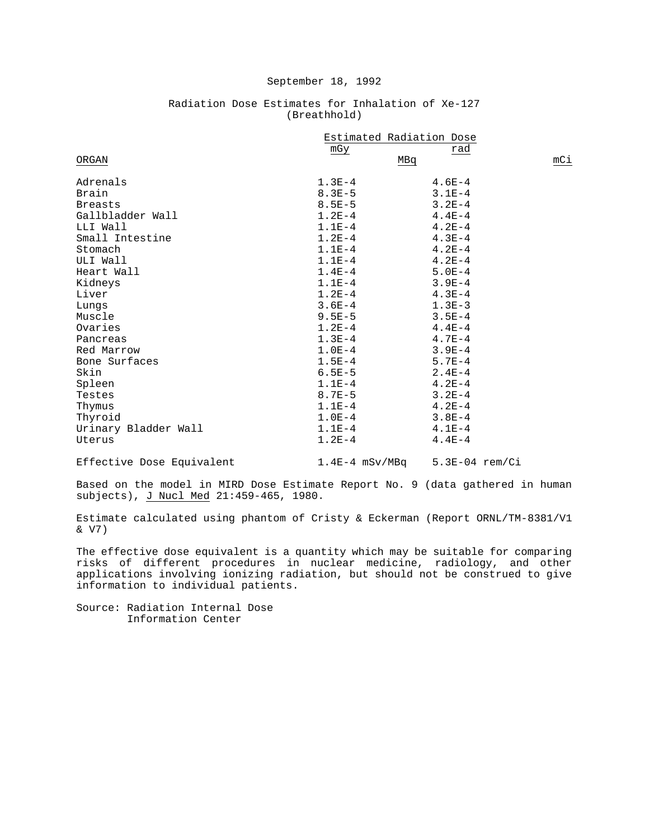|                      | Estimated Radiation Dose |            |     |
|----------------------|--------------------------|------------|-----|
|                      | mGy                      | rad        |     |
| ORGAN                |                          | MBq        | mCi |
| Adrenals             | $1.3E-4$                 | $4.6E-4$   |     |
| Brain                | $8.3E-5$                 | $3.1E-4$   |     |
| <b>Breasts</b>       | $8.5E - 5$               | $3.2E - 4$ |     |
| Gallbladder Wall     | $1.2E-4$                 | $4.4E-4$   |     |
| LLI Wall             | $1.1E-4$                 | $4.2E - 4$ |     |
| Small Intestine      | $1.2E - 4$               | $4.3E-4$   |     |
| Stomach              | $1.1E-4$                 | $4.2E-4$   |     |
| ULI Wall             | $1.1E-4$                 | $4.2E-4$   |     |
| Heart Wall           | $1.4E - 4$               | $5.0E-4$   |     |
| Kidneys              | $1.1E-4$                 | $3.9E-4$   |     |
| Liver                | $1.2E-4$                 | $4.3E-4$   |     |
| Lungs                | $3.6E - 4$               | $1.3E-3$   |     |
| Muscle               | $9.5E - 5$               | $3.5E - 4$ |     |
| Ovaries              | $1.2E - 4$               | $4.4E-4$   |     |
| Pancreas             | $1.3E-4$                 | $4.7E-4$   |     |
| Red Marrow           | $1.0E-4$                 | $3.9E-4$   |     |
| Bone Surfaces        | $1.5E-4$                 | $5.7E - 4$ |     |
| Skin                 | $6.5E - 5$               | $2.4E-4$   |     |
| Spleen               | $1.1E-4$                 | $4.2E-4$   |     |
| Testes               | $8.7E - 5$               | $3.2E - 4$ |     |
| Thymus               | $1.1E-4$                 | $4.2E-4$   |     |
| Thyroid              | $1.0E-4$                 | $3.8E-4$   |     |
| Urinary Bladder Wall | $1.1E-4$                 | $4.1E-4$   |     |
| Uterus               | $1.2E-4$                 | $4.4E-4$   |     |

### Radiation Dose Estimates for Inhalation of Xe-127 (Breathhold)

Effective Dose Equivalent 1.4E-4 mSv/MBq 5.3E-04 rem/Ci

Based on the model in MIRD Dose Estimate Report No. 9 (data gathered in human subjects), J Nucl Med 21:459-465, 1980.

Estimate calculated using phantom of Cristy & Eckerman (Report ORNL/TM-8381/V1 & V7)

The effective dose equivalent is a quantity which may be suitable for comparing risks of different procedures in nuclear medicine, radiology, and other applications involving ionizing radiation, but should not be construed to give information to individual patients.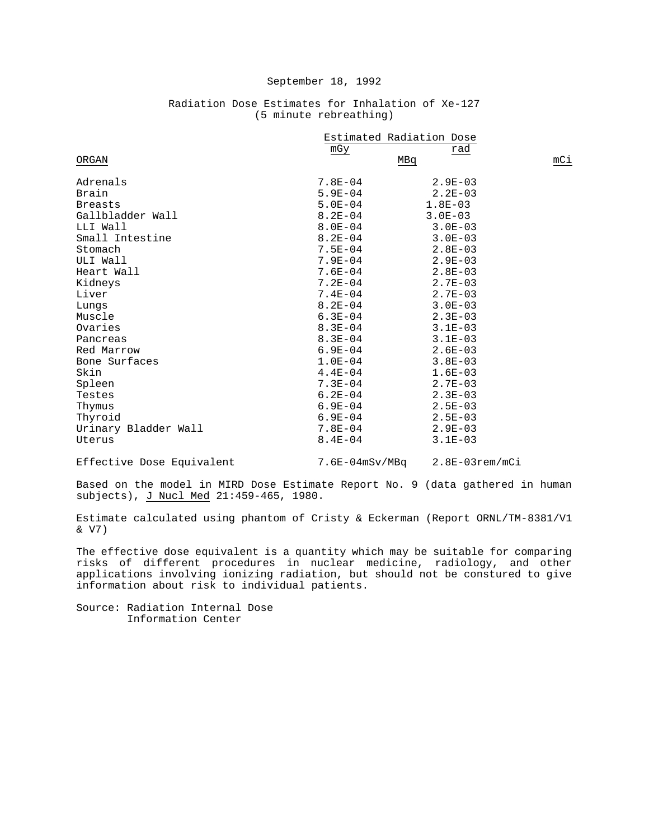|                      | Estimated Radiation Dose |             |     |
|----------------------|--------------------------|-------------|-----|
|                      | mGy                      | rad         |     |
| ORGAN                |                          | MBq         | mCi |
| Adrenals             | $7.8E - 04$              | $2.9E - 03$ |     |
| Brain                | $5.9E - 04$              | $2.2E - 03$ |     |
| <b>Breasts</b>       | $5.0E - 04$              | $1.8E - 03$ |     |
|                      | $8.2E - 04$              |             |     |
| Gallbladder Wall     |                          | $3.0E - 03$ |     |
| LLI Wall             | $8.0E - 04$              | $3.0E - 03$ |     |
| Small Intestine      | $8.2E - 04$              | $3.0E - 03$ |     |
| Stomach              | $7.5E - 04$              | $2.8E - 03$ |     |
| ULI Wall             | $7.9E - 04$              | $2.9E - 03$ |     |
| Heart Wall           | $7.6E - 04$              | $2.8E - 03$ |     |
| Kidneys              | $7.2E - 04$              | $2.7E - 03$ |     |
| Liver                | $7.4E - 04$              | $2.7E - 03$ |     |
| Lungs                | $8.2E - 04$              | $3.0E - 03$ |     |
| Muscle               | $6.3E - 04$              | $2.3E - 03$ |     |
| Ovaries              | $8.3E - 04$              | $3.1E - 03$ |     |
| Pancreas             | $8.3E - 04$              | $3.1E - 03$ |     |
| Red Marrow           | $6.9E - 04$              | $2.6E - 03$ |     |
| Bone Surfaces        | $1.0E-04$                | $3.8E - 03$ |     |
| Skin                 | $4.4E - 04$              | $1.6E-03$   |     |
| Spleen               | $7.3E - 04$              | $2.7E - 03$ |     |
| Testes               | $6.2E - 04$              | $2.3E - 03$ |     |
| Thymus               | $6.9E - 04$              | $2.5E - 03$ |     |
| Thyroid              | $6.9E - 04$              | $2.5E - 03$ |     |
| Urinary Bladder Wall | $7.8E - 04$              | $2.9E - 03$ |     |
| Uterus               | $8.4E - 04$              | $3.1E - 03$ |     |

# Radiation Dose Estimates for Inhalation of Xe-127 (5 minute rebreathing)

Effective Dose Equivalent 7.6E-04mSv/MBq 2.8E-03rem/mCi

Based on the model in MIRD Dose Estimate Report No. 9 (data gathered in human subjects), J Nucl Med 21:459-465, 1980.

Estimate calculated using phantom of Cristy & Eckerman (Report ORNL/TM-8381/V1 & V7)

The effective dose equivalent is a quantity which may be suitable for comparing risks of different procedures in nuclear medicine, radiology, and other applications involving ionizing radiation, but should not be constured to give information about risk to individual patients.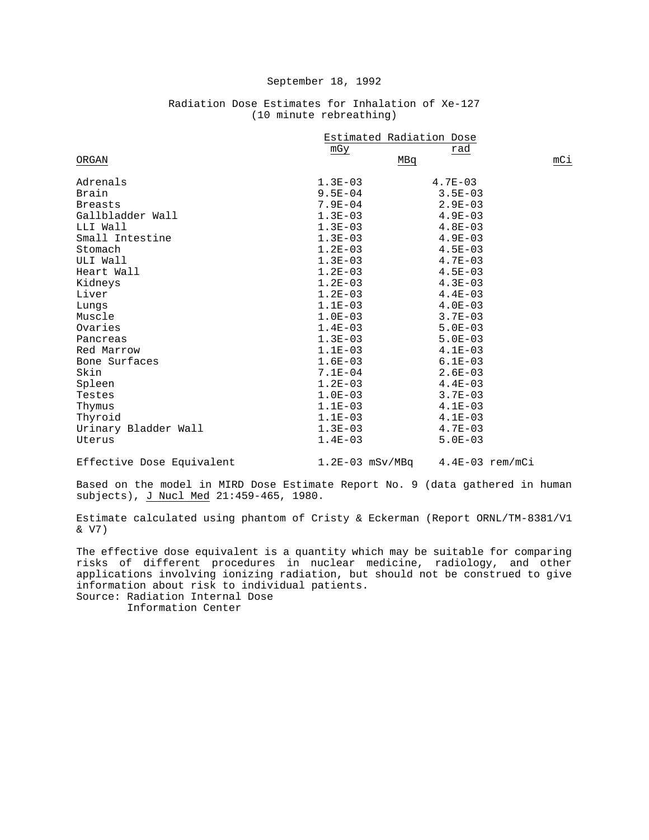|                      | Estimated Radiation Dose |             |     |
|----------------------|--------------------------|-------------|-----|
|                      | mGy                      | rad         |     |
| ORGAN                |                          | MBq         | mCi |
| Adrenals             | $1.3E-03$                | $4.7E - 03$ |     |
| Brain                | $9.5E - 04$              | $3.5E - 03$ |     |
| <b>Breasts</b>       | $7.9E - 04$              | $2.9E - 03$ |     |
| Gallbladder Wall     | $1.3E-03$                | $4.9E - 03$ |     |
| LLI Wall             | $1.3E - 03$              | $4.8E-03$   |     |
| Small Intestine      | $1.3E-03$                | $4.9E - 03$ |     |
|                      |                          |             |     |
| Stomach              | $1.2E-03$                | $4.5E - 03$ |     |
| ULI Wall             | $1.3E-03$                | $4.7E - 03$ |     |
| Heart Wall           | $1.2E-03$                | $4.5E - 03$ |     |
| Kidneys              | $1.2E-03$                | $4.3E - 03$ |     |
| Liver                | $1.2E - 03$              | $4.4E - 03$ |     |
| Lungs                | $1.1E-03$                | $4.0E - 03$ |     |
| Muscle               | $1.0E-03$                | $3.7E-03$   |     |
| Ovaries              | $1.4E - 03$              | $5.0E - 03$ |     |
| Pancreas             | $1.3E-03$                | $5.0E - 03$ |     |
| Red Marrow           | $1.1E-03$                | $4.1E - 03$ |     |
| Bone Surfaces        | $1.6E-03$                | $6.1E - 03$ |     |
| Skin                 | $7.1E - 04$              | $2.6E - 03$ |     |
| Spleen               | $1.2E - 03$              | $4.4E - 03$ |     |
| Testes               | $1.0E-03$                | $3.7E - 03$ |     |
| Thymus               | $1.1E-03$                | $4.1E - 03$ |     |
| Thyroid              | $1.1E-03$                | $4.1E-03$   |     |
| Urinary Bladder Wall | $1.3E-03$                | $4.7E - 03$ |     |
| Uterus               | $1.4E - 03$              | $5.0E - 03$ |     |

# Radiation Dose Estimates for Inhalation of Xe-127 (10 minute rebreathing)

Effective Dose Equivalent 1.2E-03 mSv/MBq 4.4E-03 rem/mCi

Based on the model in MIRD Dose Estimate Report No. 9 (data gathered in human subjects), J Nucl Med 21:459-465, 1980.

Estimate calculated using phantom of Cristy & Eckerman (Report ORNL/TM-8381/V1 & V7)

The effective dose equivalent is a quantity which may be suitable for comparing risks of different procedures in nuclear medicine, radiology, and other applications involving ionizing radiation, but should not be construed to give information about risk to individual patients. Source: Radiation Internal Dose

Information Center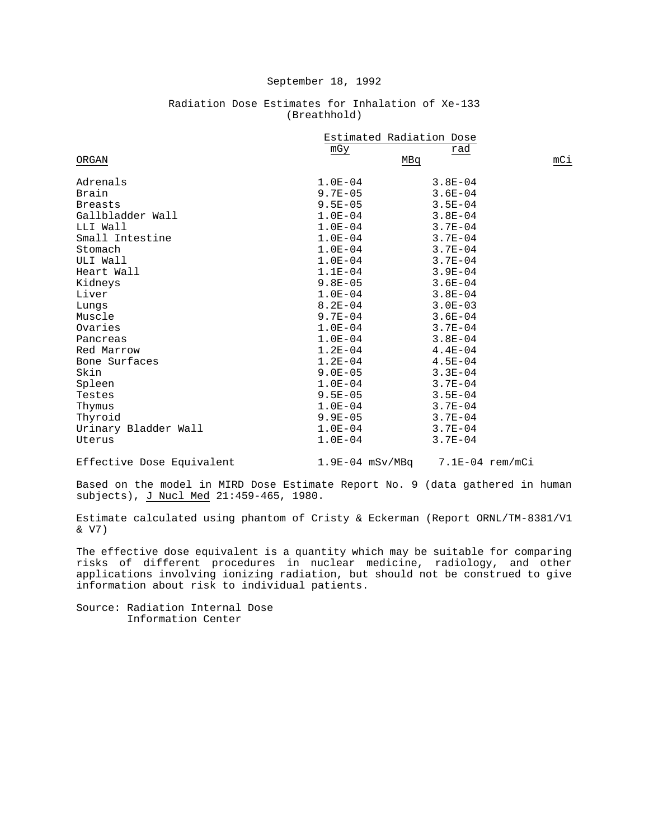|                      | Estimated Radiation Dose |             |     |
|----------------------|--------------------------|-------------|-----|
|                      | mGy                      | rad         |     |
| ORGAN                |                          | MBq         | mCi |
| Adrenals             | $1.0E-04$                | $3.8E - 04$ |     |
| Brain                | $9.7E - 05$              | $3.6E - 04$ |     |
| <b>Breasts</b>       | $9.5E - 05$              | $3.5E - 04$ |     |
| Gallbladder Wall     | $1.0E-04$                | $3.8E - 04$ |     |
| LLI Wall             | $1.0E-04$                | $3.7E - 04$ |     |
| Small Intestine      | $1.0E-04$                | $3.7E - 04$ |     |
| Stomach              | $1.0E-04$                | $3.7E - 04$ |     |
| ULI Wall             | $1.0E-04$                | $3.7E - 04$ |     |
| Heart Wall           | $1.1E-04$                | $3.9E - 04$ |     |
| Kidneys              | $9.8E - 05$              | $3.6E - 04$ |     |
| Liver                | $1.0E-04$                | $3.8E - 04$ |     |
| Lungs                | $8.2E - 04$              | $3.0E - 03$ |     |
| Muscle               | $9.7E - 04$              | $3.6E - 04$ |     |
| Ovaries              | $1.0E-04$                | $3.7E - 04$ |     |
| Pancreas             | $1.0E-04$                | $3.8E - 04$ |     |
| Red Marrow           | $1.2E - 04$              | $4.4E - 04$ |     |
| Bone Surfaces        | $1.2E-04$                | $4.5E - 04$ |     |
| Skin                 | $9.0E - 05$              | $3.3E - 04$ |     |
| Spleen               | $1.0E-04$                | $3.7E - 04$ |     |
| Testes               | $9.5E - 05$              | $3.5E - 04$ |     |
| Thymus               | $1.0E-04$                | $3.7E - 04$ |     |
| Thyroid              | $9.9E - 05$              | $3.7E - 04$ |     |
| Urinary Bladder Wall | $1.0E-04$                | $3.7E - 04$ |     |
| Uterus               | $1.0E - 04$              | $3.7E - 04$ |     |

### Radiation Dose Estimates for Inhalation of Xe-133 (Breathhold)

Effective Dose Equivalent 1.9E-04 mSv/MBq 7.1E-04 rem/mCi

Based on the model in MIRD Dose Estimate Report No. 9 (data gathered in human subjects), J Nucl Med 21:459-465, 1980.

Estimate calculated using phantom of Cristy & Eckerman (Report ORNL/TM-8381/V1 & V7)

The effective dose equivalent is a quantity which may be suitable for comparing risks of different procedures in nuclear medicine, radiology, and other applications involving ionizing radiation, but should not be construed to give information about risk to individual patients.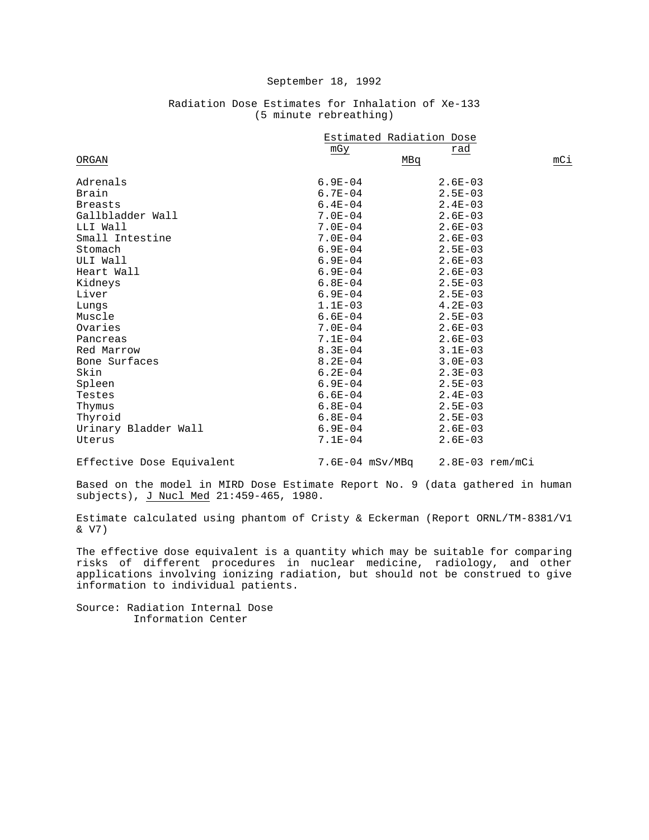|                      | Estimated Radiation Dose |             |     |
|----------------------|--------------------------|-------------|-----|
|                      | mGy                      | rad         |     |
| ORGAN                |                          | MBq         | mCi |
| Adrenals             | $6.9E - 04$              | $2.6E - 03$ |     |
| Brain                | $6.7E - 04$              | $2.5E - 03$ |     |
| <b>Breasts</b>       | $6.4E - 04$              | $2.4E - 03$ |     |
| Gallbladder Wall     | $7.0E - 04$              | $2.6E - 03$ |     |
| LLI Wall             | $7.0E - 04$              | $2.6E - 03$ |     |
| Small Intestine      | $7.0E - 04$              | $2.6E - 03$ |     |
| Stomach              | $6.9E - 04$              | $2.5E - 03$ |     |
| ULI Wall             | $6.9E - 04$              | $2.6E - 03$ |     |
| Heart Wall           | $6.9E - 04$              | $2.6E - 03$ |     |
| Kidneys              | $6.8E-04$                | $2.5E - 03$ |     |
| Liver                | $6.9E - 04$              | $2.5E - 03$ |     |
| Lungs                | $1.1E-03$                | $4.2E - 03$ |     |
| Muscle               | $6.6E-04$                | $2.5E - 03$ |     |
| Ovaries              | $7.0E - 04$              | $2.6E - 03$ |     |
| Pancreas             | $7.1E - 04$              | $2.6E - 03$ |     |
| Red Marrow           | $8.3E - 04$              | $3.1E - 03$ |     |
| Bone Surfaces        | $8.2E - 04$              | $3.0E - 03$ |     |
| Skin                 | $6.2E - 04$              | $2.3E - 03$ |     |
| Spleen               | $6.9E - 04$              | $2.5E - 03$ |     |
| Testes               | $6.6E - 04$              | $2.4E - 03$ |     |
| Thymus               | $6.8E - 04$              | $2.5E - 03$ |     |
| Thyroid              | $6.8E - 04$              | $2.5E - 03$ |     |
| Urinary Bladder Wall | $6.9E - 04$              | $2.6E - 03$ |     |
| Uterus               | $7.1E - 04$              | $2.6E - 03$ |     |

# Radiation Dose Estimates for Inhalation of Xe-133 (5 minute rebreathing)

Effective Dose Equivalent 7.6E-04 mSv/MBq 2.8E-03 rem/mCi

Based on the model in MIRD Dose Estimate Report No. 9 (data gathered in human subjects), J Nucl Med 21:459-465, 1980.

Estimate calculated using phantom of Cristy & Eckerman (Report ORNL/TM-8381/V1 & V7)

The effective dose equivalent is a quantity which may be suitable for comparing risks of different procedures in nuclear medicine, radiology, and other applications involving ionizing radiation, but should not be construed to give information to individual patients.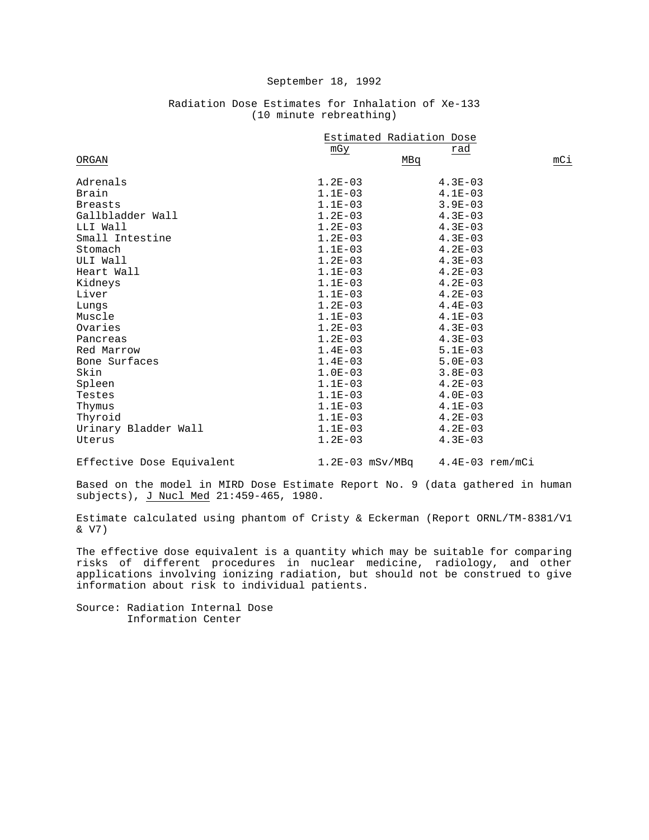|                      | Estimated Radiation Dose |             |     |
|----------------------|--------------------------|-------------|-----|
|                      | mGy                      | rad         |     |
| ORGAN                |                          | MBq         | mCi |
| Adrenals             | $1.2E-03$                | $4.3E - 03$ |     |
| Brain                | $1.1E-03$                | $4.1E-03$   |     |
| <b>Breasts</b>       | $1.1E-03$                | $3.9E - 03$ |     |
| Gallbladder Wall     | $1.2E-03$                | $4.3E - 03$ |     |
| LLI Wall             | $1.2E - 03$              | $4.3E-03$   |     |
| Small Intestine      | $1.2E-03$                | $4.3E - 03$ |     |
| Stomach              | $1.1E-03$                | $4.2E - 03$ |     |
| ULI Wall             | $1.2E - 03$              | $4.3E-03$   |     |
| Heart Wall           | $1.1E-03$                | $4.2E - 03$ |     |
| Kidneys              | $1.1E-03$                | $4.2E-03$   |     |
| Liver                | $1.1E-03$                | $4.2E-03$   |     |
| Lungs                | $1.2E-03$                | $4.4E - 03$ |     |
| Muscle               | $1.1E-03$                | $4.1E-03$   |     |
| Ovaries              | $1.2E-03$                | $4.3E - 03$ |     |
| Pancreas             | $1.2E-03$                | $4.3E-03$   |     |
| Red Marrow           | $1.4E-03$                | $5.1E-03$   |     |
| Bone Surfaces        | $1.4E-03$                | $5.0E - 03$ |     |
| Skin                 | $1.0E-03$                | $3.8E - 03$ |     |
| Spleen               | $1.1E-03$                | $4.2E - 03$ |     |
| Testes               | $1.1E-03$                | $4.0E - 03$ |     |
| Thymus               | $1.1E-03$                | $4.1E - 03$ |     |
| Thyroid              | $1.1E-03$                | $4.2E - 03$ |     |
| Urinary Bladder Wall | $1.1E-03$                | $4.2E - 03$ |     |
| Uterus               | $1.2E-03$                | $4.3E - 03$ |     |

# Radiation Dose Estimates for Inhalation of Xe-133 (10 minute rebreathing)

Effective Dose Equivalent 1.2E-03 mSv/MBq 4.4E-03 rem/mCi

Based on the model in MIRD Dose Estimate Report No. 9 (data gathered in human subjects), J Nucl Med 21:459-465, 1980.

Estimate calculated using phantom of Cristy & Eckerman (Report ORNL/TM-8381/V1 & V7)

The effective dose equivalent is a quantity which may be suitable for comparing risks of different procedures in nuclear medicine, radiology, and other applications involving ionizing radiation, but should not be construed to give information about risk to individual patients.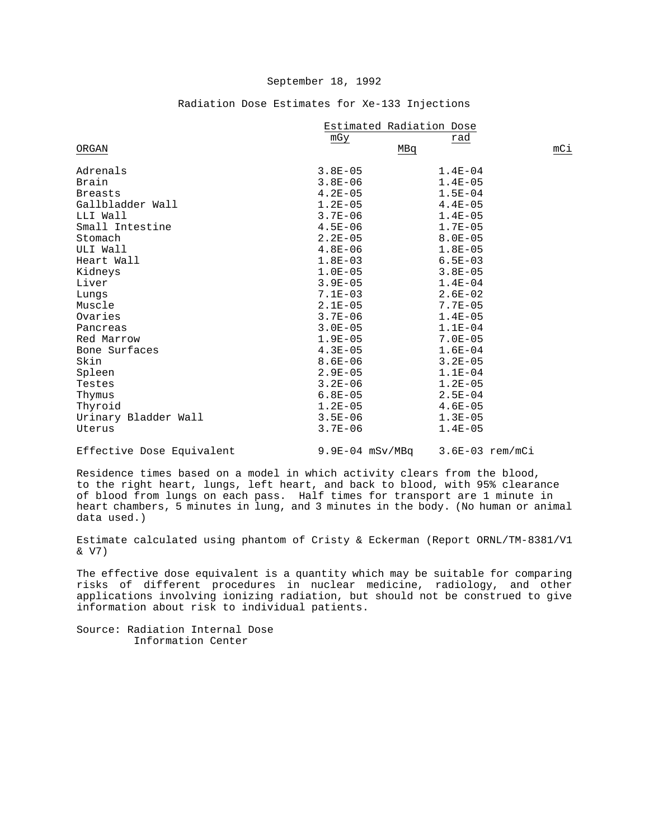|                      | Estimated Radiation Dose |             |     |
|----------------------|--------------------------|-------------|-----|
|                      | mGy                      | rad         |     |
| ORGAN                |                          | MBq         | mCi |
| Adrenals             | $3.8E - 05$              | $1.4E - 04$ |     |
| Brain                | $3.8E - 06$              | $1.4E - 05$ |     |
| <b>Breasts</b>       | $4.2E - 05$              | $1.5E - 04$ |     |
| Gallbladder Wall     | $1.2E-05$                | $4.4E - 05$ |     |
| LLI Wall             | $3.7E - 06$              | $1.4E - 05$ |     |
| Small Intestine      | $4.5E - 06$              | $1.7E - 05$ |     |
| Stomach              | $2.2E - 05$              | $8.0E - 05$ |     |
| ULI Wall             | $4.8E - 06$              | $1.8E - 05$ |     |
| Heart Wall           | $1.8E - 03$              | $6.5E - 03$ |     |
| Kidneys              | $1.0E-05$                | $3.8E - 05$ |     |
| Liver                | $3.9E - 05$              | $1.4E - 04$ |     |
| Lungs                | $7.1E - 03$              | $2.6E - 02$ |     |
| Muscle               | $2.1E-05$                | $7.7E - 05$ |     |
| Ovaries              | $3.7E - 06$              | $1.4E - 05$ |     |
| Pancreas             | $3.0E - 05$              | $1.1E-04$   |     |
| Red Marrow           | $1.9E - 05$              | $7.0E - 05$ |     |
| Bone Surfaces        | $4.3E - 05$              | $1.6E - 04$ |     |
| Skin                 | $8.6E - 06$              | $3.2E - 05$ |     |
| Spleen               | $2.9E - 05$              | $1.1E - 04$ |     |
| Testes               | $3.2E - 06$              | $1.2E - 05$ |     |
| Thymus               | $6.8E - 05$              | $2.5E - 04$ |     |
| Thyroid              | $1.2E-05$                | $4.6E - 05$ |     |
| Urinary Bladder Wall | $3.5E - 06$              | $1.3E - 05$ |     |
| Uterus               | $3.7E - 06$              | $1.4E - 05$ |     |
|                      |                          |             |     |

# Radiation Dose Estimates for Xe-133 Injections

Effective Dose Equivalent 9.9E-04 mSv/MBq 3.6E-03 rem/mCi

Residence times based on a model in which activity clears from the blood, to the right heart, lungs, left heart, and back to blood, with 95% clearance of blood from lungs on each pass. Half times for transport are 1 minute in heart chambers, 5 minutes in lung, and 3 minutes in the body. (No human or animal data used.)

Estimate calculated using phantom of Cristy & Eckerman (Report ORNL/TM-8381/V1 & V7)

The effective dose equivalent is a quantity which may be suitable for comparing risks of different procedures in nuclear medicine, radiology, and other applications involving ionizing radiation, but should not be construed to give information about risk to individual patients.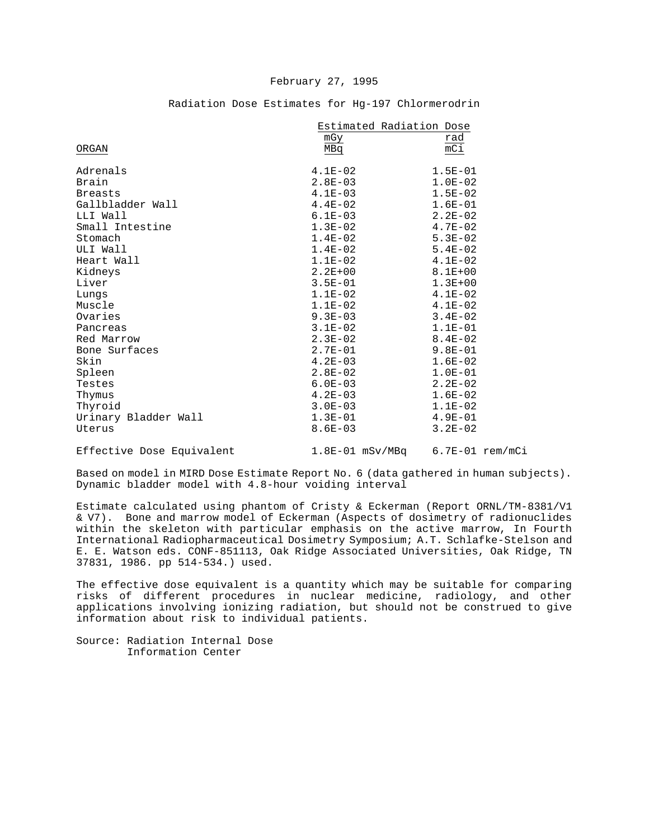#### February 27, 1995

|                      | Estimated Radiation Dose |                  |
|----------------------|--------------------------|------------------|
|                      | mGy                      | rad              |
| ORGAN                | MBq                      | $\overline{mC1}$ |
|                      |                          |                  |
| Adrenals             | $4.1E-02$                | $1.5E - 01$      |
| Brain                | $2.8E - 03$              | $1.0E-02$        |
| <b>Breasts</b>       | $4.1E-03$                | $1.5E - 02$      |
| Gallbladder Wall     | $4.4E-02$                | $1.6E-01$        |
| LLI Wall             | $6.1E - 03$              | $2.2E - 02$      |
| Small Intestine      | $1.3E-02$                | $4.7E - 02$      |
| Stomach              | $1.4E-02$                | $5.3E-02$        |
| ULI Wall             | $1.4E-02$                | $5.4E - 02$      |
| Heart Wall           | $1.1E-02$                | $4.1E-02$        |
| Kidneys              | $2.2E + 00$              | $8.1E + 00$      |
| Liver                | $3.5E - 01$              | $1.3E + 00$      |
| Lungs                | $1.1E-02$                | $4.1E-02$        |
| Muscle               | $1.1E-02$                | $4.1E-02$        |
| Ovaries              | $9.3E - 03$              | $3.4E - 02$      |
| Pancreas             | $3.1E-02$                | $1.1E-01$        |
| Red Marrow           | $2.3E-02$                | $8.4E - 02$      |
| Bone Surfaces        | $2.7E - 01$              | $9.8E - 01$      |
| Skin                 | $4.2E - 03$              | $1.6E-02$        |
| Spleen               | $2.8E - 02$              | $1.0E-01$        |
| Testes               | $6.0E - 03$              | $2.2E - 02$      |
| Thymus               | $4.2E - 03$              | $1.6E - 02$      |
| Thyroid              | $3.0E - 03$              | $1.1E-02$        |
| Urinary Bladder Wall | $1.3E-01$                | $4.9E - 01$      |
| Uterus               | $8.6E - 03$              | $3.2E - 02$      |
|                      |                          |                  |

#### Radiation Dose Estimates for Hg-197 Chlormerodrin

Effective Dose Equivalent 1.8E-01 mSv/MBq 6.7E-01 rem/mCi

Based on model in MIRD Dose Estimate Report No. 6 (data gathered in human subjects). Dynamic bladder model with 4.8-hour voiding interval

Estimate calculated using phantom of Cristy & Eckerman (Report ORNL/TM-8381/V1 & V7). Bone and marrow model of Eckerman (Aspects of dosimetry of radionuclides within the skeleton with particular emphasis on the active marrow, In Fourth International Radiopharmaceutical Dosimetry Symposium; A.T. Schlafke-Stelson and E. E. Watson eds. CONF-851113, Oak Ridge Associated Universities, Oak Ridge, TN 37831, 1986. pp 514-534.) used.

The effective dose equivalent is a quantity which may be suitable for comparing risks of different procedures in nuclear medicine, radiology, and other applications involving ionizing radiation, but should not be construed to give information about risk to individual patients.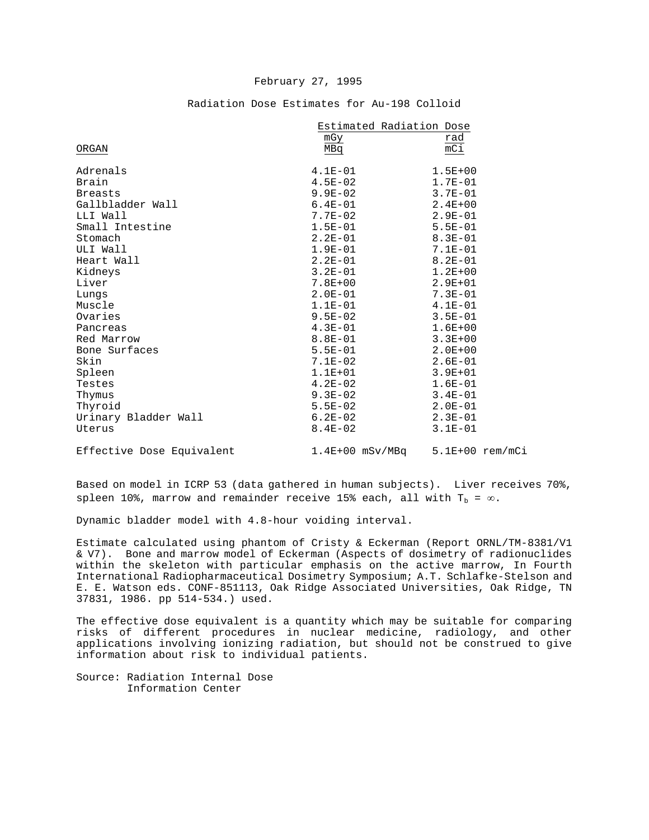#### February 27, 1995

|                           | Estimated Radiation Dose            |             |
|---------------------------|-------------------------------------|-------------|
|                           | mGy                                 | rad         |
| ORGAN                     | MBq                                 | mCi         |
| Adrenals                  | $4.1E-01$                           | $1.5E + 00$ |
|                           |                                     |             |
| Brain                     | $4.5E - 02$                         | $1.7E - 01$ |
| <b>Breasts</b>            | $9.9E - 02$                         | $3.7E-01$   |
| Gallbladder Wall          | $6.4E-01$                           | $2.4E + 00$ |
| LLI Wall                  | $7.7E - 02$                         | $2.9E - 01$ |
| Small Intestine           | $1.5E-01$                           | $5.5E-01$   |
| Stomach                   | $2.2E-01$                           | $8.3E - 01$ |
| ULI Wall                  | $1.9E-01$                           | $7.1E-01$   |
| Heart Wall                | $2.2E-01$                           | $8.2E - 01$ |
| Kidneys                   | $3.2E-01$                           | $1.2E + 00$ |
| Liver                     | $7.8E + 00$                         | $2.9E + 01$ |
| Lungs                     | $2.0E-01$                           | $7.3E - 01$ |
| Muscle                    | $1.1E-01$                           | $4.1E-01$   |
| Ovaries                   | $9.5E - 02$                         | $3.5E - 01$ |
| Pancreas                  | $4.3E-01$                           | $1.6E + 00$ |
| Red Marrow                | $8.8E-01$                           | $3.3E + 00$ |
| Bone Surfaces             | $5.5E-01$                           | $2.0E + 00$ |
| Skin                      | $7.1E-02$                           | $2.6E-01$   |
| Spleen                    | $1.1E + 01$                         | $3.9E + 01$ |
| Testes                    | $4.2E-02$                           | $1.6E-01$   |
| Thymus                    | $9.3E-02$                           | $3.4E - 01$ |
| Thyroid                   | $5.5E-02$                           | $2.0E - 01$ |
| Urinary Bladder Wall      | $6.2E-02$                           | $2.3E-01$   |
| Uterus                    | $8.4E - 02$                         | $3.1E - 01$ |
|                           |                                     |             |
| Effective Dose Equivalent | $1.4E+00$ mSv/MBq $5.1E+00$ rem/mCi |             |

# Radiation Dose Estimates for Au-198 Colloid

Based on model in ICRP 53 (data gathered in human subjects). Liver receives 70%, spleen 10%, marrow and remainder receive 15% each, all with  $T_b = \infty$ .

Dynamic bladder model with 4.8-hour voiding interval.

Estimate calculated using phantom of Cristy & Eckerman (Report ORNL/TM-8381/V1 & V7). Bone and marrow model of Eckerman (Aspects of dosimetry of radionuclides within the skeleton with particular emphasis on the active marrow, In Fourth International Radiopharmaceutical Dosimetry Symposium; A.T. Schlafke-Stelson and E. E. Watson eds. CONF-851113, Oak Ridge Associated Universities, Oak Ridge, TN 37831, 1986. pp 514-534.) used.

The effective dose equivalent is a quantity which may be suitable for comparing risks of different procedures in nuclear medicine, radiology, and other applications involving ionizing radiation, but should not be construed to give information about risk to individual patients.